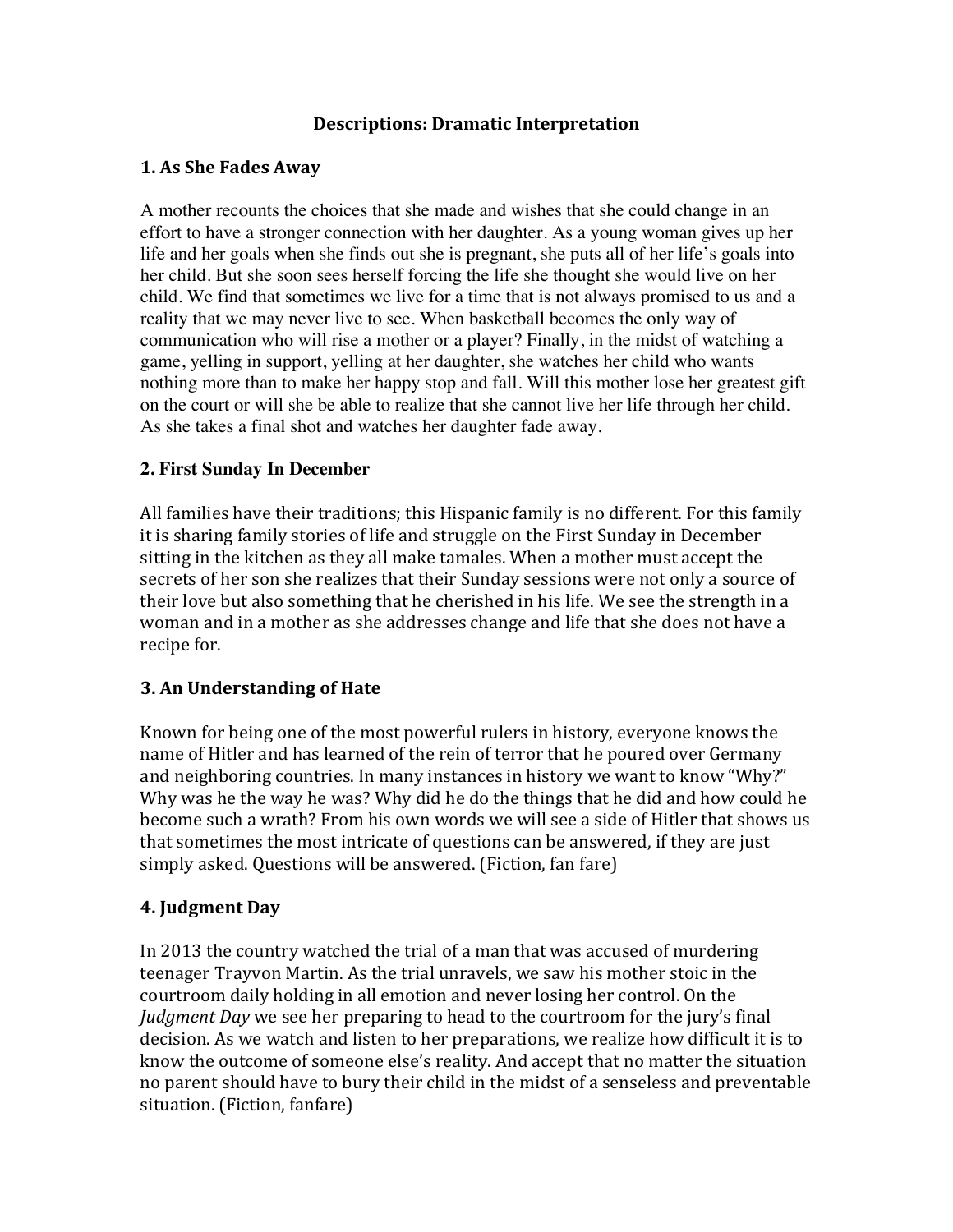## **Descriptions: Dramatic Interpretation**

#### **1. As She Fades Away**

A mother recounts the choices that she made and wishes that she could change in an effort to have a stronger connection with her daughter. As a young woman gives up her life and her goals when she finds out she is pregnant, she puts all of her life's goals into her child. But she soon sees herself forcing the life she thought she would live on her child. We find that sometimes we live for a time that is not always promised to us and a reality that we may never live to see. When basketball becomes the only way of communication who will rise a mother or a player? Finally, in the midst of watching a game, yelling in support, yelling at her daughter, she watches her child who wants nothing more than to make her happy stop and fall. Will this mother lose her greatest gift on the court or will she be able to realize that she cannot live her life through her child. As she takes a final shot and watches her daughter fade away.

## **2. First Sunday In December**

All families have their traditions; this Hispanic family is no different. For this family it is sharing family stories of life and struggle on the First Sunday in December sitting in the kitchen as they all make tamales. When a mother must accept the secrets of her son she realizes that their Sunday sessions were not only a source of their love but also something that he cherished in his life. We see the strength in a woman and in a mother as she addresses change and life that she does not have a recipe for.

## **3. An Understanding of Hate**

Known for being one of the most powerful rulers in history, everyone knows the name of Hitler and has learned of the rein of terror that he poured over Germany and neighboring countries. In many instances in history we want to know "Why?" Why was he the way he was? Why did he do the things that he did and how could he become such a wrath? From his own words we will see a side of Hitler that shows us that sometimes the most intricate of questions can be answered, if they are just simply asked. Questions will be answered. (Fiction, fan fare)

## **4. Judgment Day**

In 2013 the country watched the trial of a man that was accused of murdering teenager Trayvon Martin. As the trial unravels, we saw his mother stoic in the courtroom daily holding in all emotion and never losing her control. On the *Judgment Day* we see her preparing to head to the courtroom for the jury's final decision. As we watch and listen to her preparations, we realize how difficult it is to know the outcome of someone else's reality. And accept that no matter the situation no parent should have to bury their child in the midst of a senseless and preventable situation. (Fiction, fanfare)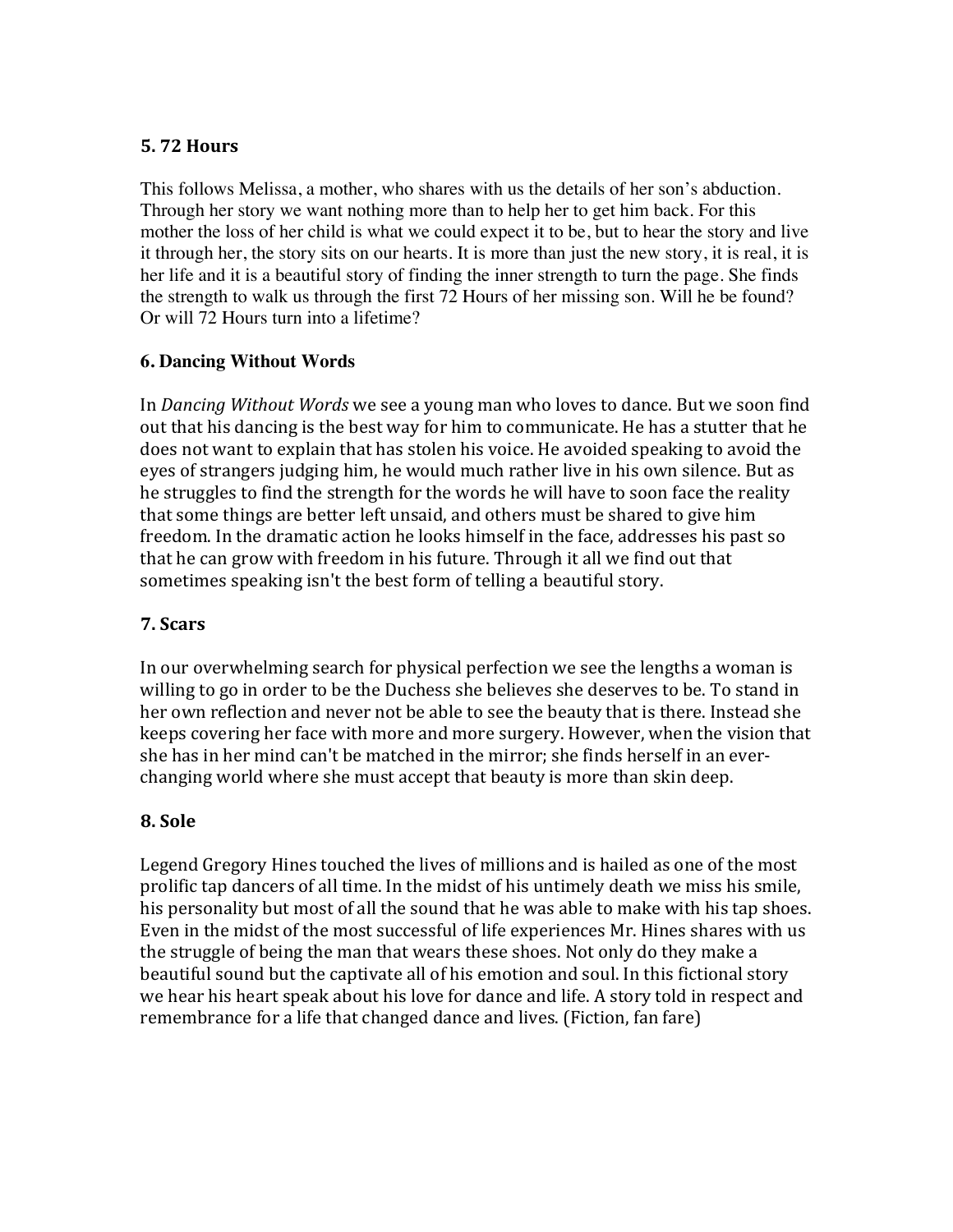# **5. 72 Hours**

This follows Melissa, a mother, who shares with us the details of her son's abduction. Through her story we want nothing more than to help her to get him back. For this mother the loss of her child is what we could expect it to be, but to hear the story and live it through her, the story sits on our hearts. It is more than just the new story, it is real, it is her life and it is a beautiful story of finding the inner strength to turn the page. She finds the strength to walk us through the first 72 Hours of her missing son. Will he be found? Or will 72 Hours turn into a lifetime?

## **6. Dancing Without Words**

In *Dancing Without Words* we see a young man who loves to dance. But we soon find out that his dancing is the best way for him to communicate. He has a stutter that he does not want to explain that has stolen his voice. He avoided speaking to avoid the eyes of strangers judging him, he would much rather live in his own silence. But as he struggles to find the strength for the words he will have to soon face the reality that some things are better left unsaid, and others must be shared to give him freedom. In the dramatic action he looks himself in the face, addresses his past so that he can grow with freedom in his future. Through it all we find out that sometimes speaking isn't the best form of telling a beautiful story.

# **7. Scars**

In our overwhelming search for physical perfection we see the lengths a woman is willing to go in order to be the Duchess she believes she deserves to be. To stand in her own reflection and never not be able to see the beauty that is there. Instead she keeps covering her face with more and more surgery. However, when the vision that she has in her mind can't be matched in the mirror; she finds herself in an everchanging world where she must accept that beauty is more than skin deep.

# **8. Sole**

Legend Gregory Hines touched the lives of millions and is hailed as one of the most prolific tap dancers of all time. In the midst of his untimely death we miss his smile, his personality but most of all the sound that he was able to make with his tap shoes. Even in the midst of the most successful of life experiences Mr. Hines shares with us the struggle of being the man that wears these shoes. Not only do they make a beautiful sound but the captivate all of his emotion and soul. In this fictional story we hear his heart speak about his love for dance and life. A story told in respect and remembrance for a life that changed dance and lives. (Fiction, fan fare)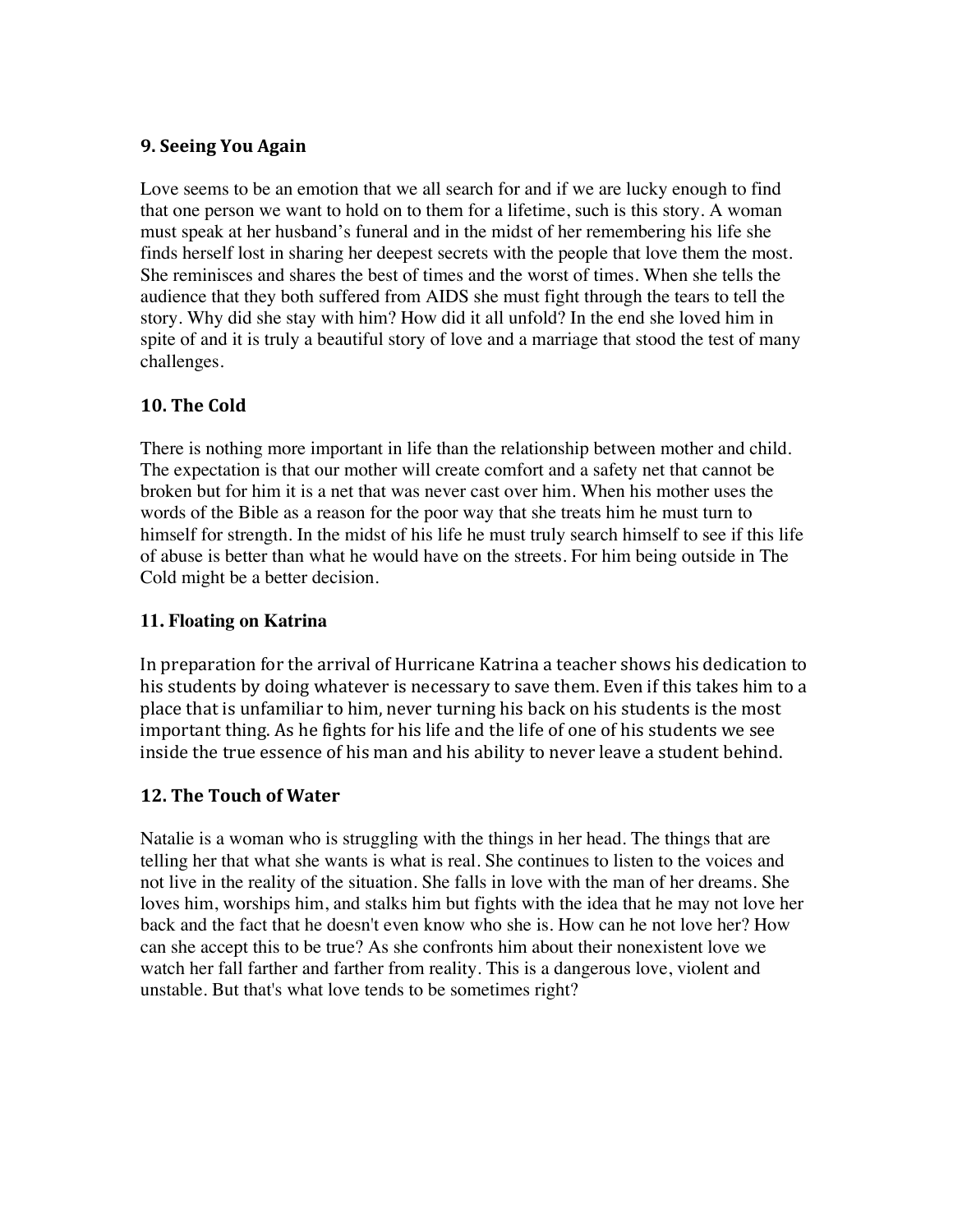# **9. Seeing You Again**

Love seems to be an emotion that we all search for and if we are lucky enough to find that one person we want to hold on to them for a lifetime, such is this story. A woman must speak at her husband's funeral and in the midst of her remembering his life she finds herself lost in sharing her deepest secrets with the people that love them the most. She reminisces and shares the best of times and the worst of times. When she tells the audience that they both suffered from AIDS she must fight through the tears to tell the story. Why did she stay with him? How did it all unfold? In the end she loved him in spite of and it is truly a beautiful story of love and a marriage that stood the test of many challenges.

# **10. The Cold**

There is nothing more important in life than the relationship between mother and child. The expectation is that our mother will create comfort and a safety net that cannot be broken but for him it is a net that was never cast over him. When his mother uses the words of the Bible as a reason for the poor way that she treats him he must turn to himself for strength. In the midst of his life he must truly search himself to see if this life of abuse is better than what he would have on the streets. For him being outside in The Cold might be a better decision.

# **11. Floating on Katrina**

In preparation for the arrival of Hurricane Katrina a teacher shows his dedication to his students by doing whatever is necessary to save them. Even if this takes him to a place that is unfamiliar to him, never turning his back on his students is the most important thing. As he fights for his life and the life of one of his students we see inside the true essence of his man and his ability to never leave a student behind.

## **12. The Touch of Water**

Natalie is a woman who is struggling with the things in her head. The things that are telling her that what she wants is what is real. She continues to listen to the voices and not live in the reality of the situation. She falls in love with the man of her dreams. She loves him, worships him, and stalks him but fights with the idea that he may not love her back and the fact that he doesn't even know who she is. How can he not love her? How can she accept this to be true? As she confronts him about their nonexistent love we watch her fall farther and farther from reality. This is a dangerous love, violent and unstable. But that's what love tends to be sometimes right?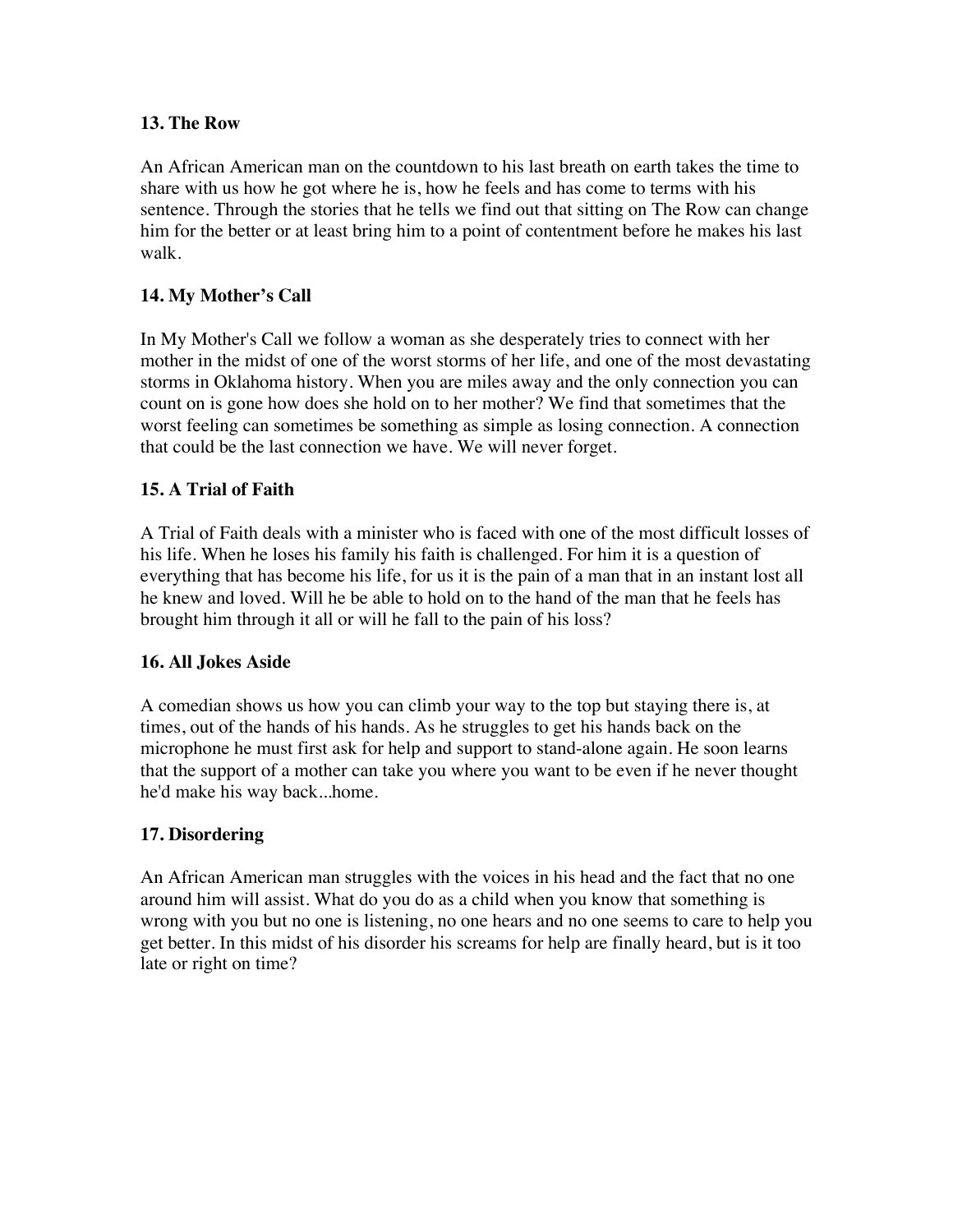#### **13. The Row**

An African American man on the countdown to his last breath on earth takes the time to share with us how he got where he is, how he feels and has come to terms with his sentence. Through the stories that he tells we find out that sitting on The Row can change him for the better or at least bring him to a point of contentment before he makes his last walk.

# **14. My Mother's Call**

In My Mother's Call we follow a woman as she desperately tries to connect with her mother in the midst of one of the worst storms of her life, and one of the most devastating storms in Oklahoma history. When you are miles away and the only connection you can count on is gone how does she hold on to her mother? We find that sometimes that the worst feeling can sometimes be something as simple as losing connection. A connection that could be the last connection we have. We will never forget.

## **15. A Trial of Faith**

A Trial of Faith deals with a minister who is faced with one of the most difficult losses of his life. When he loses his family his faith is challenged. For him it is a question of everything that has become his life, for us it is the pain of a man that in an instant lost all he knew and loved. Will he be able to hold on to the hand of the man that he feels has brought him through it all or will he fall to the pain of his loss?

#### **16. All Jokes Aside**

A comedian shows us how you can climb your way to the top but staying there is, at times, out of the hands of his hands. As he struggles to get his hands back on the microphone he must first ask for help and support to stand-alone again. He soon learns that the support of a mother can take you where you want to be even if he never thought he'd make his way back...home.

#### **17. Disordering**

An African American man struggles with the voices in his head and the fact that no one around him will assist. What do you do as a child when you know that something is wrong with you but no one is listening, no one hears and no one seems to care to help you get better. In this midst of his disorder his screams for help are finally heard, but is it too late or right on time?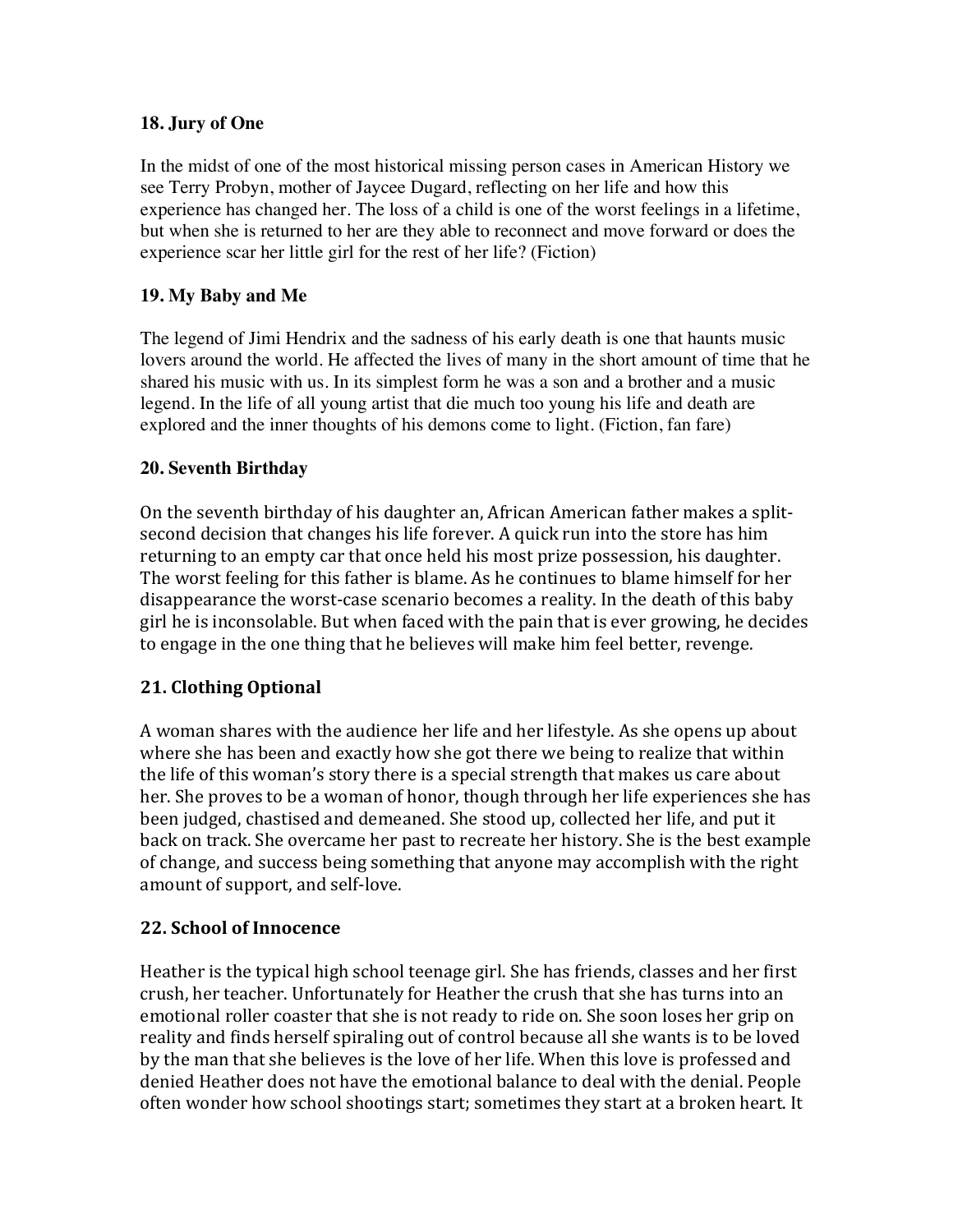## **18. Jury of One**

In the midst of one of the most historical missing person cases in American History we see Terry Probyn, mother of Jaycee Dugard, reflecting on her life and how this experience has changed her. The loss of a child is one of the worst feelings in a lifetime, but when she is returned to her are they able to reconnect and move forward or does the experience scar her little girl for the rest of her life? (Fiction)

## **19. My Baby and Me**

The legend of Jimi Hendrix and the sadness of his early death is one that haunts music lovers around the world. He affected the lives of many in the short amount of time that he shared his music with us. In its simplest form he was a son and a brother and a music legend. In the life of all young artist that die much too young his life and death are explored and the inner thoughts of his demons come to light. (Fiction, fan fare)

## **20. Seventh Birthday**

On the seventh birthday of his daughter an, African American father makes a splitsecond decision that changes his life forever. A quick run into the store has him returning to an empty car that once held his most prize possession, his daughter. The worst feeling for this father is blame. As he continues to blame himself for her disappearance the worst-case scenario becomes a reality. In the death of this baby girl he is inconsolable. But when faced with the pain that is ever growing, he decides to engage in the one thing that he believes will make him feel better, revenge.

## **21. Clothing Optional**

A woman shares with the audience her life and her lifestyle. As she opens up about where she has been and exactly how she got there we being to realize that within the life of this woman's story there is a special strength that makes us care about her. She proves to be a woman of honor, though through her life experiences she has been judged, chastised and demeaned. She stood up, collected her life, and put it back on track. She overcame her past to recreate her history. She is the best example of change, and success being something that anyone may accomplish with the right amount of support, and self-love.

## **22. School of Innocence**

Heather is the typical high school teenage girl. She has friends, classes and her first crush, her teacher. Unfortunately for Heather the crush that she has turns into an emotional roller coaster that she is not ready to ride on. She soon loses her grip on reality and finds herself spiraling out of control because all she wants is to be loved by the man that she believes is the love of her life. When this love is professed and denied Heather does not have the emotional balance to deal with the denial. People often wonder how school shootings start; sometimes they start at a broken heart. It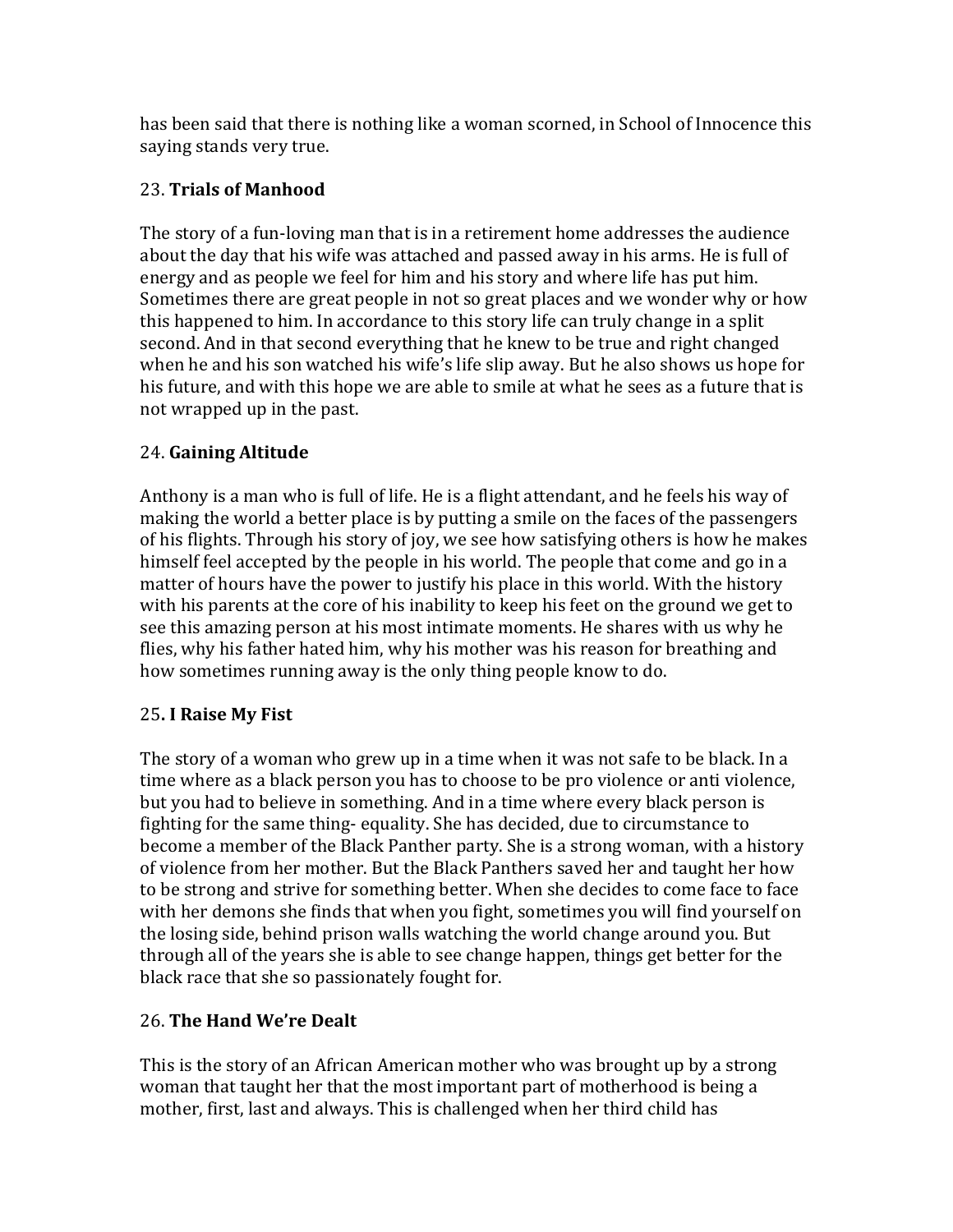has been said that there is nothing like a woman scorned, in School of Innocence this saying stands very true.

# 23. **Trials of Manhood**

The story of a fun-loving man that is in a retirement home addresses the audience about the day that his wife was attached and passed away in his arms. He is full of energy and as people we feel for him and his story and where life has put him. Sometimes there are great people in not so great places and we wonder why or how this happened to him. In accordance to this story life can truly change in a split second. And in that second everything that he knew to be true and right changed when he and his son watched his wife's life slip away. But he also shows us hope for his future, and with this hope we are able to smile at what he sees as a future that is not wrapped up in the past.

# 24. **Gaining Altitude**

Anthony is a man who is full of life. He is a flight attendant, and he feels his way of making the world a better place is by putting a smile on the faces of the passengers of his flights. Through his story of joy, we see how satisfying others is how he makes himself feel accepted by the people in his world. The people that come and go in a matter of hours have the power to justify his place in this world. With the history with his parents at the core of his inability to keep his feet on the ground we get to see this amazing person at his most intimate moments. He shares with us why he flies, why his father hated him, why his mother was his reason for breathing and how sometimes running away is the only thing people know to do.

# 25**. I Raise My Fist**

The story of a woman who grew up in a time when it was not safe to be black. In a time where as a black person you has to choose to be pro violence or anti violence, but you had to believe in something. And in a time where every black person is fighting for the same thing- equality. She has decided, due to circumstance to become a member of the Black Panther party. She is a strong woman, with a history of violence from her mother. But the Black Panthers saved her and taught her how to be strong and strive for something better. When she decides to come face to face with her demons she finds that when you fight, sometimes you will find yourself on the losing side, behind prison walls watching the world change around you. But through all of the years she is able to see change happen, things get better for the black race that she so passionately fought for.

# 26. **The Hand We're Dealt**

This is the story of an African American mother who was brought up by a strong woman that taught her that the most important part of motherhood is being a mother, first, last and always. This is challenged when her third child has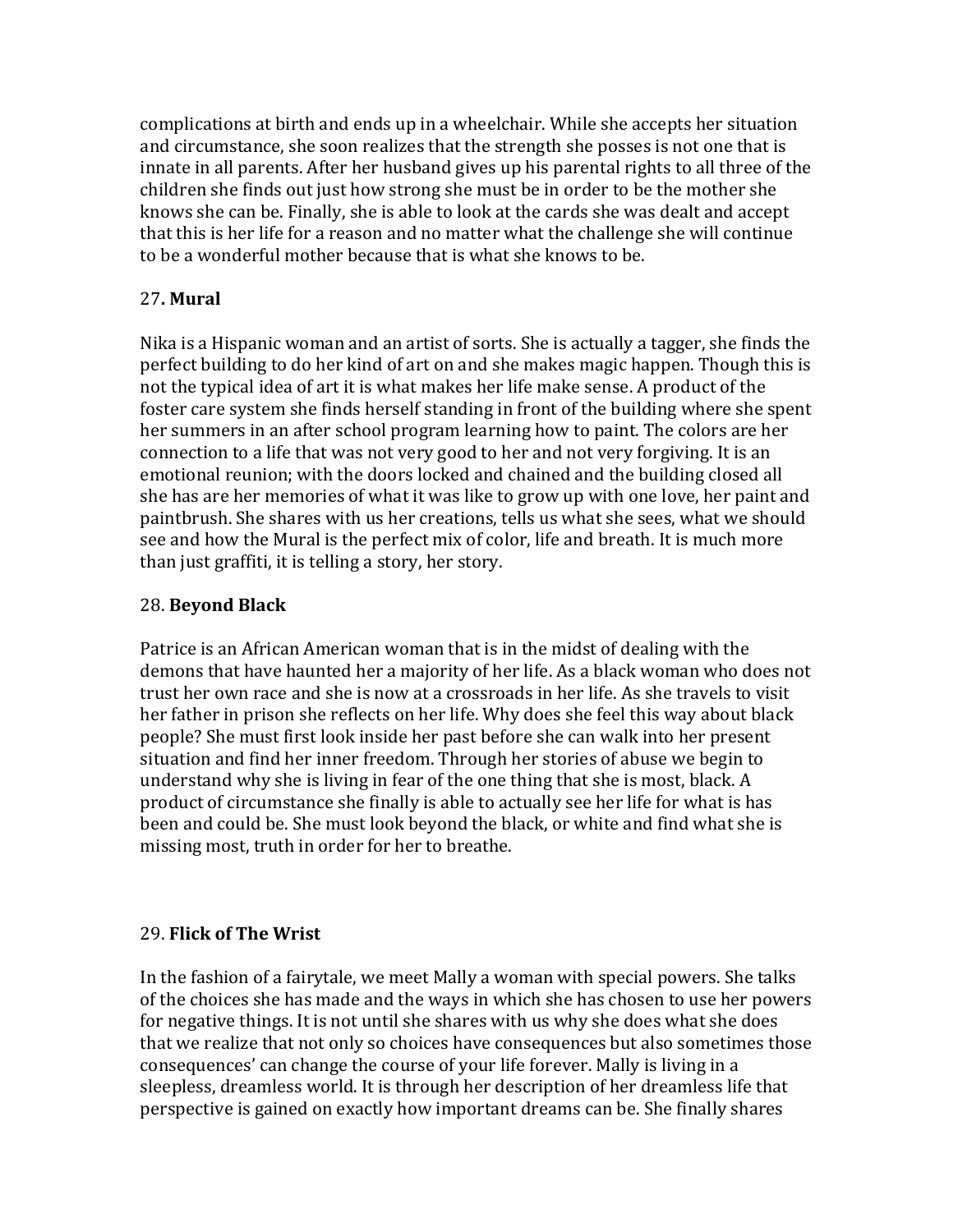complications at birth and ends up in a wheelchair. While she accepts her situation and circumstance, she soon realizes that the strength she posses is not one that is innate in all parents. After her husband gives up his parental rights to all three of the children she finds out just how strong she must be in order to be the mother she knows she can be. Finally, she is able to look at the cards she was dealt and accept that this is her life for a reason and no matter what the challenge she will continue to be a wonderful mother because that is what she knows to be.

# 27**. Mural**

Nika is a Hispanic woman and an artist of sorts. She is actually a tagger, she finds the perfect building to do her kind of art on and she makes magic happen. Though this is not the typical idea of art it is what makes her life make sense. A product of the foster care system she finds herself standing in front of the building where she spent her summers in an after school program learning how to paint. The colors are her connection to a life that was not very good to her and not very forgiving. It is an emotional reunion; with the doors locked and chained and the building closed all she has are her memories of what it was like to grow up with one love, her paint and paintbrush. She shares with us her creations, tells us what she sees, what we should see and how the Mural is the perfect mix of color, life and breath. It is much more than just graffiti, it is telling a story, her story.

## 28. **Beyond Black**

Patrice is an African American woman that is in the midst of dealing with the demons that have haunted her a majority of her life. As a black woman who does not trust her own race and she is now at a crossroads in her life. As she travels to visit her father in prison she reflects on her life. Why does she feel this way about black people? She must first look inside her past before she can walk into her present situation and find her inner freedom. Through her stories of abuse we begin to understand why she is living in fear of the one thing that she is most, black. A product of circumstance she finally is able to actually see her life for what is has been and could be. She must look beyond the black, or white and find what she is missing most, truth in order for her to breathe.

## 29. **Flick of The Wrist**

In the fashion of a fairytale, we meet Mally a woman with special powers. She talks of the choices she has made and the ways in which she has chosen to use her powers for negative things. It is not until she shares with us why she does what she does that we realize that not only so choices have consequences but also sometimes those consequences' can change the course of your life forever. Mally is living in a sleepless, dreamless world. It is through her description of her dreamless life that perspective is gained on exactly how important dreams can be. She finally shares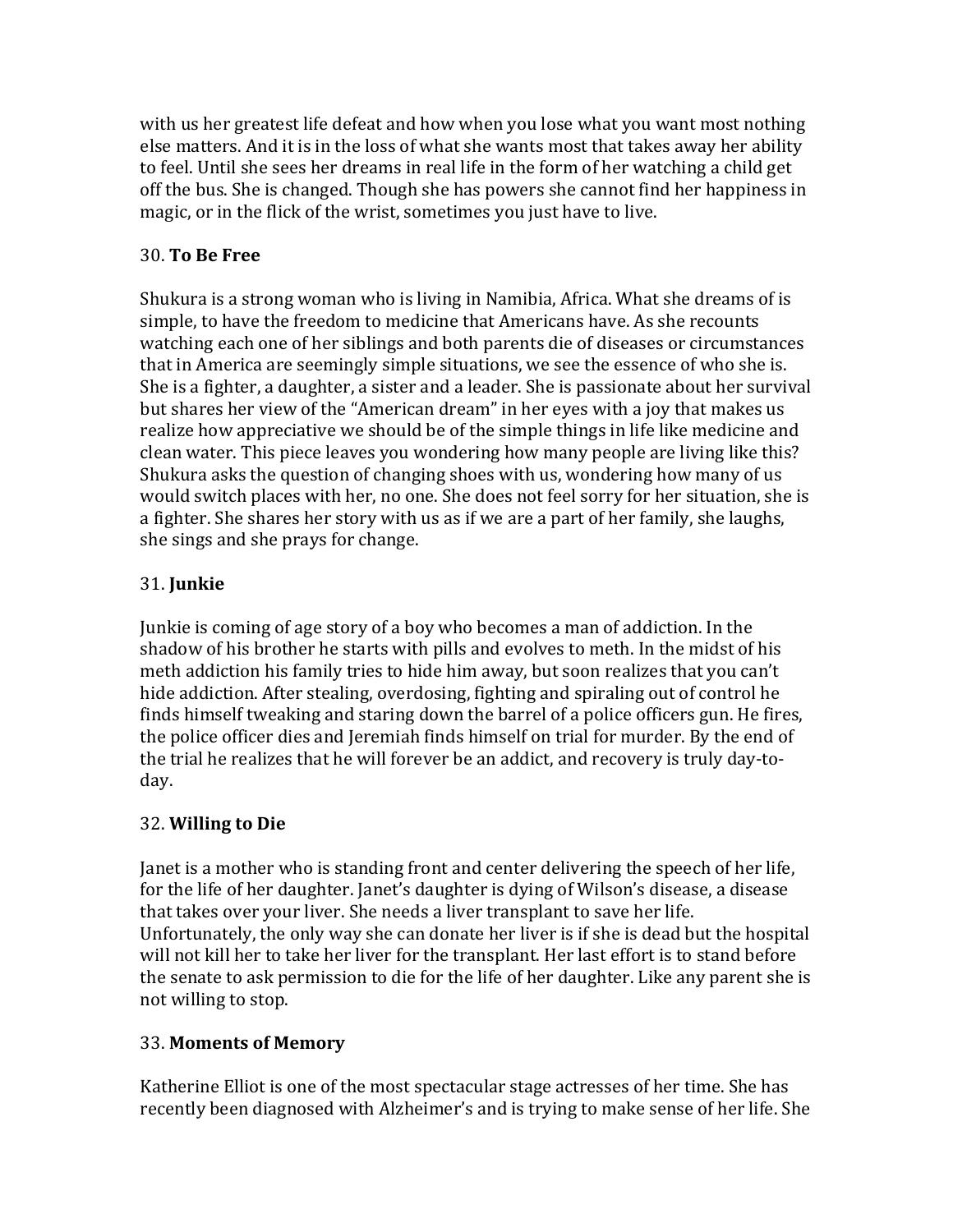with us her greatest life defeat and how when you lose what you want most nothing else matters. And it is in the loss of what she wants most that takes away her ability to feel. Until she sees her dreams in real life in the form of her watching a child get off the bus. She is changed. Though she has powers she cannot find her happiness in magic, or in the flick of the wrist, sometimes you just have to live.

# 30. **To Be Free**

Shukura is a strong woman who is living in Namibia, Africa. What she dreams of is simple, to have the freedom to medicine that Americans have. As she recounts watching each one of her siblings and both parents die of diseases or circumstances that in America are seemingly simple situations, we see the essence of who she is. She is a fighter, a daughter, a sister and a leader. She is passionate about her survival but shares her view of the "American dream" in her eyes with a joy that makes us realize how appreciative we should be of the simple things in life like medicine and clean water. This piece leaves you wondering how many people are living like this? Shukura asks the question of changing shoes with us, wondering how many of us would switch places with her, no one. She does not feel sorry for her situation, she is a fighter. She shares her story with us as if we are a part of her family, she laughs, she sings and she prays for change.

# 31. **Junkie**

Junkie is coming of age story of a boy who becomes a man of addiction. In the shadow of his brother he starts with pills and evolves to meth. In the midst of his meth addiction his family tries to hide him away, but soon realizes that you can't hide addiction. After stealing, overdosing, fighting and spiraling out of control he finds himself tweaking and staring down the barrel of a police officers gun. He fires, the police officer dies and Jeremiah finds himself on trial for murder. By the end of the trial he realizes that he will forever be an addict, and recovery is truly day-today.

# 32. **Willing to Die**

Janet is a mother who is standing front and center delivering the speech of her life, for the life of her daughter. Janet's daughter is dying of Wilson's disease, a disease that takes over your liver. She needs a liver transplant to save her life. Unfortunately, the only way she can donate her liver is if she is dead but the hospital will not kill her to take her liver for the transplant. Her last effort is to stand before the senate to ask permission to die for the life of her daughter. Like any parent she is not willing to stop.

# 33. **Moments of Memory**

Katherine Elliot is one of the most spectacular stage actresses of her time. She has recently been diagnosed with Alzheimer's and is trying to make sense of her life. She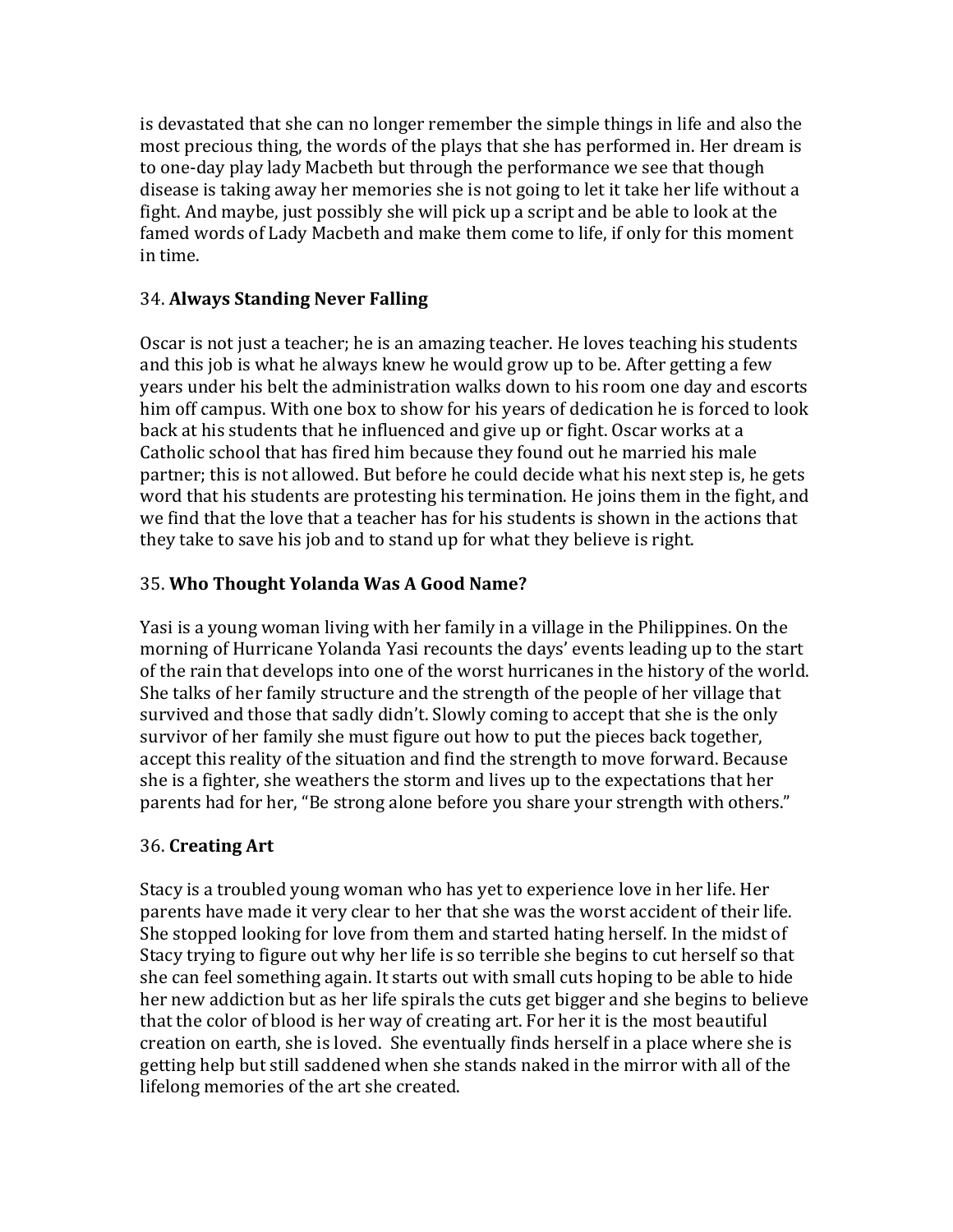is devastated that she can no longer remember the simple things in life and also the most precious thing, the words of the plays that she has performed in. Her dream is to one-day play lady Macbeth but through the performance we see that though disease is taking away her memories she is not going to let it take her life without a fight. And maybe, just possibly she will pick up a script and be able to look at the famed words of Lady Macbeth and make them come to life, if only for this moment in time.

# 34. **Always Standing Never Falling**

Oscar is not just a teacher; he is an amazing teacher. He loves teaching his students and this job is what he always knew he would grow up to be. After getting a few years under his belt the administration walks down to his room one day and escorts him off campus. With one box to show for his years of dedication he is forced to look back at his students that he influenced and give up or fight. Oscar works at a Catholic school that has fired him because they found out he married his male partner; this is not allowed. But before he could decide what his next step is, he gets word that his students are protesting his termination. He joins them in the fight, and we find that the love that a teacher has for his students is shown in the actions that they take to save his job and to stand up for what they believe is right.

# 35. **Who Thought Yolanda Was A Good Name?**

Yasi is a young woman living with her family in a village in the Philippines. On the morning of Hurricane Yolanda Yasi recounts the days' events leading up to the start of the rain that develops into one of the worst hurricanes in the history of the world. She talks of her family structure and the strength of the people of her village that survived and those that sadly didn't. Slowly coming to accept that she is the only survivor of her family she must figure out how to put the pieces back together, accept this reality of the situation and find the strength to move forward. Because she is a fighter, she weathers the storm and lives up to the expectations that her parents had for her, "Be strong alone before you share your strength with others."

# 36. **Creating Art**

Stacy is a troubled young woman who has yet to experience love in her life. Her parents have made it very clear to her that she was the worst accident of their life. She stopped looking for love from them and started hating herself. In the midst of Stacy trying to figure out why her life is so terrible she begins to cut herself so that she can feel something again. It starts out with small cuts hoping to be able to hide her new addiction but as her life spirals the cuts get bigger and she begins to believe that the color of blood is her way of creating art. For her it is the most beautiful creation on earth, she is loved. She eventually finds herself in a place where she is getting help but still saddened when she stands naked in the mirror with all of the lifelong memories of the art she created.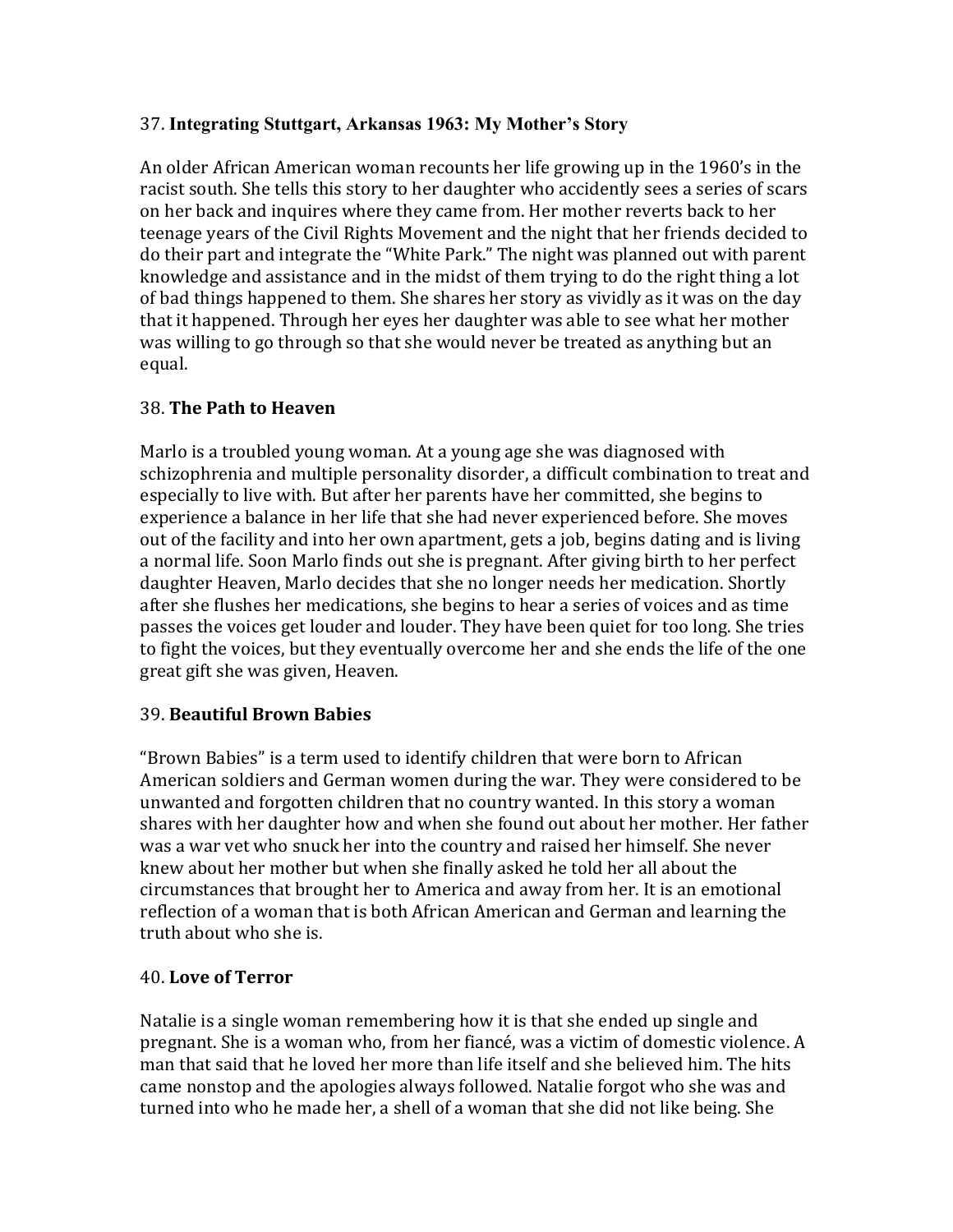# 37. **Integrating Stuttgart, Arkansas 1963: My Mother's Story**

An older African American woman recounts her life growing up in the 1960's in the racist south. She tells this story to her daughter who accidently sees a series of scars on her back and inquires where they came from. Her mother reverts back to her teenage years of the Civil Rights Movement and the night that her friends decided to do their part and integrate the "White Park." The night was planned out with parent knowledge and assistance and in the midst of them trying to do the right thing a lot of bad things happened to them. She shares her story as vividly as it was on the day that it happened. Through her eyes her daughter was able to see what her mother was willing to go through so that she would never be treated as anything but an equal.

# 38. **The Path to Heaven**

Marlo is a troubled young woman. At a young age she was diagnosed with schizophrenia and multiple personality disorder, a difficult combination to treat and especially to live with. But after her parents have her committed, she begins to experience a balance in her life that she had never experienced before. She moves out of the facility and into her own apartment, gets a job, begins dating and is living a normal life. Soon Marlo finds out she is pregnant. After giving birth to her perfect daughter Heaven, Marlo decides that she no longer needs her medication. Shortly after she flushes her medications, she begins to hear a series of voices and as time passes the voices get louder and louder. They have been quiet for too long. She tries to fight the voices, but they eventually overcome her and she ends the life of the one great gift she was given, Heaven.

## 39. **Beautiful Brown Babies**

"Brown Babies" is a term used to identify children that were born to African American soldiers and German women during the war. They were considered to be unwanted and forgotten children that no country wanted. In this story a woman shares with her daughter how and when she found out about her mother. Her father was a war vet who snuck her into the country and raised her himself. She never knew about her mother but when she finally asked he told her all about the circumstances that brought her to America and away from her. It is an emotional reflection of a woman that is both African American and German and learning the truth about who she is.

## 40. **Love of Terror**

Natalie is a single woman remembering how it is that she ended up single and pregnant. She is a woman who, from her fiancé, was a victim of domestic violence. A man that said that he loved her more than life itself and she believed him. The hits came nonstop and the apologies always followed. Natalie forgot who she was and turned into who he made her, a shell of a woman that she did not like being. She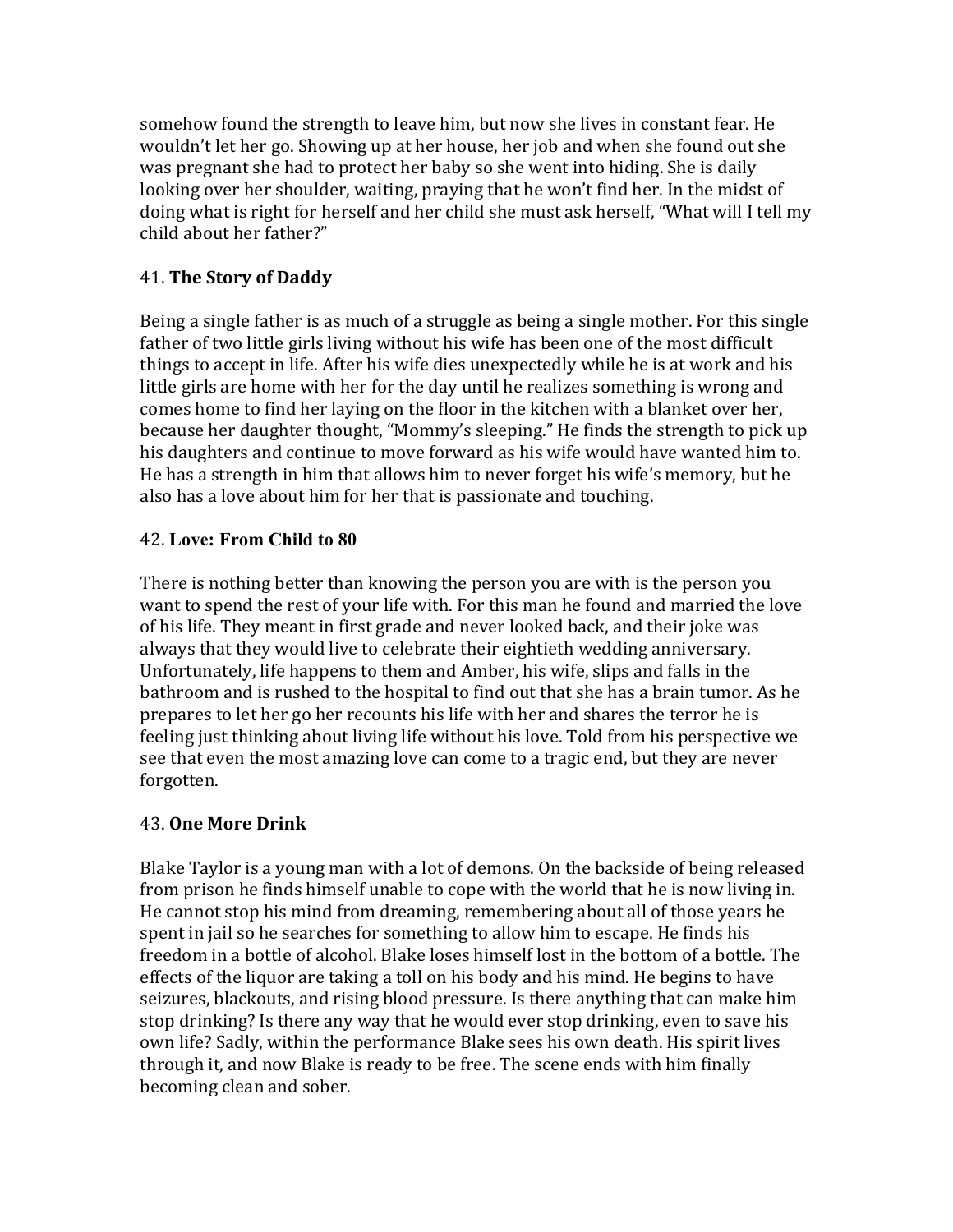somehow found the strength to leave him, but now she lives in constant fear. He wouldn't let her go. Showing up at her house, her job and when she found out she was pregnant she had to protect her baby so she went into hiding. She is daily looking over her shoulder, waiting, praying that he won't find her. In the midst of doing what is right for herself and her child she must ask herself, "What will I tell my child about her father?"

# 41. **The Story of Daddy**

Being a single father is as much of a struggle as being a single mother. For this single father of two little girls living without his wife has been one of the most difficult things to accept in life. After his wife dies unexpectedly while he is at work and his little girls are home with her for the day until he realizes something is wrong and comes home to find her laying on the floor in the kitchen with a blanket over her, because her daughter thought, "Mommy's sleeping." He finds the strength to pick up his daughters and continue to move forward as his wife would have wanted him to. He has a strength in him that allows him to never forget his wife's memory, but he also has a love about him for her that is passionate and touching.

# 42. **Love: From Child to 80**

There is nothing better than knowing the person you are with is the person you want to spend the rest of your life with. For this man he found and married the love of his life. They meant in first grade and never looked back, and their joke was always that they would live to celebrate their eightieth wedding anniversary. Unfortunately, life happens to them and Amber, his wife, slips and falls in the bathroom and is rushed to the hospital to find out that she has a brain tumor. As he prepares to let her go her recounts his life with her and shares the terror he is feeling just thinking about living life without his love. Told from his perspective we see that even the most amazing love can come to a tragic end, but they are never forgotten. 

# 43. **One More Drink**

Blake Taylor is a young man with a lot of demons. On the backside of being released from prison he finds himself unable to cope with the world that he is now living in. He cannot stop his mind from dreaming, remembering about all of those years he spent in jail so he searches for something to allow him to escape. He finds his freedom in a bottle of alcohol. Blake loses himself lost in the bottom of a bottle. The effects of the liquor are taking a toll on his body and his mind. He begins to have seizures, blackouts, and rising blood pressure. Is there anything that can make him stop drinking? Is there any way that he would ever stop drinking, even to save his own life? Sadly, within the performance Blake sees his own death. His spirit lives through it, and now Blake is ready to be free. The scene ends with him finally becoming clean and sober.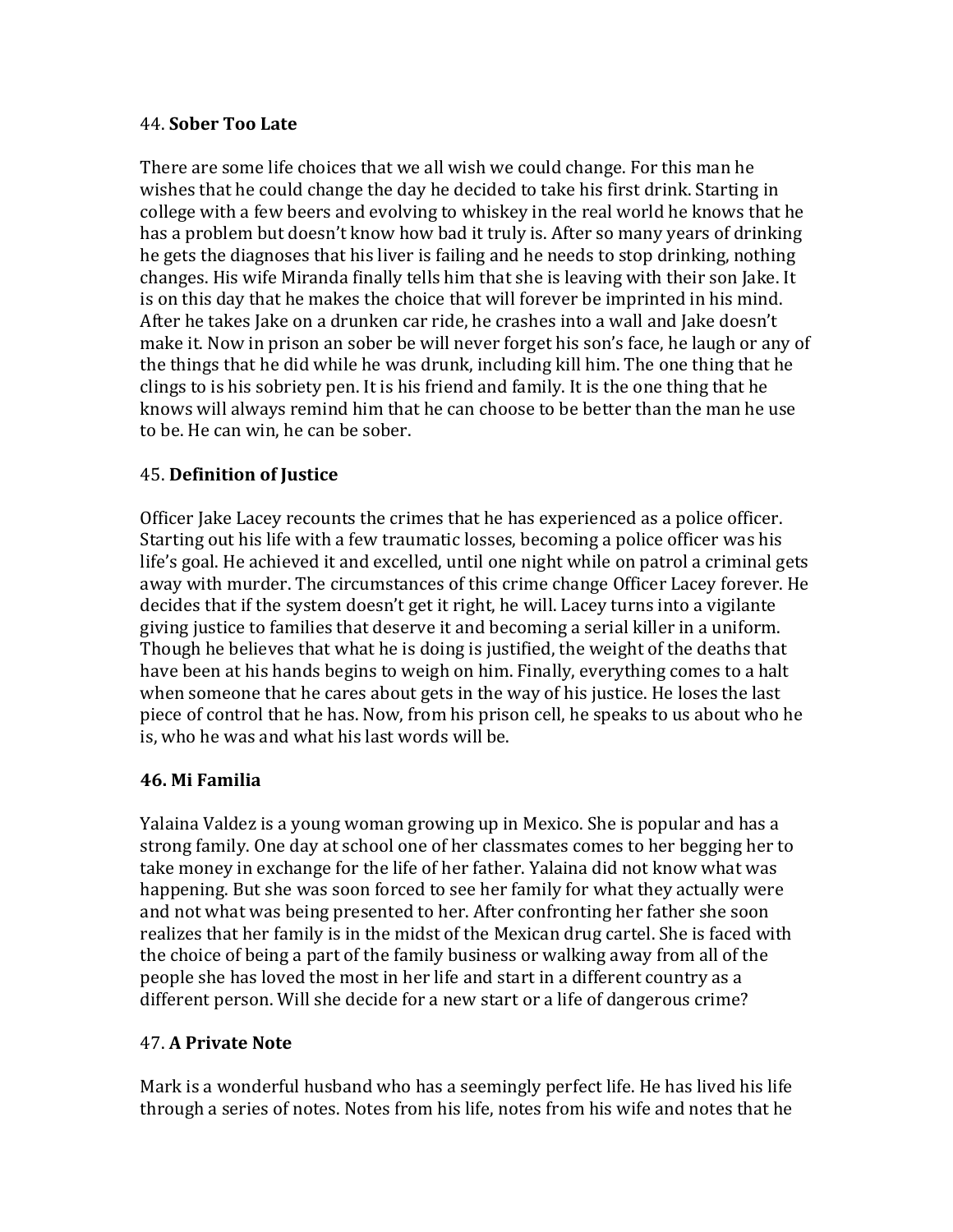#### 44. **Sober Too Late**

There are some life choices that we all wish we could change. For this man he wishes that he could change the day he decided to take his first drink. Starting in college with a few beers and evolving to whiskey in the real world he knows that he has a problem but doesn't know how bad it truly is. After so many years of drinking he gets the diagnoses that his liver is failing and he needs to stop drinking, nothing changes. His wife Miranda finally tells him that she is leaving with their son Jake. It is on this day that he makes the choice that will forever be imprinted in his mind. After he takes Jake on a drunken car ride, he crashes into a wall and Jake doesn't make it. Now in prison an sober be will never forget his son's face, he laugh or any of the things that he did while he was drunk, including kill him. The one thing that he clings to is his sobriety pen. It is his friend and family. It is the one thing that he knows will always remind him that he can choose to be better than the man he use to be. He can win, he can be sober.

# 45. **Definition of Justice**

Officer Jake Lacey recounts the crimes that he has experienced as a police officer. Starting out his life with a few traumatic losses, becoming a police officer was his life's goal. He achieved it and excelled, until one night while on patrol a criminal gets away with murder. The circumstances of this crime change Officer Lacey forever. He decides that if the system doesn't get it right, he will. Lacey turns into a vigilante giving justice to families that deserve it and becoming a serial killer in a uniform. Though he believes that what he is doing is justified, the weight of the deaths that have been at his hands begins to weigh on him. Finally, everything comes to a halt when someone that he cares about gets in the way of his justice. He loses the last piece of control that he has. Now, from his prison cell, he speaks to us about who he is, who he was and what his last words will be.

## **46. Mi Familia**

Yalaina Valdez is a young woman growing up in Mexico. She is popular and has a strong family. One day at school one of her classmates comes to her begging her to take money in exchange for the life of her father. Yalaina did not know what was happening. But she was soon forced to see her family for what they actually were and not what was being presented to her. After confronting her father she soon realizes that her family is in the midst of the Mexican drug cartel. She is faced with the choice of being a part of the family business or walking away from all of the people she has loved the most in her life and start in a different country as a different person. Will she decide for a new start or a life of dangerous crime?

# 47. **A Private Note**

Mark is a wonderful husband who has a seemingly perfect life. He has lived his life through a series of notes. Notes from his life, notes from his wife and notes that he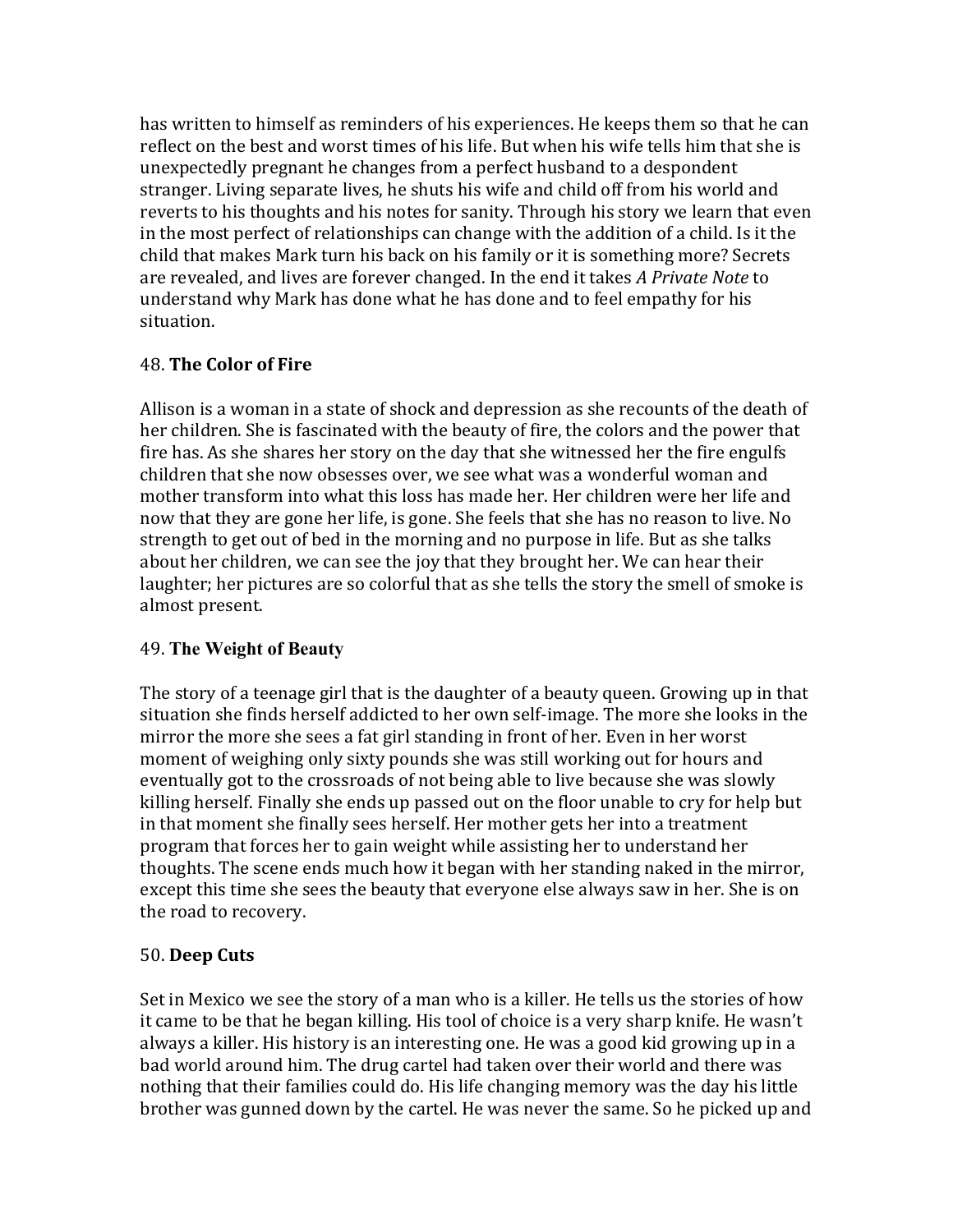has written to himself as reminders of his experiences. He keeps them so that he can reflect on the best and worst times of his life. But when his wife tells him that she is unexpectedly pregnant he changes from a perfect husband to a despondent stranger. Living separate lives, he shuts his wife and child off from his world and reverts to his thoughts and his notes for sanity. Through his story we learn that even in the most perfect of relationships can change with the addition of a child. Is it the child that makes Mark turn his back on his family or it is something more? Secrets are revealed, and lives are forever changed. In the end it takes *A Private Note* to understand why Mark has done what he has done and to feel empathy for his situation.

# 48. **The Color of Fire**

Allison is a woman in a state of shock and depression as she recounts of the death of her children. She is fascinated with the beauty of fire, the colors and the power that fire has. As she shares her story on the day that she witnessed her the fire engulfs children that she now obsesses over, we see what was a wonderful woman and mother transform into what this loss has made her. Her children were her life and now that they are gone her life, is gone. She feels that she has no reason to live. No strength to get out of bed in the morning and no purpose in life. But as she talks about her children, we can see the joy that they brought her. We can hear their laughter; her pictures are so colorful that as she tells the story the smell of smoke is almost present.

## 49. **The Weight of Beauty**

The story of a teenage girl that is the daughter of a beauty queen. Growing up in that situation she finds herself addicted to her own self-image. The more she looks in the mirror the more she sees a fat girl standing in front of her. Even in her worst moment of weighing only sixty pounds she was still working out for hours and eventually got to the crossroads of not being able to live because she was slowly killing herself. Finally she ends up passed out on the floor unable to cry for help but in that moment she finally sees herself. Her mother gets her into a treatment program that forces her to gain weight while assisting her to understand her thoughts. The scene ends much how it began with her standing naked in the mirror, except this time she sees the beauty that everyone else always saw in her. She is on the road to recovery.

# 50. **Deep Cuts**

Set in Mexico we see the story of a man who is a killer. He tells us the stories of how it came to be that he began killing. His tool of choice is a very sharp knife. He wasn't always a killer. His history is an interesting one. He was a good kid growing up in a bad world around him. The drug cartel had taken over their world and there was nothing that their families could do. His life changing memory was the day his little brother was gunned down by the cartel. He was never the same. So he picked up and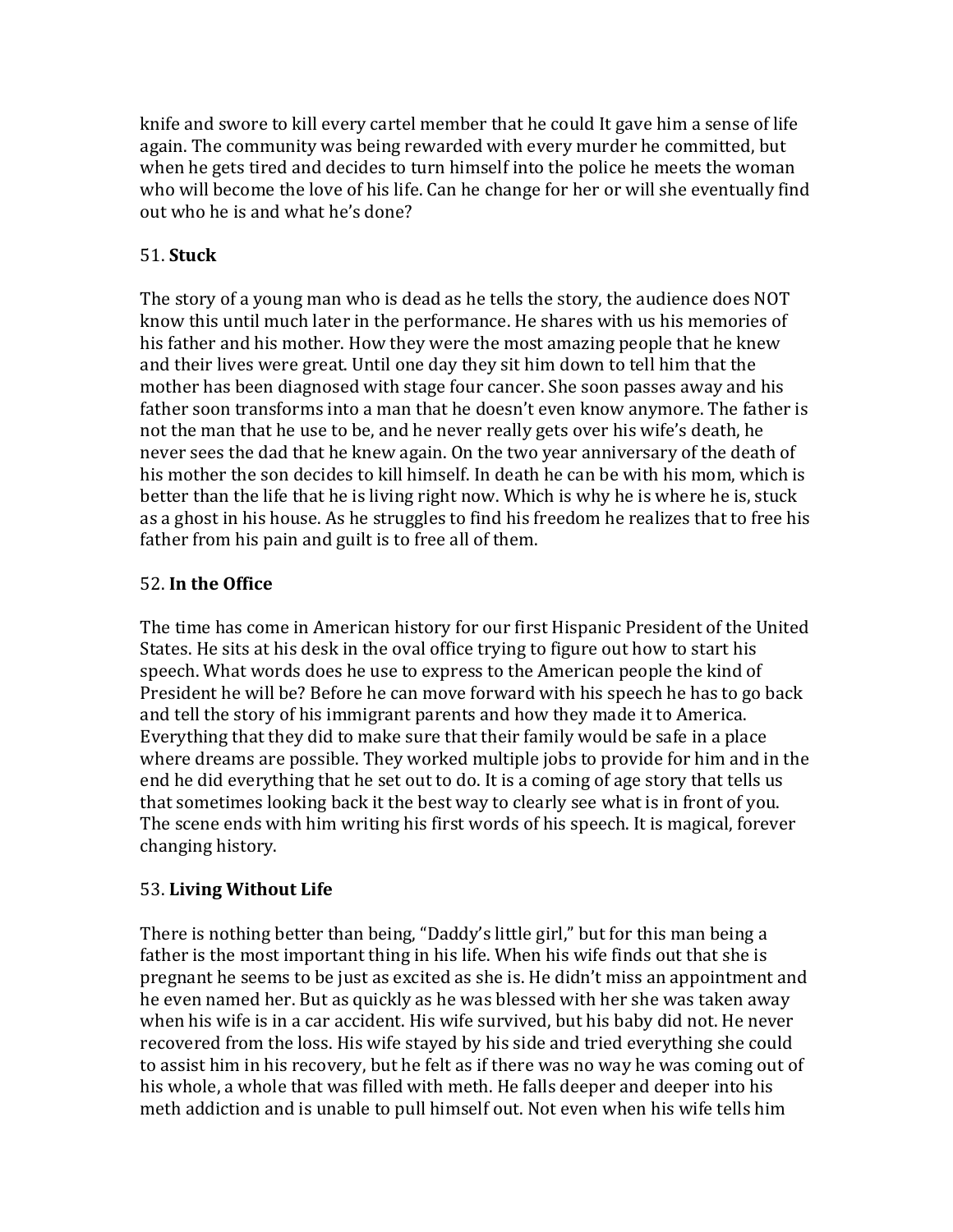knife and swore to kill every cartel member that he could It gave him a sense of life again. The community was being rewarded with every murder he committed, but when he gets tired and decides to turn himself into the police he meets the woman who will become the love of his life. Can he change for her or will she eventually find out who he is and what he's done?

# 51. **Stuck**

The story of a young man who is dead as he tells the story, the audience does NOT know this until much later in the performance. He shares with us his memories of his father and his mother. How they were the most amazing people that he knew and their lives were great. Until one day they sit him down to tell him that the mother has been diagnosed with stage four cancer. She soon passes away and his father soon transforms into a man that he doesn't even know anymore. The father is not the man that he use to be, and he never really gets over his wife's death, he never sees the dad that he knew again. On the two year anniversary of the death of his mother the son decides to kill himself. In death he can be with his mom, which is better than the life that he is living right now. Which is why he is where he is, stuck as a ghost in his house. As he struggles to find his freedom he realizes that to free his father from his pain and guilt is to free all of them.

## 52. **In the Office**

The time has come in American history for our first Hispanic President of the United States. He sits at his desk in the oval office trying to figure out how to start his speech. What words does he use to express to the American people the kind of President he will be? Before he can move forward with his speech he has to go back and tell the story of his immigrant parents and how they made it to America. Everything that they did to make sure that their family would be safe in a place where dreams are possible. They worked multiple jobs to provide for him and in the end he did everything that he set out to do. It is a coming of age story that tells us that sometimes looking back it the best way to clearly see what is in front of you. The scene ends with him writing his first words of his speech. It is magical, forever changing history.

# 53. **Living Without Life**

There is nothing better than being, "Daddy's little girl," but for this man being a father is the most important thing in his life. When his wife finds out that she is pregnant he seems to be just as excited as she is. He didn't miss an appointment and he even named her. But as quickly as he was blessed with her she was taken away when his wife is in a car accident. His wife survived, but his baby did not. He never recovered from the loss. His wife stayed by his side and tried everything she could to assist him in his recovery, but he felt as if there was no way he was coming out of his whole, a whole that was filled with meth. He falls deeper and deeper into his meth addiction and is unable to pull himself out. Not even when his wife tells him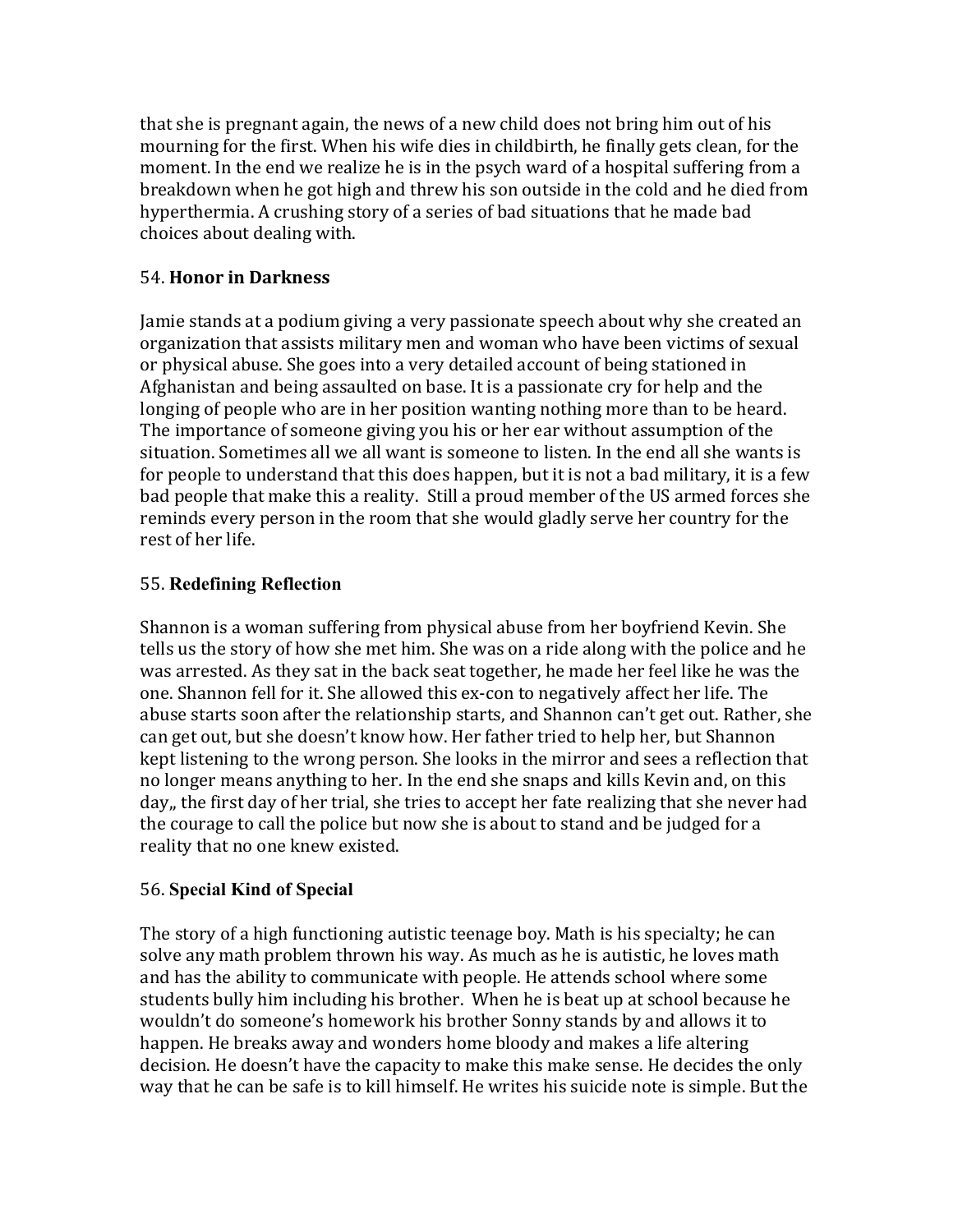that she is pregnant again, the news of a new child does not bring him out of his mourning for the first. When his wife dies in childbirth, he finally gets clean, for the moment. In the end we realize he is in the psych ward of a hospital suffering from a breakdown when he got high and threw his son outside in the cold and he died from hyperthermia. A crushing story of a series of bad situations that he made bad choices about dealing with.

## 54. **Honor in Darkness**

Jamie stands at a podium giving a very passionate speech about why she created an organization that assists military men and woman who have been victims of sexual or physical abuse. She goes into a very detailed account of being stationed in Afghanistan and being assaulted on base. It is a passionate cry for help and the longing of people who are in her position wanting nothing more than to be heard. The importance of someone giving you his or her ear without assumption of the situation. Sometimes all we all want is someone to listen. In the end all she wants is for people to understand that this does happen, but it is not a bad military, it is a few bad people that make this a reality. Still a proud member of the US armed forces she reminds every person in the room that she would gladly serve her country for the rest of her life.

# 55. **Redefining Reflection**

Shannon is a woman suffering from physical abuse from her boyfriend Kevin. She tells us the story of how she met him. She was on a ride along with the police and he was arrested. As they sat in the back seat together, he made her feel like he was the one. Shannon fell for it. She allowed this ex-con to negatively affect her life. The abuse starts soon after the relationship starts, and Shannon can't get out. Rather, she can get out, but she doesn't know how. Her father tried to help her, but Shannon kept listening to the wrong person. She looks in the mirror and sees a reflection that no longer means anything to her. In the end she snaps and kills Kevin and, on this day,, the first day of her trial, she tries to accept her fate realizing that she never had the courage to call the police but now she is about to stand and be judged for a reality that no one knew existed.

## 56. **Special Kind of Special**

The story of a high functioning autistic teenage boy. Math is his specialty; he can solve any math problem thrown his way. As much as he is autistic, he loves math and has the ability to communicate with people. He attends school where some students bully him including his brother. When he is beat up at school because he wouldn't do someone's homework his brother Sonny stands by and allows it to happen. He breaks away and wonders home bloody and makes a life altering decision. He doesn't have the capacity to make this make sense. He decides the only way that he can be safe is to kill himself. He writes his suicide note is simple. But the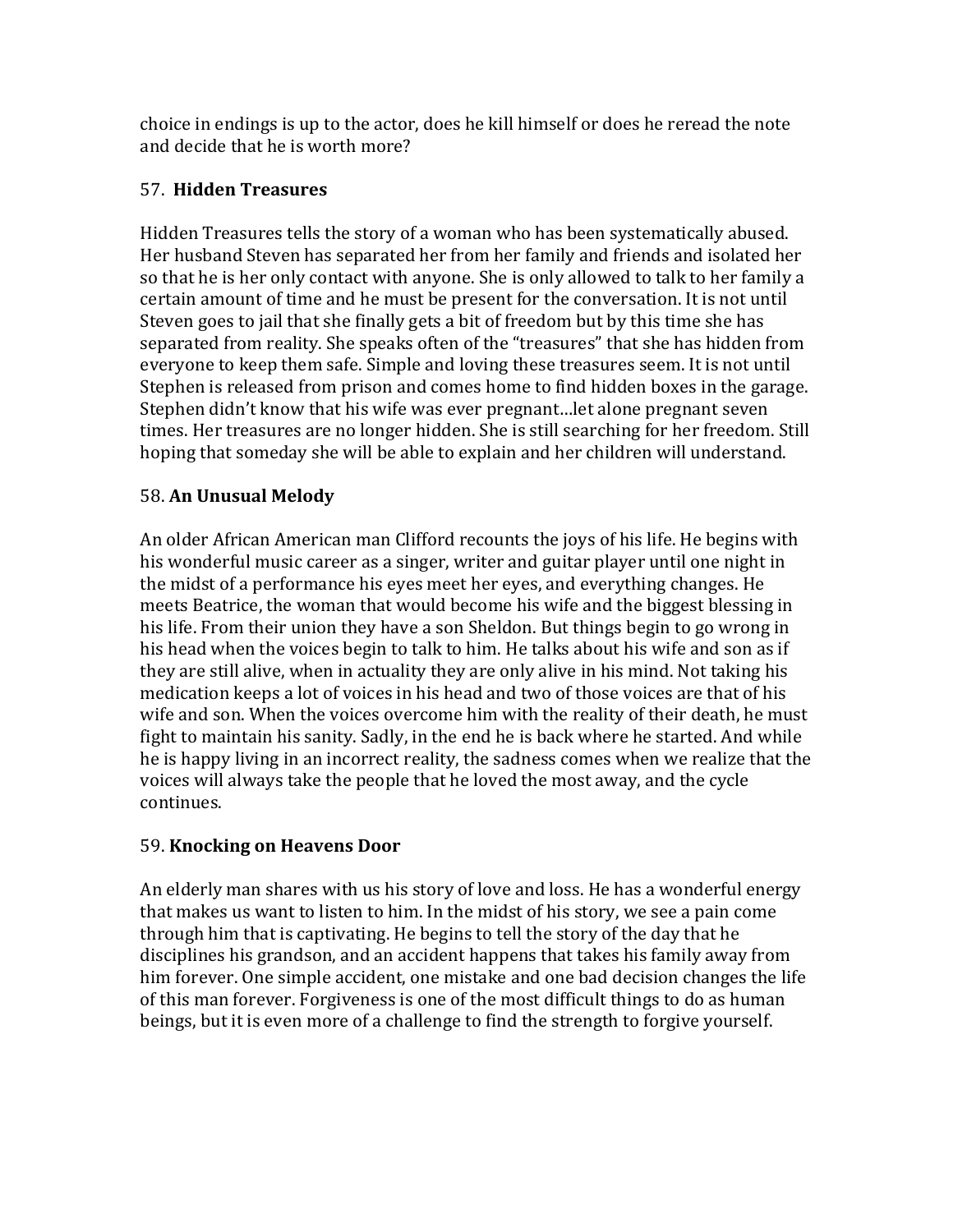choice in endings is up to the actor, does he kill himself or does he reread the note and decide that he is worth more?

# 57. **Hidden Treasures**

Hidden Treasures tells the story of a woman who has been systematically abused. Her husband Steven has separated her from her family and friends and isolated her so that he is her only contact with anyone. She is only allowed to talk to her family a certain amount of time and he must be present for the conversation. It is not until Steven goes to jail that she finally gets a bit of freedom but by this time she has separated from reality. She speaks often of the "treasures" that she has hidden from everyone to keep them safe. Simple and loving these treasures seem. It is not until Stephen is released from prison and comes home to find hidden boxes in the garage. Stephen didn't know that his wife was ever pregnant...let alone pregnant seven times. Her treasures are no longer hidden. She is still searching for her freedom. Still hoping that someday she will be able to explain and her children will understand.

# 58. **An Unusual Melody**

An older African American man Clifford recounts the joys of his life. He begins with his wonderful music career as a singer, writer and guitar player until one night in the midst of a performance his eyes meet her eyes, and everything changes. He meets Beatrice, the woman that would become his wife and the biggest blessing in his life. From their union they have a son Sheldon. But things begin to go wrong in his head when the voices begin to talk to him. He talks about his wife and son as if they are still alive, when in actuality they are only alive in his mind. Not taking his medication keeps a lot of voices in his head and two of those voices are that of his wife and son. When the voices overcome him with the reality of their death, he must fight to maintain his sanity. Sadly, in the end he is back where he started. And while he is happy living in an incorrect reality, the sadness comes when we realize that the voices will always take the people that he loved the most away, and the cycle continues.

# 59. **Knocking on Heavens Door**

An elderly man shares with us his story of love and loss. He has a wonderful energy that makes us want to listen to him. In the midst of his story, we see a pain come through him that is captivating. He begins to tell the story of the day that he disciplines his grandson, and an accident happens that takes his family away from him forever. One simple accident, one mistake and one bad decision changes the life of this man forever. Forgiveness is one of the most difficult things to do as human beings, but it is even more of a challenge to find the strength to forgive yourself.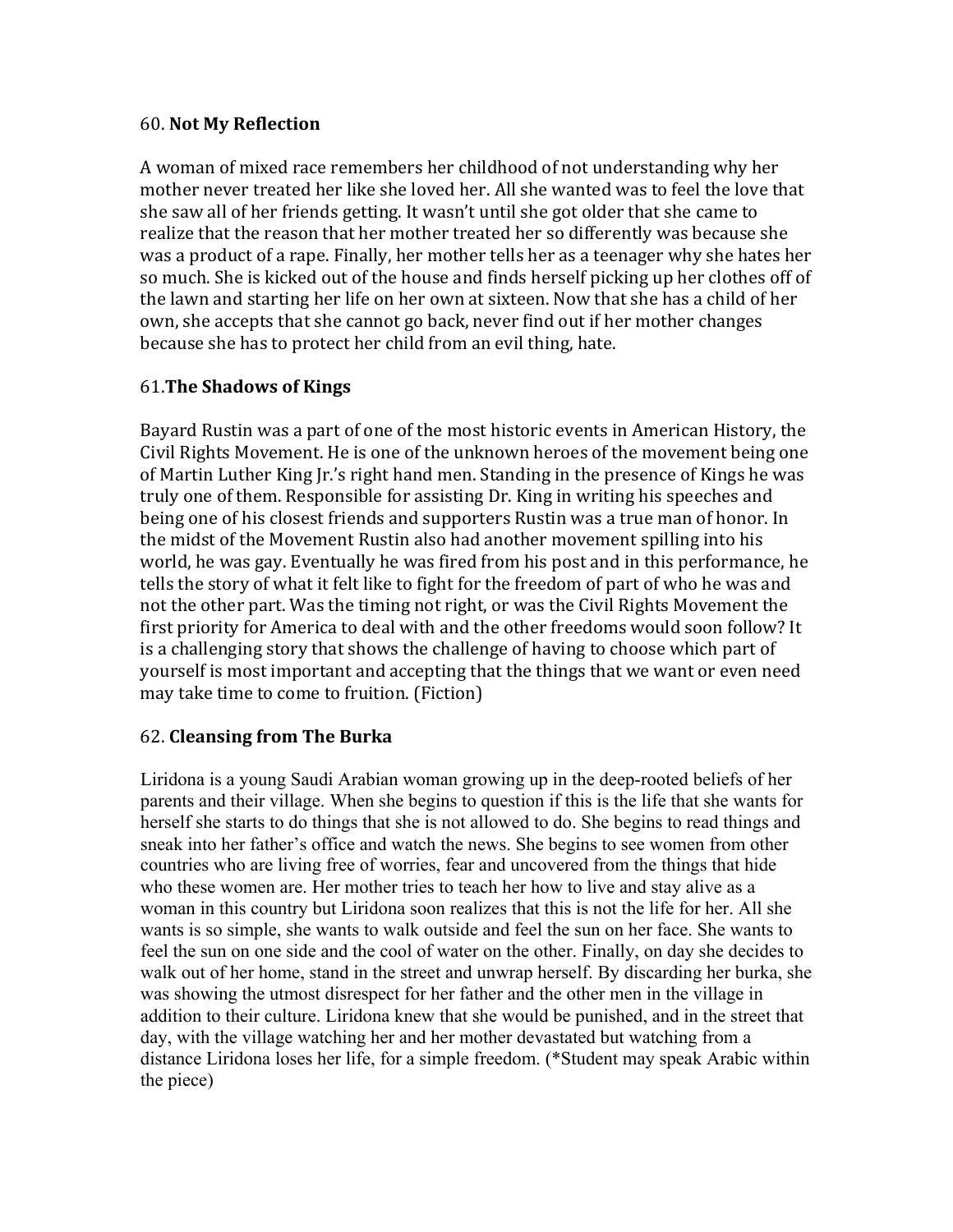#### 60. **Not My Reflection**

A woman of mixed race remembers her childhood of not understanding why her mother never treated her like she loved her. All she wanted was to feel the love that she saw all of her friends getting. It wasn't until she got older that she came to realize that the reason that her mother treated her so differently was because she was a product of a rape. Finally, her mother tells her as a teenager why she hates her so much. She is kicked out of the house and finds herself picking up her clothes off of the lawn and starting her life on her own at sixteen. Now that she has a child of her own, she accepts that she cannot go back, never find out if her mother changes because she has to protect her child from an evil thing, hate.

## 61.**The Shadows of Kings**

Bayard Rustin was a part of one of the most historic events in American History, the Civil Rights Movement. He is one of the unknown heroes of the movement being one of Martin Luther King Ir.'s right hand men. Standing in the presence of Kings he was truly one of them. Responsible for assisting Dr. King in writing his speeches and being one of his closest friends and supporters Rustin was a true man of honor. In the midst of the Movement Rustin also had another movement spilling into his world, he was gay. Eventually he was fired from his post and in this performance, he tells the story of what it felt like to fight for the freedom of part of who he was and not the other part. Was the timing not right, or was the Civil Rights Movement the first priority for America to deal with and the other freedoms would soon follow? It is a challenging story that shows the challenge of having to choose which part of yourself is most important and accepting that the things that we want or even need may take time to come to fruition. (Fiction)

## 62. **Cleansing from The Burka**

Liridona is a young Saudi Arabian woman growing up in the deep-rooted beliefs of her parents and their village. When she begins to question if this is the life that she wants for herself she starts to do things that she is not allowed to do. She begins to read things and sneak into her father's office and watch the news. She begins to see women from other countries who are living free of worries, fear and uncovered from the things that hide who these women are. Her mother tries to teach her how to live and stay alive as a woman in this country but Liridona soon realizes that this is not the life for her. All she wants is so simple, she wants to walk outside and feel the sun on her face. She wants to feel the sun on one side and the cool of water on the other. Finally, on day she decides to walk out of her home, stand in the street and unwrap herself. By discarding her burka, she was showing the utmost disrespect for her father and the other men in the village in addition to their culture. Liridona knew that she would be punished, and in the street that day, with the village watching her and her mother devastated but watching from a distance Liridona loses her life, for a simple freedom. (\*Student may speak Arabic within the piece)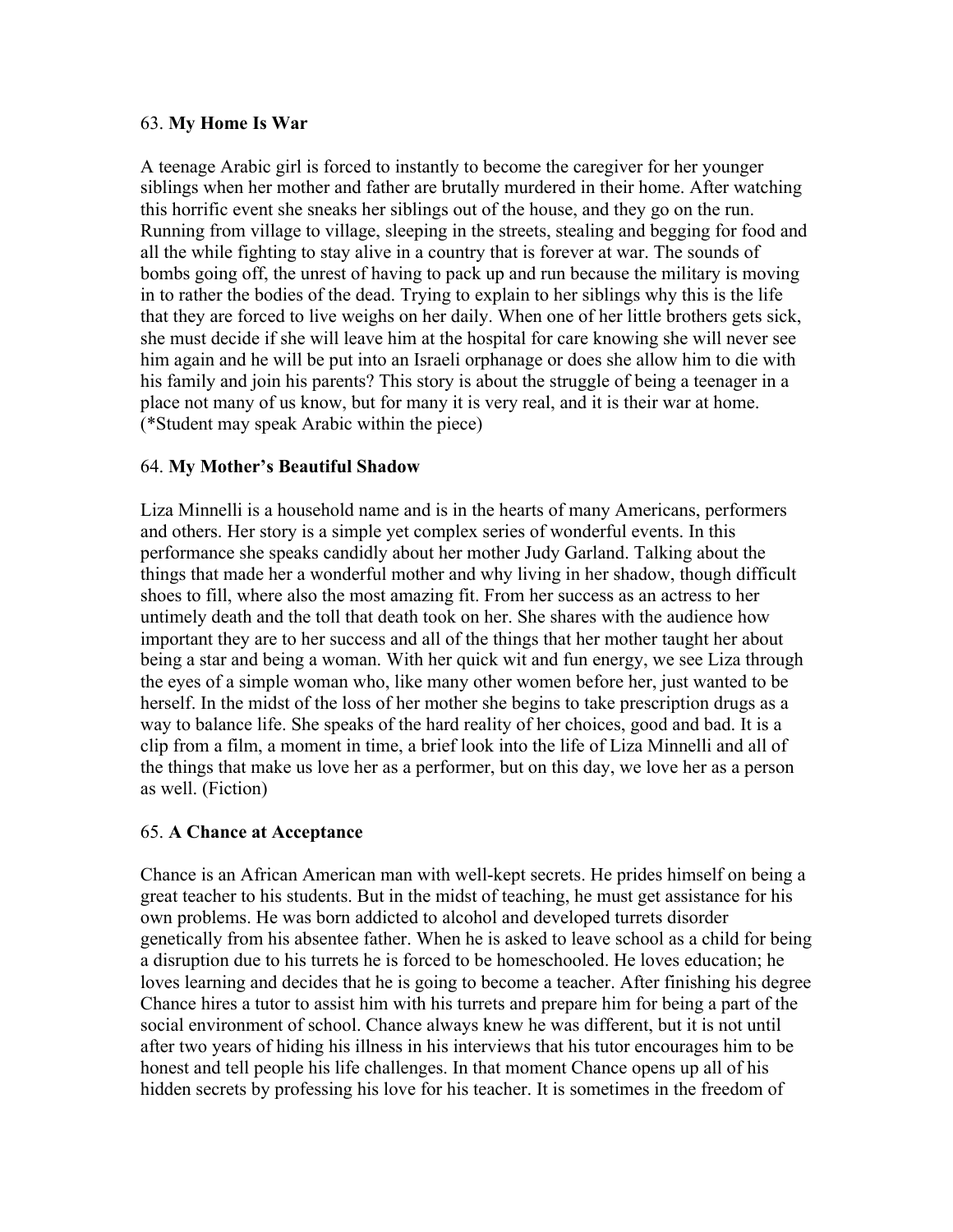#### 63. **My Home Is War**

A teenage Arabic girl is forced to instantly to become the caregiver for her younger siblings when her mother and father are brutally murdered in their home. After watching this horrific event she sneaks her siblings out of the house, and they go on the run. Running from village to village, sleeping in the streets, stealing and begging for food and all the while fighting to stay alive in a country that is forever at war. The sounds of bombs going off, the unrest of having to pack up and run because the military is moving in to rather the bodies of the dead. Trying to explain to her siblings why this is the life that they are forced to live weighs on her daily. When one of her little brothers gets sick, she must decide if she will leave him at the hospital for care knowing she will never see him again and he will be put into an Israeli orphanage or does she allow him to die with his family and join his parents? This story is about the struggle of being a teenager in a place not many of us know, but for many it is very real, and it is their war at home. (\*Student may speak Arabic within the piece)

## 64. **My Mother's Beautiful Shadow**

Liza Minnelli is a household name and is in the hearts of many Americans, performers and others. Her story is a simple yet complex series of wonderful events. In this performance she speaks candidly about her mother Judy Garland. Talking about the things that made her a wonderful mother and why living in her shadow, though difficult shoes to fill, where also the most amazing fit. From her success as an actress to her untimely death and the toll that death took on her. She shares with the audience how important they are to her success and all of the things that her mother taught her about being a star and being a woman. With her quick wit and fun energy, we see Liza through the eyes of a simple woman who, like many other women before her, just wanted to be herself. In the midst of the loss of her mother she begins to take prescription drugs as a way to balance life. She speaks of the hard reality of her choices, good and bad. It is a clip from a film, a moment in time, a brief look into the life of Liza Minnelli and all of the things that make us love her as a performer, but on this day, we love her as a person as well. (Fiction)

## 65. **A Chance at Acceptance**

Chance is an African American man with well-kept secrets. He prides himself on being a great teacher to his students. But in the midst of teaching, he must get assistance for his own problems. He was born addicted to alcohol and developed turrets disorder genetically from his absentee father. When he is asked to leave school as a child for being a disruption due to his turrets he is forced to be homeschooled. He loves education; he loves learning and decides that he is going to become a teacher. After finishing his degree Chance hires a tutor to assist him with his turrets and prepare him for being a part of the social environment of school. Chance always knew he was different, but it is not until after two years of hiding his illness in his interviews that his tutor encourages him to be honest and tell people his life challenges. In that moment Chance opens up all of his hidden secrets by professing his love for his teacher. It is sometimes in the freedom of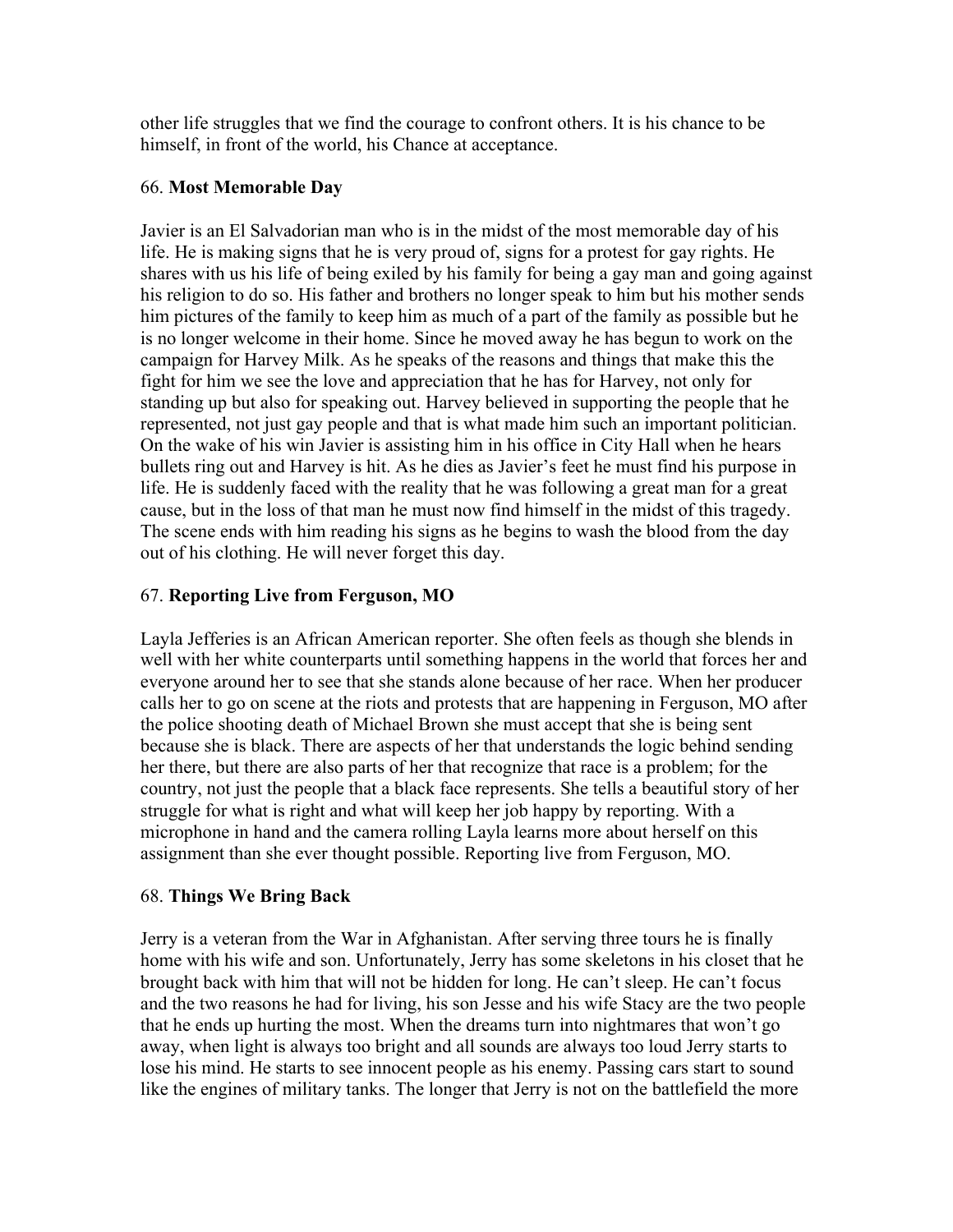other life struggles that we find the courage to confront others. It is his chance to be himself, in front of the world, his Chance at acceptance.

#### 66. **Most Memorable Day**

Javier is an El Salvadorian man who is in the midst of the most memorable day of his life. He is making signs that he is very proud of, signs for a protest for gay rights. He shares with us his life of being exiled by his family for being a gay man and going against his religion to do so. His father and brothers no longer speak to him but his mother sends him pictures of the family to keep him as much of a part of the family as possible but he is no longer welcome in their home. Since he moved away he has begun to work on the campaign for Harvey Milk. As he speaks of the reasons and things that make this the fight for him we see the love and appreciation that he has for Harvey, not only for standing up but also for speaking out. Harvey believed in supporting the people that he represented, not just gay people and that is what made him such an important politician. On the wake of his win Javier is assisting him in his office in City Hall when he hears bullets ring out and Harvey is hit. As he dies as Javier's feet he must find his purpose in life. He is suddenly faced with the reality that he was following a great man for a great cause, but in the loss of that man he must now find himself in the midst of this tragedy. The scene ends with him reading his signs as he begins to wash the blood from the day out of his clothing. He will never forget this day.

## 67. **Reporting Live from Ferguson, MO**

Layla Jefferies is an African American reporter. She often feels as though she blends in well with her white counterparts until something happens in the world that forces her and everyone around her to see that she stands alone because of her race. When her producer calls her to go on scene at the riots and protests that are happening in Ferguson, MO after the police shooting death of Michael Brown she must accept that she is being sent because she is black. There are aspects of her that understands the logic behind sending her there, but there are also parts of her that recognize that race is a problem; for the country, not just the people that a black face represents. She tells a beautiful story of her struggle for what is right and what will keep her job happy by reporting. With a microphone in hand and the camera rolling Layla learns more about herself on this assignment than she ever thought possible. Reporting live from Ferguson, MO.

## 68. **Things We Bring Back**

Jerry is a veteran from the War in Afghanistan. After serving three tours he is finally home with his wife and son. Unfortunately, Jerry has some skeletons in his closet that he brought back with him that will not be hidden for long. He can't sleep. He can't focus and the two reasons he had for living, his son Jesse and his wife Stacy are the two people that he ends up hurting the most. When the dreams turn into nightmares that won't go away, when light is always too bright and all sounds are always too loud Jerry starts to lose his mind. He starts to see innocent people as his enemy. Passing cars start to sound like the engines of military tanks. The longer that Jerry is not on the battlefield the more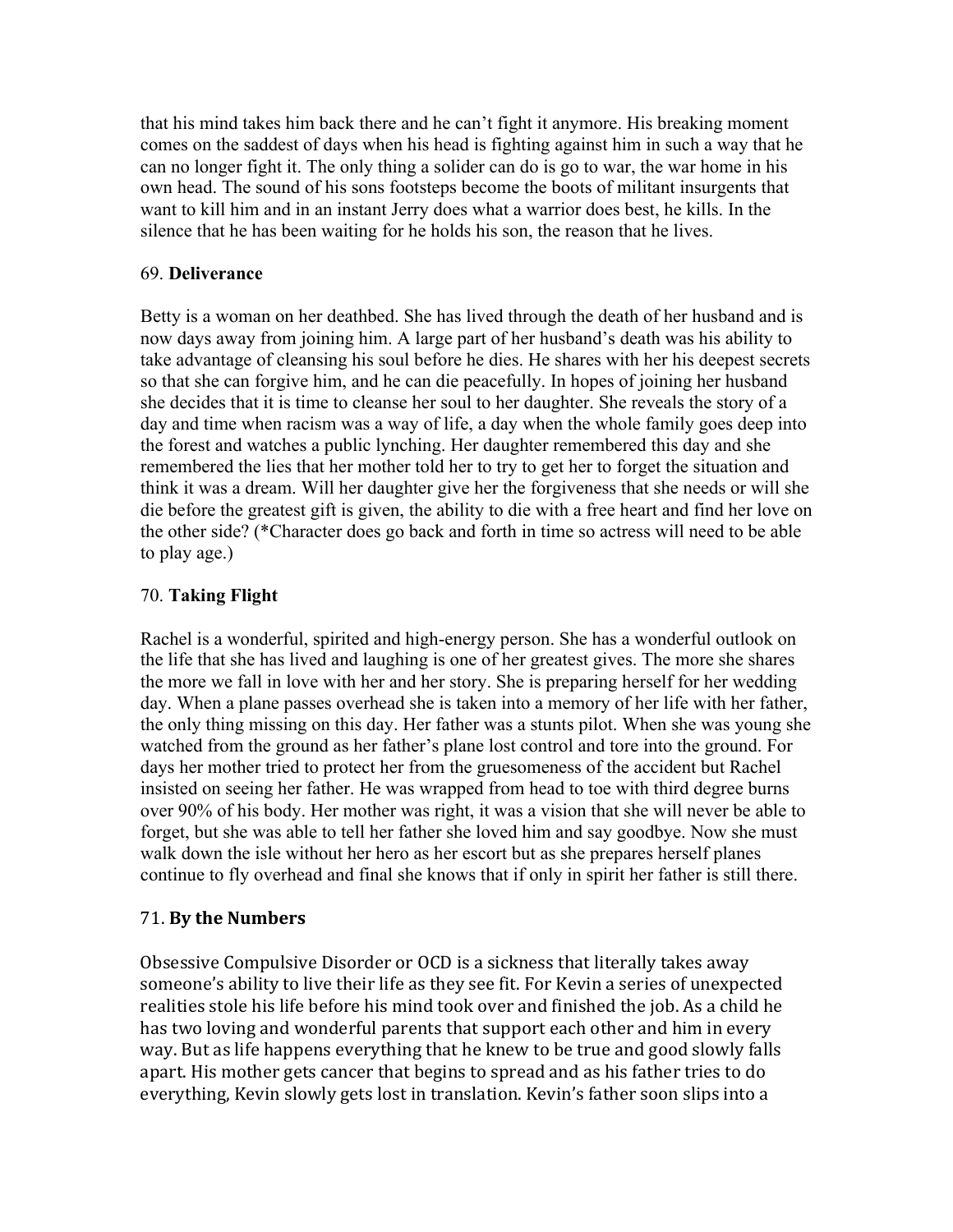that his mind takes him back there and he can't fight it anymore. His breaking moment comes on the saddest of days when his head is fighting against him in such a way that he can no longer fight it. The only thing a solider can do is go to war, the war home in his own head. The sound of his sons footsteps become the boots of militant insurgents that want to kill him and in an instant Jerry does what a warrior does best, he kills. In the silence that he has been waiting for he holds his son, the reason that he lives.

#### 69. **Deliverance**

Betty is a woman on her deathbed. She has lived through the death of her husband and is now days away from joining him. A large part of her husband's death was his ability to take advantage of cleansing his soul before he dies. He shares with her his deepest secrets so that she can forgive him, and he can die peacefully. In hopes of joining her husband she decides that it is time to cleanse her soul to her daughter. She reveals the story of a day and time when racism was a way of life, a day when the whole family goes deep into the forest and watches a public lynching. Her daughter remembered this day and she remembered the lies that her mother told her to try to get her to forget the situation and think it was a dream. Will her daughter give her the forgiveness that she needs or will she die before the greatest gift is given, the ability to die with a free heart and find her love on the other side? (\*Character does go back and forth in time so actress will need to be able to play age.)

## 70. **Taking Flight**

Rachel is a wonderful, spirited and high-energy person. She has a wonderful outlook on the life that she has lived and laughing is one of her greatest gives. The more she shares the more we fall in love with her and her story. She is preparing herself for her wedding day. When a plane passes overhead she is taken into a memory of her life with her father, the only thing missing on this day. Her father was a stunts pilot. When she was young she watched from the ground as her father's plane lost control and tore into the ground. For days her mother tried to protect her from the gruesomeness of the accident but Rachel insisted on seeing her father. He was wrapped from head to toe with third degree burns over 90% of his body. Her mother was right, it was a vision that she will never be able to forget, but she was able to tell her father she loved him and say goodbye. Now she must walk down the isle without her hero as her escort but as she prepares herself planes continue to fly overhead and final she knows that if only in spirit her father is still there.

## 71. **By the Numbers**

Obsessive Compulsive Disorder or OCD is a sickness that literally takes away someone's ability to live their life as they see fit. For Kevin a series of unexpected realities stole his life before his mind took over and finished the job. As a child he has two loving and wonderful parents that support each other and him in every way. But as life happens everything that he knew to be true and good slowly falls apart. His mother gets cancer that begins to spread and as his father tries to do everything, Kevin slowly gets lost in translation. Kevin's father soon slips into a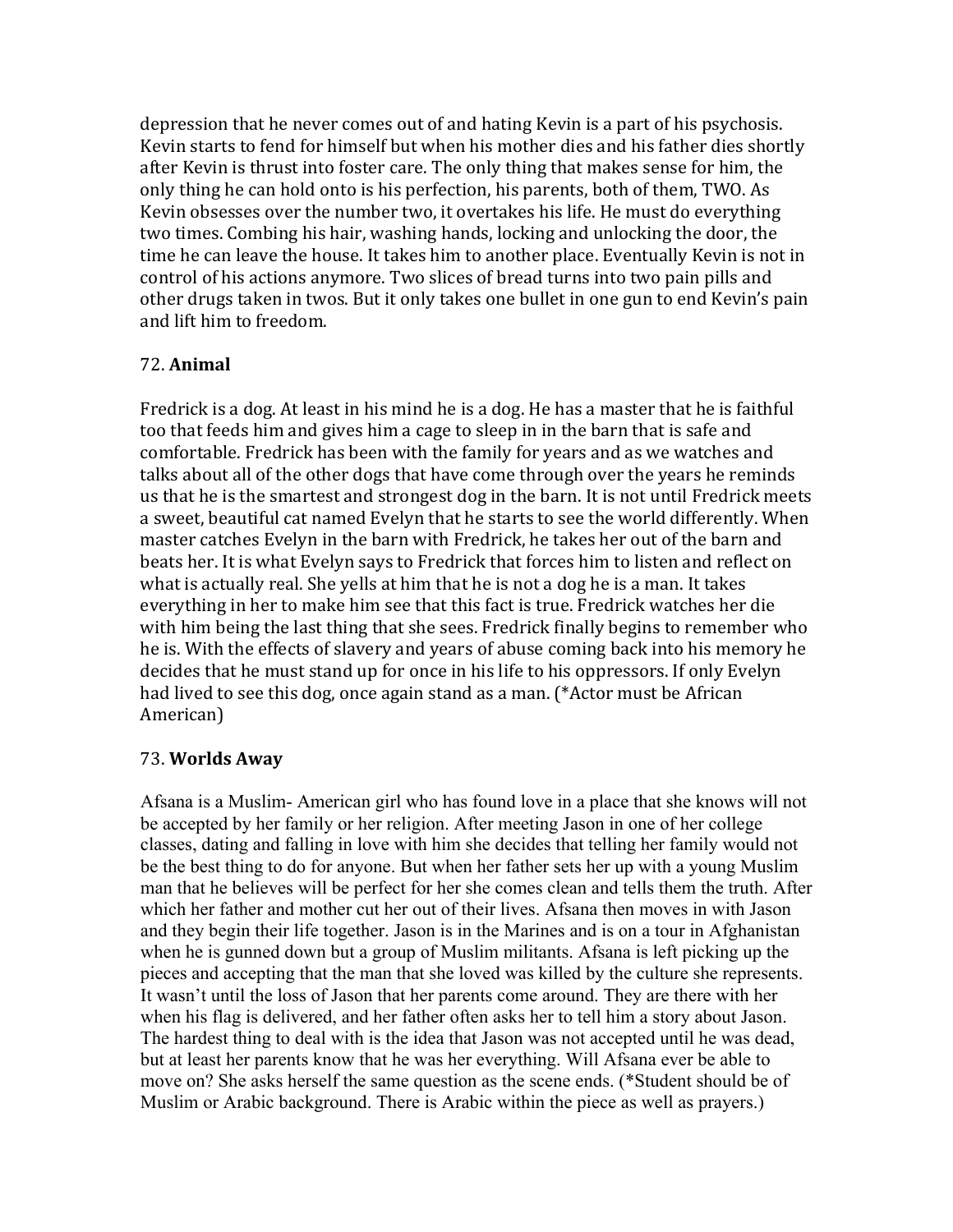depression that he never comes out of and hating Kevin is a part of his psychosis. Kevin starts to fend for himself but when his mother dies and his father dies shortly after Kevin is thrust into foster care. The only thing that makes sense for him, the only thing he can hold onto is his perfection, his parents, both of them, TWO. As Kevin obsesses over the number two, it overtakes his life. He must do everything two times. Combing his hair, washing hands, locking and unlocking the door, the time he can leave the house. It takes him to another place. Eventually Kevin is not in control of his actions anymore. Two slices of bread turns into two pain pills and other drugs taken in twos. But it only takes one bullet in one gun to end Kevin's pain and lift him to freedom.

#### 72. **Animal**

Fredrick is a dog. At least in his mind he is a dog. He has a master that he is faithful too that feeds him and gives him a cage to sleep in in the barn that is safe and comfortable. Fredrick has been with the family for years and as we watches and talks about all of the other dogs that have come through over the years he reminds us that he is the smartest and strongest dog in the barn. It is not until Fredrick meets a sweet, beautiful cat named Evelyn that he starts to see the world differently. When master catches Evelyn in the barn with Fredrick, he takes her out of the barn and beats her. It is what Evelyn says to Fredrick that forces him to listen and reflect on what is actually real. She yells at him that he is not a dog he is a man. It takes everything in her to make him see that this fact is true. Fredrick watches her die with him being the last thing that she sees. Fredrick finally begins to remember who he is. With the effects of slavery and years of abuse coming back into his memory he decides that he must stand up for once in his life to his oppressors. If only Evelyn had lived to see this dog, once again stand as a man. (\*Actor must be African American)

#### 73. **Worlds Away**

Afsana is a Muslim- American girl who has found love in a place that she knows will not be accepted by her family or her religion. After meeting Jason in one of her college classes, dating and falling in love with him she decides that telling her family would not be the best thing to do for anyone. But when her father sets her up with a young Muslim man that he believes will be perfect for her she comes clean and tells them the truth. After which her father and mother cut her out of their lives. Afsana then moves in with Jason and they begin their life together. Jason is in the Marines and is on a tour in Afghanistan when he is gunned down but a group of Muslim militants. Afsana is left picking up the pieces and accepting that the man that she loved was killed by the culture she represents. It wasn't until the loss of Jason that her parents come around. They are there with her when his flag is delivered, and her father often asks her to tell him a story about Jason. The hardest thing to deal with is the idea that Jason was not accepted until he was dead, but at least her parents know that he was her everything. Will Afsana ever be able to move on? She asks herself the same question as the scene ends. (\*Student should be of Muslim or Arabic background. There is Arabic within the piece as well as prayers.)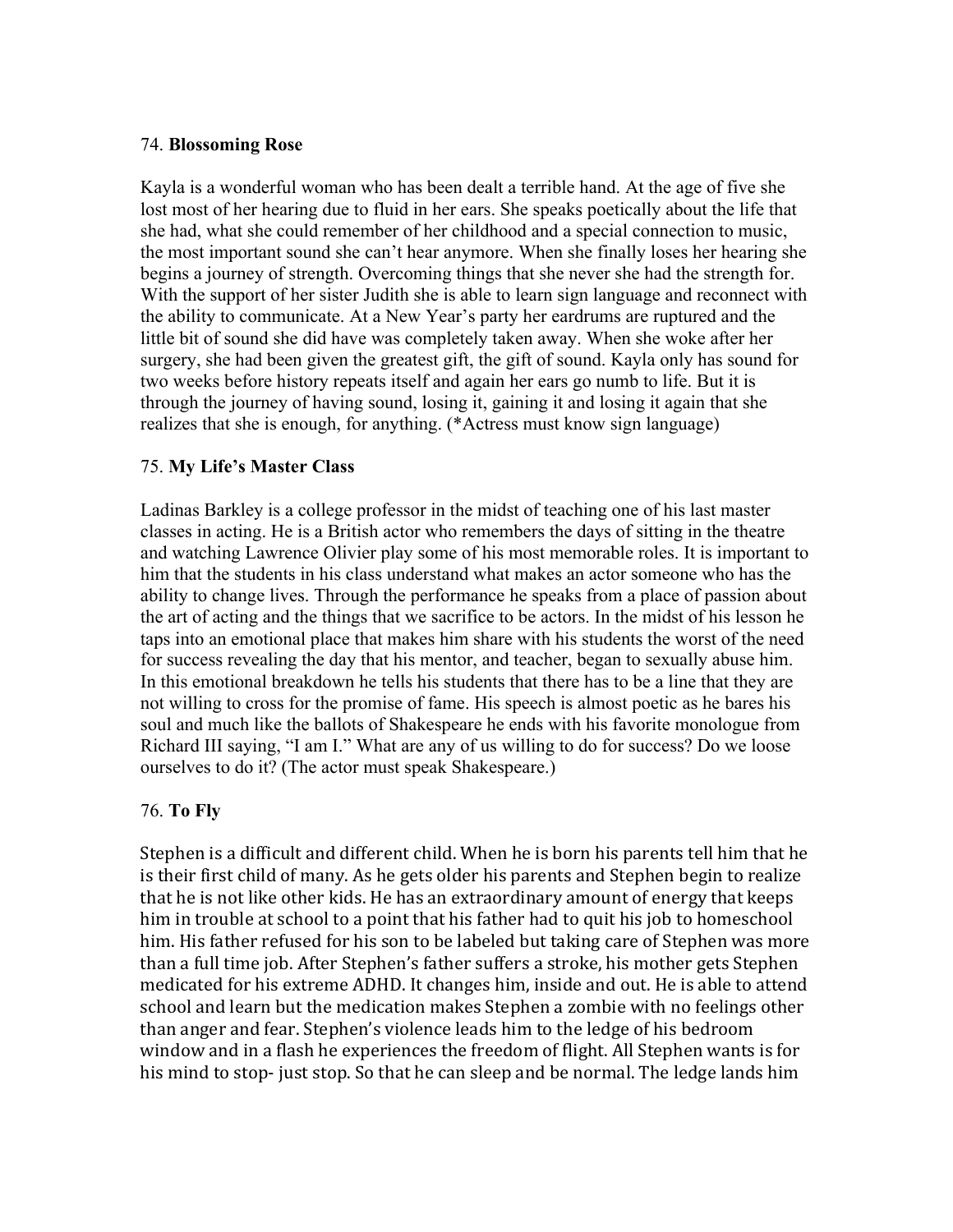#### 74. **Blossoming Rose**

Kayla is a wonderful woman who has been dealt a terrible hand. At the age of five she lost most of her hearing due to fluid in her ears. She speaks poetically about the life that she had, what she could remember of her childhood and a special connection to music, the most important sound she can't hear anymore. When she finally loses her hearing she begins a journey of strength. Overcoming things that she never she had the strength for. With the support of her sister Judith she is able to learn sign language and reconnect with the ability to communicate. At a New Year's party her eardrums are ruptured and the little bit of sound she did have was completely taken away. When she woke after her surgery, she had been given the greatest gift, the gift of sound. Kayla only has sound for two weeks before history repeats itself and again her ears go numb to life. But it is through the journey of having sound, losing it, gaining it and losing it again that she realizes that she is enough, for anything. (\*Actress must know sign language)

#### 75. **My Life's Master Class**

Ladinas Barkley is a college professor in the midst of teaching one of his last master classes in acting. He is a British actor who remembers the days of sitting in the theatre and watching Lawrence Olivier play some of his most memorable roles. It is important to him that the students in his class understand what makes an actor someone who has the ability to change lives. Through the performance he speaks from a place of passion about the art of acting and the things that we sacrifice to be actors. In the midst of his lesson he taps into an emotional place that makes him share with his students the worst of the need for success revealing the day that his mentor, and teacher, began to sexually abuse him. In this emotional breakdown he tells his students that there has to be a line that they are not willing to cross for the promise of fame. His speech is almost poetic as he bares his soul and much like the ballots of Shakespeare he ends with his favorite monologue from Richard III saying, "I am I." What are any of us willing to do for success? Do we loose ourselves to do it? (The actor must speak Shakespeare.)

#### 76. **To Fly**

Stephen is a difficult and different child. When he is born his parents tell him that he is their first child of many. As he gets older his parents and Stephen begin to realize that he is not like other kids. He has an extraordinary amount of energy that keeps him in trouble at school to a point that his father had to quit his job to homeschool him. His father refused for his son to be labeled but taking care of Stephen was more than a full time job. After Stephen's father suffers a stroke, his mother gets Stephen medicated for his extreme ADHD. It changes him, inside and out. He is able to attend school and learn but the medication makes Stephen a zombie with no feelings other than anger and fear. Stephen's violence leads him to the ledge of his bedroom window and in a flash he experiences the freedom of flight. All Stephen wants is for his mind to stop- just stop. So that he can sleep and be normal. The ledge lands him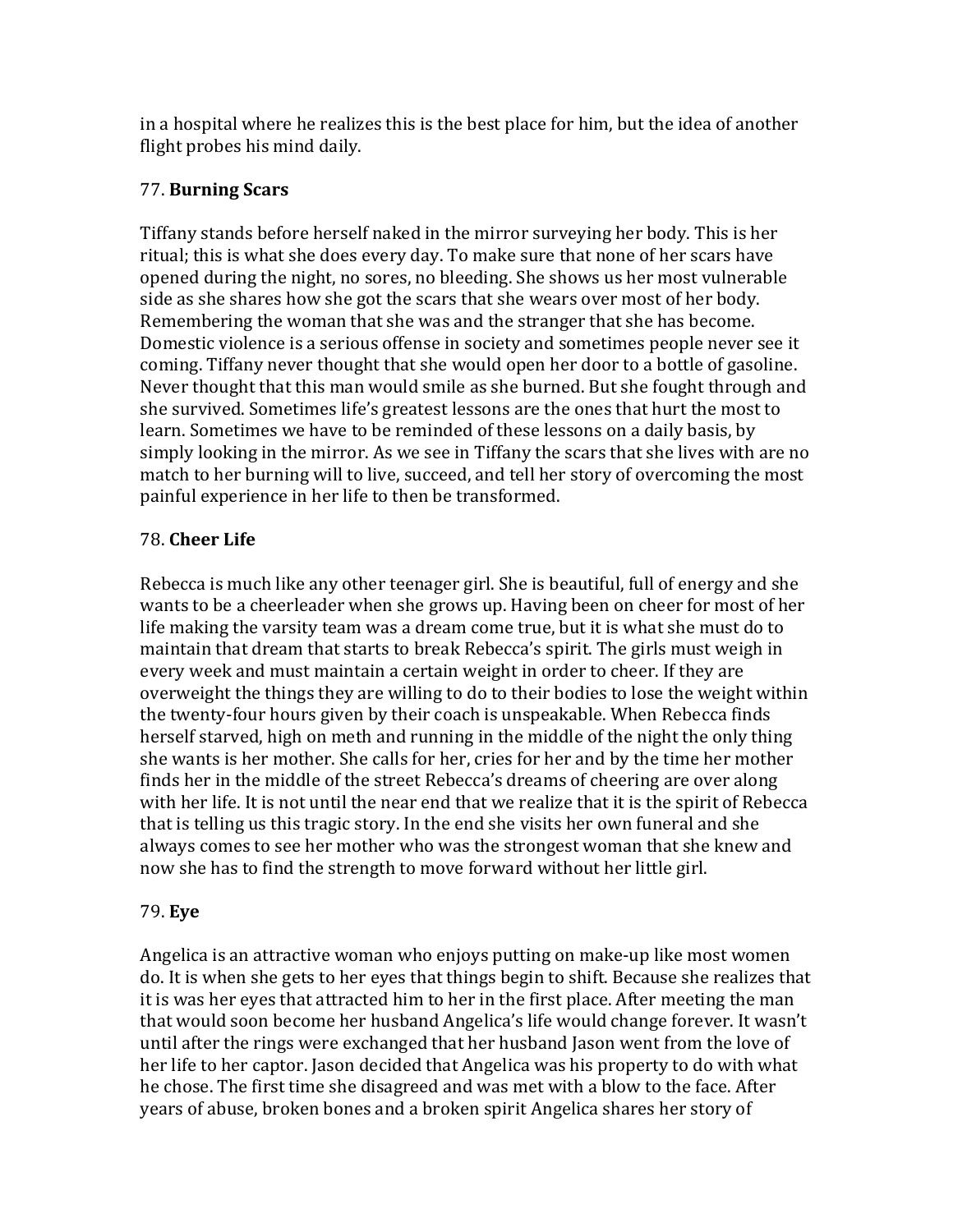in a hospital where he realizes this is the best place for him, but the idea of another flight probes his mind daily.

# 77. **Burning Scars**

Tiffany stands before herself naked in the mirror surveying her body. This is her ritual; this is what she does every day. To make sure that none of her scars have opened during the night, no sores, no bleeding. She shows us her most vulnerable side as she shares how she got the scars that she wears over most of her body. Remembering the woman that she was and the stranger that she has become. Domestic violence is a serious offense in society and sometimes people never see it coming. Tiffany never thought that she would open her door to a bottle of gasoline. Never thought that this man would smile as she burned. But she fought through and she survived. Sometimes life's greatest lessons are the ones that hurt the most to learn. Sometimes we have to be reminded of these lessons on a daily basis, by simply looking in the mirror. As we see in Tiffany the scars that she lives with are no match to her burning will to live, succeed, and tell her story of overcoming the most painful experience in her life to then be transformed.

# 78. **Cheer Life**

Rebecca is much like any other teenager girl. She is beautiful, full of energy and she wants to be a cheerleader when she grows up. Having been on cheer for most of her life making the varsity team was a dream come true, but it is what she must do to maintain that dream that starts to break Rebecca's spirit. The girls must weigh in every week and must maintain a certain weight in order to cheer. If they are overweight the things they are willing to do to their bodies to lose the weight within the twenty-four hours given by their coach is unspeakable. When Rebecca finds herself starved, high on meth and running in the middle of the night the only thing she wants is her mother. She calls for her, cries for her and by the time her mother finds her in the middle of the street Rebecca's dreams of cheering are over along with her life. It is not until the near end that we realize that it is the spirit of Rebecca that is telling us this tragic story. In the end she visits her own funeral and she always comes to see her mother who was the strongest woman that she knew and now she has to find the strength to move forward without her little girl.

# 79. **Eye**

Angelica is an attractive woman who enjoys putting on make-up like most women do. It is when she gets to her eyes that things begin to shift. Because she realizes that it is was her eyes that attracted him to her in the first place. After meeting the man that would soon become her husband Angelica's life would change forever. It wasn't until after the rings were exchanged that her husband Jason went from the love of her life to her captor. Jason decided that Angelica was his property to do with what he chose. The first time she disagreed and was met with a blow to the face. After years of abuse, broken bones and a broken spirit Angelica shares her story of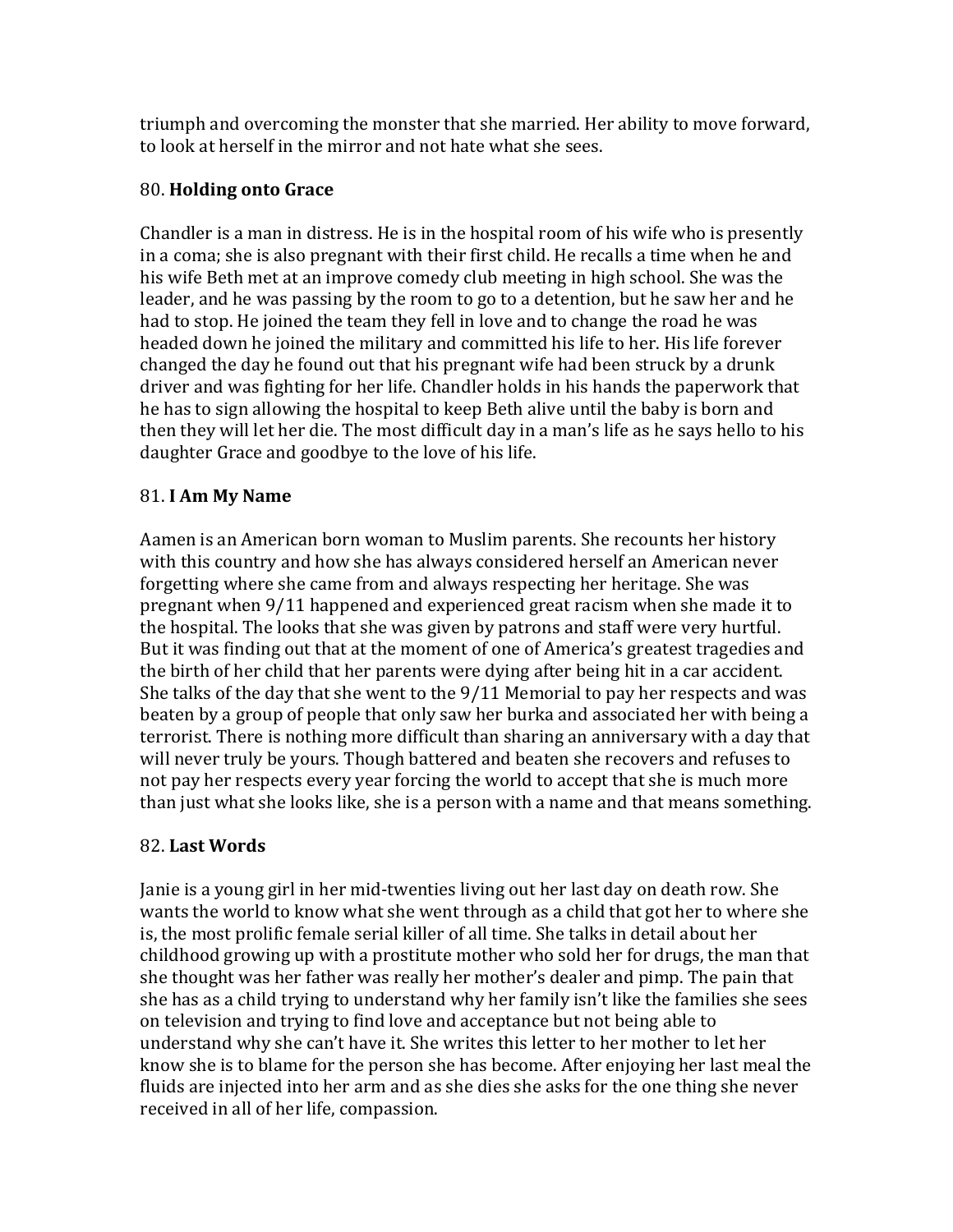triumph and overcoming the monster that she married. Her ability to move forward, to look at herself in the mirror and not hate what she sees.

# 80. **Holding onto Grace**

Chandler is a man in distress. He is in the hospital room of his wife who is presently in a coma; she is also pregnant with their first child. He recalls a time when he and his wife Beth met at an improve comedy club meeting in high school. She was the leader, and he was passing by the room to go to a detention, but he saw her and he had to stop. He joined the team they fell in love and to change the road he was headed down he joined the military and committed his life to her. His life forever changed the day he found out that his pregnant wife had been struck by a drunk driver and was fighting for her life. Chandler holds in his hands the paperwork that he has to sign allowing the hospital to keep Beth alive until the baby is born and then they will let her die. The most difficult day in a man's life as he says hello to his daughter Grace and goodbye to the love of his life.

# 81. **I Am My Name**

Aamen is an American born woman to Muslim parents. She recounts her history with this country and how she has always considered herself an American never forgetting where she came from and always respecting her heritage. She was pregnant when 9/11 happened and experienced great racism when she made it to the hospital. The looks that she was given by patrons and staff were very hurtful. But it was finding out that at the moment of one of America's greatest tragedies and the birth of her child that her parents were dying after being hit in a car accident. She talks of the day that she went to the  $9/11$  Memorial to pay her respects and was beaten by a group of people that only saw her burka and associated her with being a terrorist. There is nothing more difficult than sharing an anniversary with a day that will never truly be yours. Though battered and beaten she recovers and refuses to not pay her respects every year forcing the world to accept that she is much more than just what she looks like, she is a person with a name and that means something.

# 82. **Last Words**

Janie is a young girl in her mid-twenties living out her last day on death row. She wants the world to know what she went through as a child that got her to where she is, the most prolific female serial killer of all time. She talks in detail about her childhood growing up with a prostitute mother who sold her for drugs, the man that she thought was her father was really her mother's dealer and pimp. The pain that she has as a child trying to understand why her family isn't like the families she sees on television and trying to find love and acceptance but not being able to understand why she can't have it. She writes this letter to her mother to let her know she is to blame for the person she has become. After enjoying her last meal the fluids are injected into her arm and as she dies she asks for the one thing she never received in all of her life, compassion.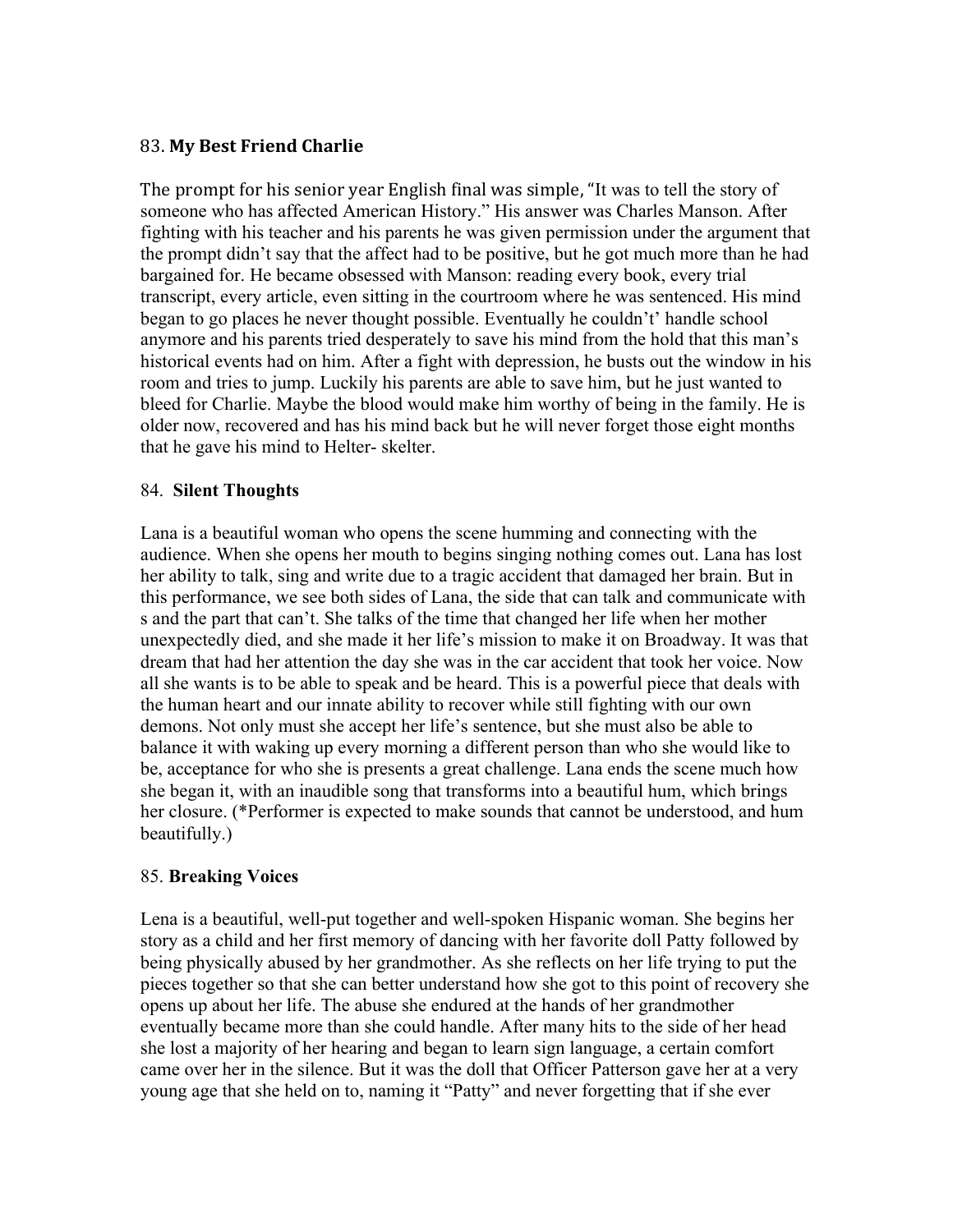#### 83. **My Best Friend Charlie**

The prompt for his senior year English final was simple, "It was to tell the story of someone who has affected American History." His answer was Charles Manson. After fighting with his teacher and his parents he was given permission under the argument that the prompt didn't say that the affect had to be positive, but he got much more than he had bargained for. He became obsessed with Manson: reading every book, every trial transcript, every article, even sitting in the courtroom where he was sentenced. His mind began to go places he never thought possible. Eventually he couldn't' handle school anymore and his parents tried desperately to save his mind from the hold that this man's historical events had on him. After a fight with depression, he busts out the window in his room and tries to jump. Luckily his parents are able to save him, but he just wanted to bleed for Charlie. Maybe the blood would make him worthy of being in the family. He is older now, recovered and has his mind back but he will never forget those eight months that he gave his mind to Helter- skelter.

#### 84. **Silent Thoughts**

Lana is a beautiful woman who opens the scene humming and connecting with the audience. When she opens her mouth to begins singing nothing comes out. Lana has lost her ability to talk, sing and write due to a tragic accident that damaged her brain. But in this performance, we see both sides of Lana, the side that can talk and communicate with s and the part that can't. She talks of the time that changed her life when her mother unexpectedly died, and she made it her life's mission to make it on Broadway. It was that dream that had her attention the day she was in the car accident that took her voice. Now all she wants is to be able to speak and be heard. This is a powerful piece that deals with the human heart and our innate ability to recover while still fighting with our own demons. Not only must she accept her life's sentence, but she must also be able to balance it with waking up every morning a different person than who she would like to be, acceptance for who she is presents a great challenge. Lana ends the scene much how she began it, with an inaudible song that transforms into a beautiful hum, which brings her closure. (\*Performer is expected to make sounds that cannot be understood, and hum beautifully.)

#### 85. **Breaking Voices**

Lena is a beautiful, well-put together and well-spoken Hispanic woman. She begins her story as a child and her first memory of dancing with her favorite doll Patty followed by being physically abused by her grandmother. As she reflects on her life trying to put the pieces together so that she can better understand how she got to this point of recovery she opens up about her life. The abuse she endured at the hands of her grandmother eventually became more than she could handle. After many hits to the side of her head she lost a majority of her hearing and began to learn sign language, a certain comfort came over her in the silence. But it was the doll that Officer Patterson gave her at a very young age that she held on to, naming it "Patty" and never forgetting that if she ever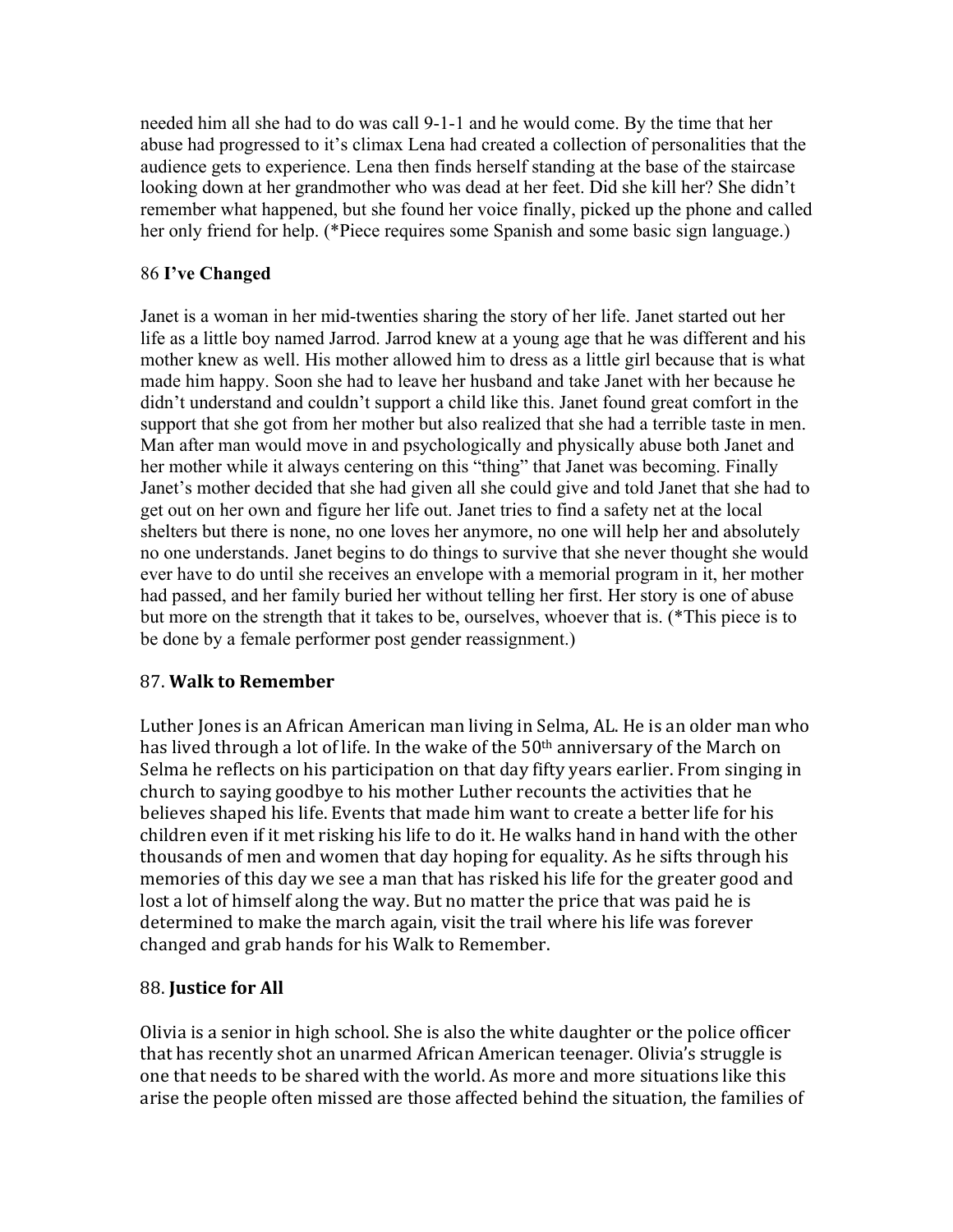needed him all she had to do was call 9-1-1 and he would come. By the time that her abuse had progressed to it's climax Lena had created a collection of personalities that the audience gets to experience. Lena then finds herself standing at the base of the staircase looking down at her grandmother who was dead at her feet. Did she kill her? She didn't remember what happened, but she found her voice finally, picked up the phone and called her only friend for help. (\*Piece requires some Spanish and some basic sign language.)

# 86 **I've Changed**

Janet is a woman in her mid-twenties sharing the story of her life. Janet started out her life as a little boy named Jarrod. Jarrod knew at a young age that he was different and his mother knew as well. His mother allowed him to dress as a little girl because that is what made him happy. Soon she had to leave her husband and take Janet with her because he didn't understand and couldn't support a child like this. Janet found great comfort in the support that she got from her mother but also realized that she had a terrible taste in men. Man after man would move in and psychologically and physically abuse both Janet and her mother while it always centering on this "thing" that Janet was becoming. Finally Janet's mother decided that she had given all she could give and told Janet that she had to get out on her own and figure her life out. Janet tries to find a safety net at the local shelters but there is none, no one loves her anymore, no one will help her and absolutely no one understands. Janet begins to do things to survive that she never thought she would ever have to do until she receives an envelope with a memorial program in it, her mother had passed, and her family buried her without telling her first. Her story is one of abuse but more on the strength that it takes to be, ourselves, whoever that is. (\*This piece is to be done by a female performer post gender reassignment.)

## 87. **Walk to Remember**

Luther Jones is an African American man living in Selma, AL. He is an older man who has lived through a lot of life. In the wake of the  $50<sup>th</sup>$  anniversary of the March on Selma he reflects on his participation on that day fifty years earlier. From singing in church to saying goodbye to his mother Luther recounts the activities that he believes shaped his life. Events that made him want to create a better life for his children even if it met risking his life to do it. He walks hand in hand with the other thousands of men and women that day hoping for equality. As he sifts through his memories of this day we see a man that has risked his life for the greater good and lost a lot of himself along the way. But no matter the price that was paid he is determined to make the march again, visit the trail where his life was forever changed and grab hands for his Walk to Remember.

# 88. **Justice for All**

Olivia is a senior in high school. She is also the white daughter or the police officer that has recently shot an unarmed African American teenager. Olivia's struggle is one that needs to be shared with the world. As more and more situations like this arise the people often missed are those affected behind the situation, the families of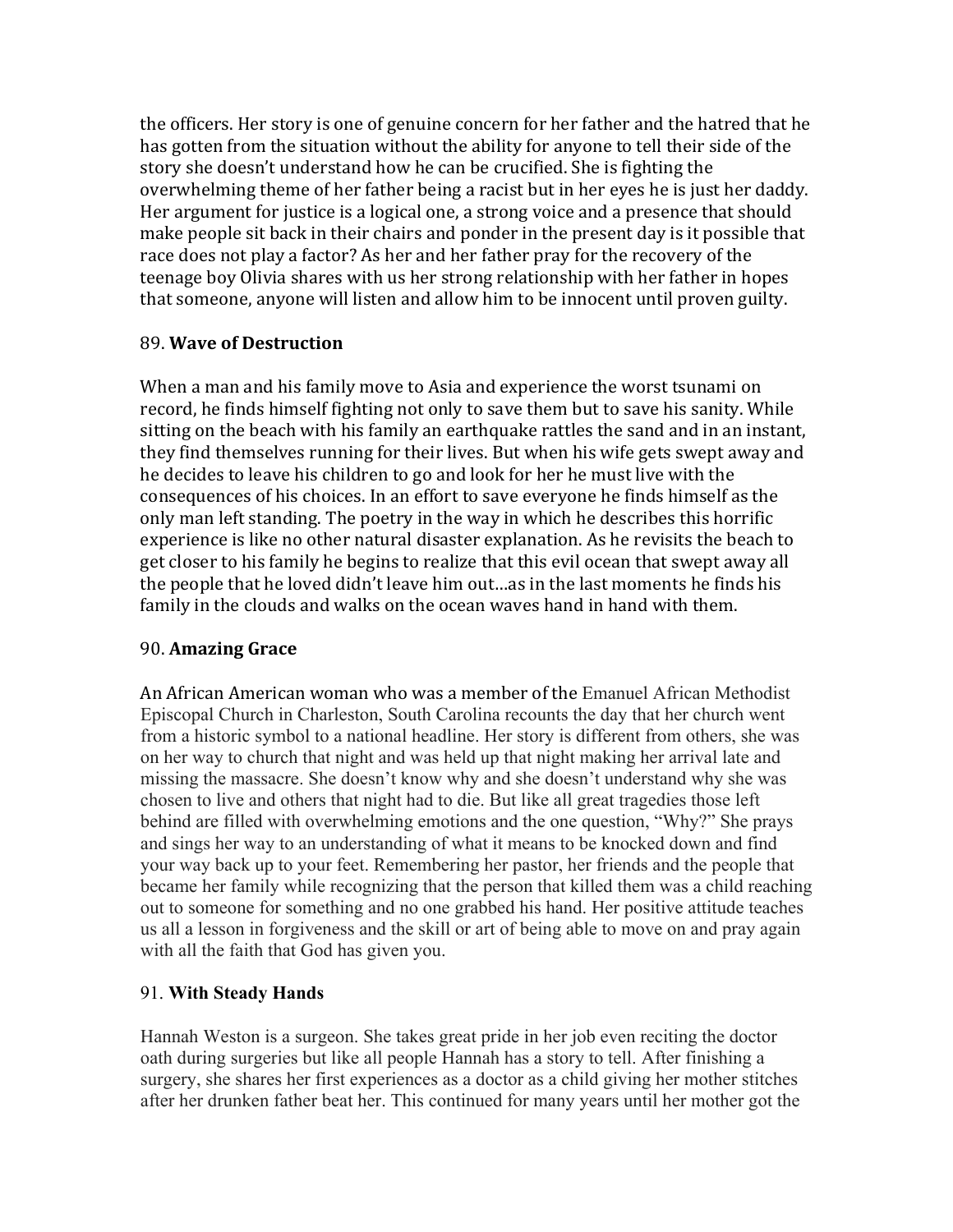the officers. Her story is one of genuine concern for her father and the hatred that he has gotten from the situation without the ability for anyone to tell their side of the story she doesn't understand how he can be crucified. She is fighting the overwhelming theme of her father being a racist but in her eyes he is just her daddy. Her argument for justice is a logical one, a strong voice and a presence that should make people sit back in their chairs and ponder in the present day is it possible that race does not play a factor? As her and her father pray for the recovery of the teenage boy Olivia shares with us her strong relationship with her father in hopes that someone, anyone will listen and allow him to be innocent until proven guilty.

#### 89. **Wave of Destruction**

When a man and his family move to Asia and experience the worst tsunami on record, he finds himself fighting not only to save them but to save his sanity. While sitting on the beach with his family an earthquake rattles the sand and in an instant, they find themselves running for their lives. But when his wife gets swept away and he decides to leave his children to go and look for her he must live with the consequences of his choices. In an effort to save everyone he finds himself as the only man left standing. The poetry in the way in which he describes this horrific experience is like no other natural disaster explanation. As he revisits the beach to get closer to his family he begins to realize that this evil ocean that swept away all the people that he loved didn't leave him out...as in the last moments he finds his family in the clouds and walks on the ocean waves hand in hand with them.

#### 90. **Amazing Grace**

An African American woman who was a member of the Emanuel African Methodist Episcopal Church in Charleston, South Carolina recounts the day that her church went from a historic symbol to a national headline. Her story is different from others, she was on her way to church that night and was held up that night making her arrival late and missing the massacre. She doesn't know why and she doesn't understand why she was chosen to live and others that night had to die. But like all great tragedies those left behind are filled with overwhelming emotions and the one question, "Why?" She prays and sings her way to an understanding of what it means to be knocked down and find your way back up to your feet. Remembering her pastor, her friends and the people that became her family while recognizing that the person that killed them was a child reaching out to someone for something and no one grabbed his hand. Her positive attitude teaches us all a lesson in forgiveness and the skill or art of being able to move on and pray again with all the faith that God has given you.

## 91. **With Steady Hands**

Hannah Weston is a surgeon. She takes great pride in her job even reciting the doctor oath during surgeries but like all people Hannah has a story to tell. After finishing a surgery, she shares her first experiences as a doctor as a child giving her mother stitches after her drunken father beat her. This continued for many years until her mother got the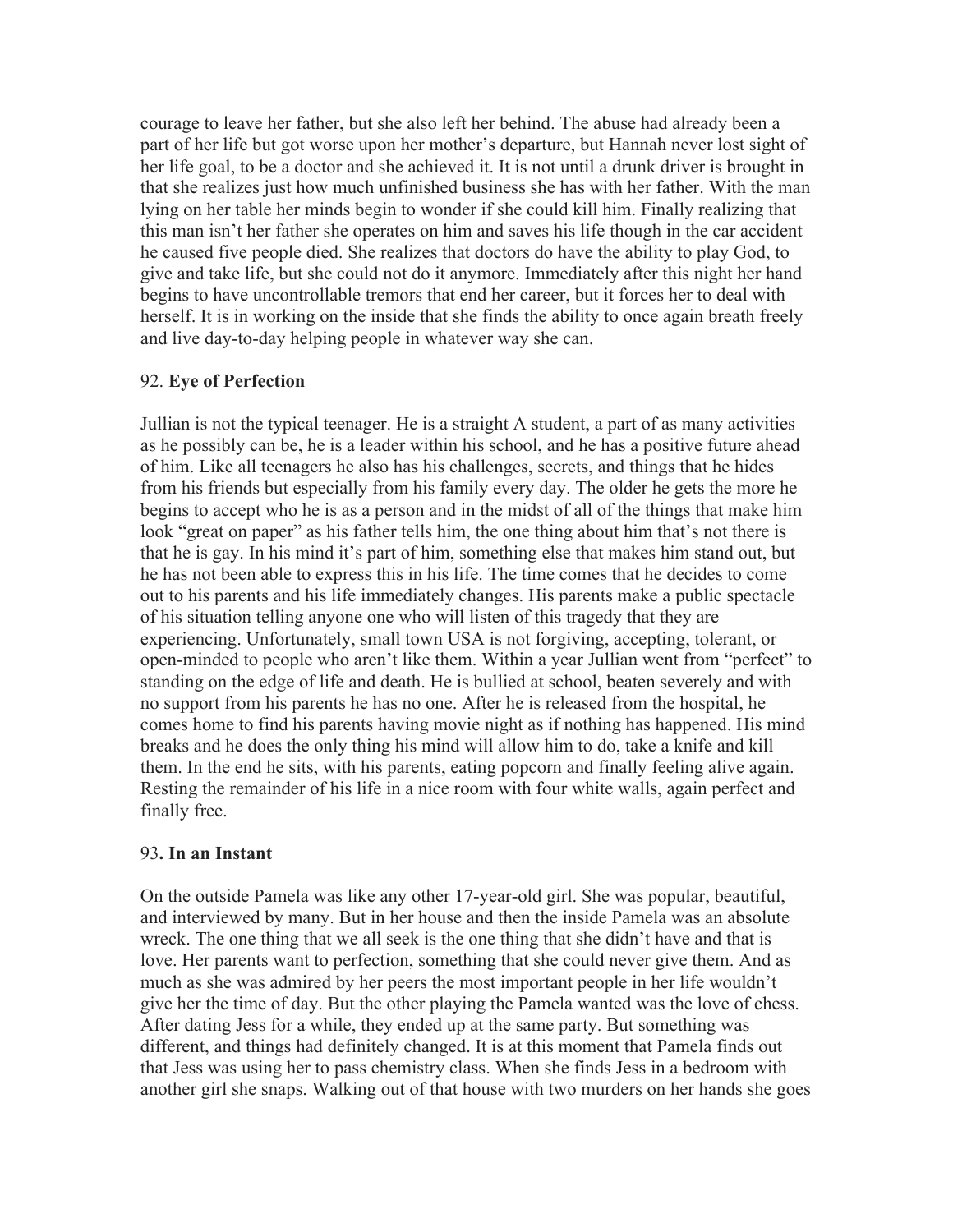courage to leave her father, but she also left her behind. The abuse had already been a part of her life but got worse upon her mother's departure, but Hannah never lost sight of her life goal, to be a doctor and she achieved it. It is not until a drunk driver is brought in that she realizes just how much unfinished business she has with her father. With the man lying on her table her minds begin to wonder if she could kill him. Finally realizing that this man isn't her father she operates on him and saves his life though in the car accident he caused five people died. She realizes that doctors do have the ability to play God, to give and take life, but she could not do it anymore. Immediately after this night her hand begins to have uncontrollable tremors that end her career, but it forces her to deal with herself. It is in working on the inside that she finds the ability to once again breath freely and live day-to-day helping people in whatever way she can.

#### 92. **Eye of Perfection**

Jullian is not the typical teenager. He is a straight A student, a part of as many activities as he possibly can be, he is a leader within his school, and he has a positive future ahead of him. Like all teenagers he also has his challenges, secrets, and things that he hides from his friends but especially from his family every day. The older he gets the more he begins to accept who he is as a person and in the midst of all of the things that make him look "great on paper" as his father tells him, the one thing about him that's not there is that he is gay. In his mind it's part of him, something else that makes him stand out, but he has not been able to express this in his life. The time comes that he decides to come out to his parents and his life immediately changes. His parents make a public spectacle of his situation telling anyone one who will listen of this tragedy that they are experiencing. Unfortunately, small town USA is not forgiving, accepting, tolerant, or open-minded to people who aren't like them. Within a year Jullian went from "perfect" to standing on the edge of life and death. He is bullied at school, beaten severely and with no support from his parents he has no one. After he is released from the hospital, he comes home to find his parents having movie night as if nothing has happened. His mind breaks and he does the only thing his mind will allow him to do, take a knife and kill them. In the end he sits, with his parents, eating popcorn and finally feeling alive again. Resting the remainder of his life in a nice room with four white walls, again perfect and finally free.

#### 93**. In an Instant**

On the outside Pamela was like any other 17-year-old girl. She was popular, beautiful, and interviewed by many. But in her house and then the inside Pamela was an absolute wreck. The one thing that we all seek is the one thing that she didn't have and that is love. Her parents want to perfection, something that she could never give them. And as much as she was admired by her peers the most important people in her life wouldn't give her the time of day. But the other playing the Pamela wanted was the love of chess. After dating Jess for a while, they ended up at the same party. But something was different, and things had definitely changed. It is at this moment that Pamela finds out that Jess was using her to pass chemistry class. When she finds Jess in a bedroom with another girl she snaps. Walking out of that house with two murders on her hands she goes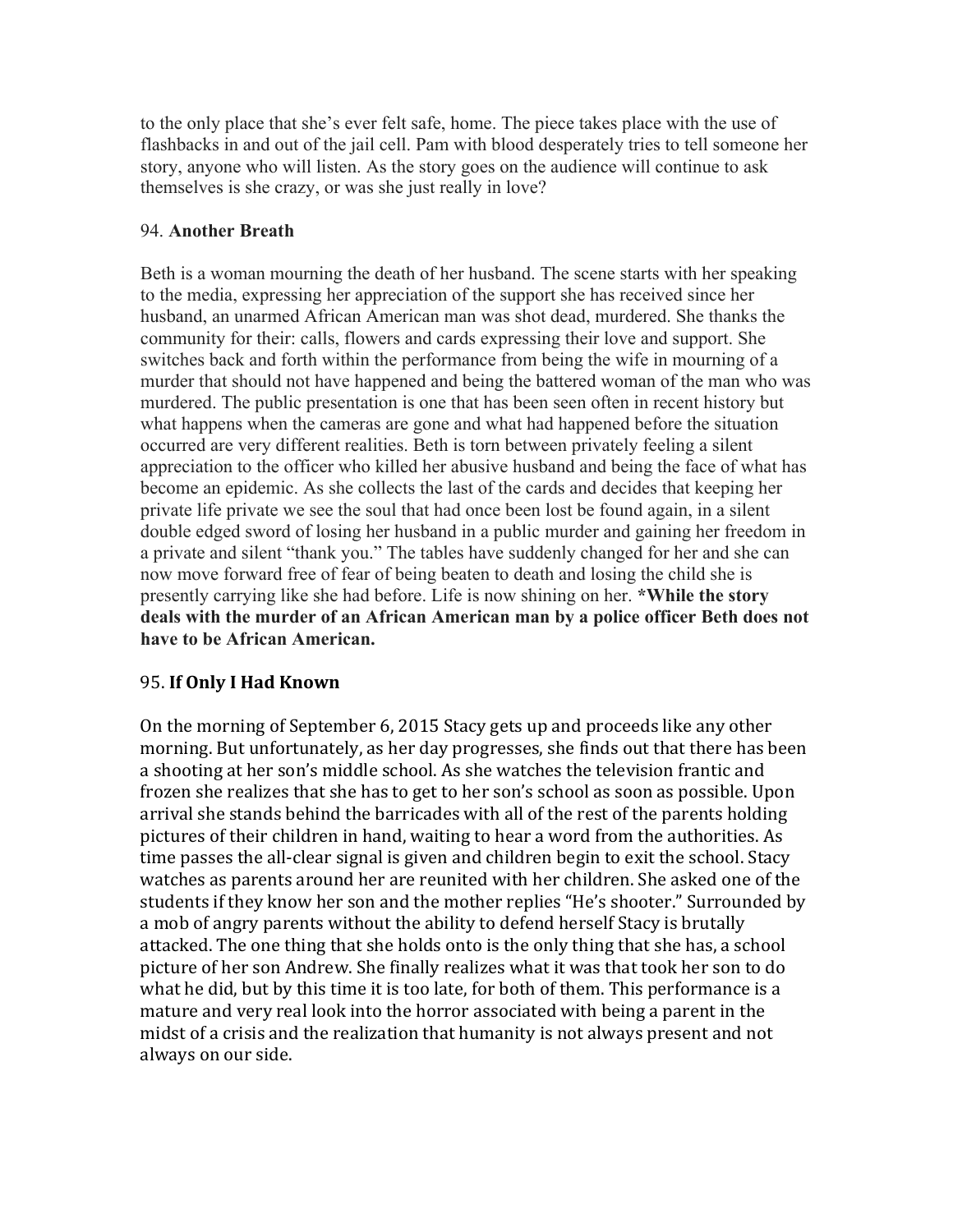to the only place that she's ever felt safe, home. The piece takes place with the use of flashbacks in and out of the jail cell. Pam with blood desperately tries to tell someone her story, anyone who will listen. As the story goes on the audience will continue to ask themselves is she crazy, or was she just really in love?

#### 94. **Another Breath**

Beth is a woman mourning the death of her husband. The scene starts with her speaking to the media, expressing her appreciation of the support she has received since her husband, an unarmed African American man was shot dead, murdered. She thanks the community for their: calls, flowers and cards expressing their love and support. She switches back and forth within the performance from being the wife in mourning of a murder that should not have happened and being the battered woman of the man who was murdered. The public presentation is one that has been seen often in recent history but what happens when the cameras are gone and what had happened before the situation occurred are very different realities. Beth is torn between privately feeling a silent appreciation to the officer who killed her abusive husband and being the face of what has become an epidemic. As she collects the last of the cards and decides that keeping her private life private we see the soul that had once been lost be found again, in a silent double edged sword of losing her husband in a public murder and gaining her freedom in a private and silent "thank you." The tables have suddenly changed for her and she can now move forward free of fear of being beaten to death and losing the child she is presently carrying like she had before. Life is now shining on her. **\*While the story deals with the murder of an African American man by a police officer Beth does not have to be African American.** 

## 95. **If Only I Had Known**

On the morning of September 6, 2015 Stacy gets up and proceeds like any other morning. But unfortunately, as her day progresses, she finds out that there has been a shooting at her son's middle school. As she watches the television frantic and frozen she realizes that she has to get to her son's school as soon as possible. Upon arrival she stands behind the barricades with all of the rest of the parents holding pictures of their children in hand, waiting to hear a word from the authorities. As time passes the all-clear signal is given and children begin to exit the school. Stacy watches as parents around her are reunited with her children. She asked one of the students if they know her son and the mother replies "He's shooter." Surrounded by a mob of angry parents without the ability to defend herself Stacy is brutally attacked. The one thing that she holds onto is the only thing that she has, a school picture of her son Andrew. She finally realizes what it was that took her son to do what he did, but by this time it is too late, for both of them. This performance is a mature and very real look into the horror associated with being a parent in the midst of a crisis and the realization that humanity is not always present and not always on our side.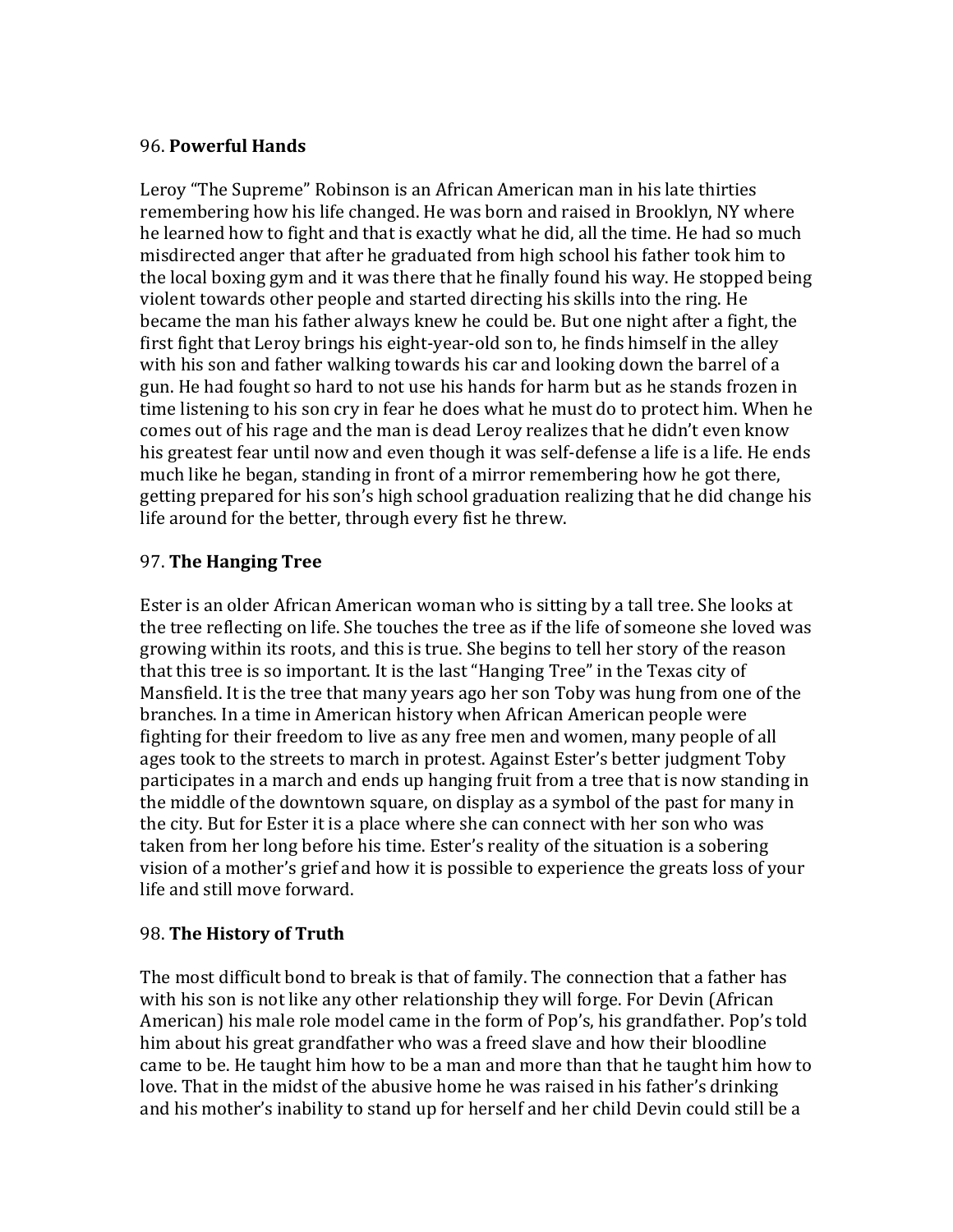#### 96. **Powerful Hands**

Leroy "The Supreme" Robinson is an African American man in his late thirties remembering how his life changed. He was born and raised in Brooklyn, NY where he learned how to fight and that is exactly what he did, all the time. He had so much misdirected anger that after he graduated from high school his father took him to the local boxing gym and it was there that he finally found his way. He stopped being violent towards other people and started directing his skills into the ring. He became the man his father always knew he could be. But one night after a fight, the first fight that Leroy brings his eight-year-old son to, he finds himself in the alley with his son and father walking towards his car and looking down the barrel of a gun. He had fought so hard to not use his hands for harm but as he stands frozen in time listening to his son cry in fear he does what he must do to protect him. When he comes out of his rage and the man is dead Leroy realizes that he didn't even know his greatest fear until now and even though it was self-defense a life is a life. He ends much like he began, standing in front of a mirror remembering how he got there, getting prepared for his son's high school graduation realizing that he did change his life around for the better, through every fist he threw.

## 97. **The Hanging Tree**

Ester is an older African American woman who is sitting by a tall tree. She looks at the tree reflecting on life. She touches the tree as if the life of someone she loved was growing within its roots, and this is true. She begins to tell her story of the reason that this tree is so important. It is the last "Hanging Tree" in the Texas city of Mansfield. It is the tree that many years ago her son Toby was hung from one of the branches. In a time in American history when African American people were fighting for their freedom to live as any free men and women, many people of all ages took to the streets to march in protest. Against Ester's better judgment Toby participates in a march and ends up hanging fruit from a tree that is now standing in the middle of the downtown square, on display as a symbol of the past for many in the city. But for Ester it is a place where she can connect with her son who was taken from her long before his time. Ester's reality of the situation is a sobering vision of a mother's grief and how it is possible to experience the greats loss of your life and still move forward.

#### 98. The History of Truth

The most difficult bond to break is that of family. The connection that a father has with his son is not like any other relationship they will forge. For Devin (African American) his male role model came in the form of Pop's, his grandfather. Pop's told him about his great grandfather who was a freed slave and how their bloodline came to be. He taught him how to be a man and more than that he taught him how to love. That in the midst of the abusive home he was raised in his father's drinking and his mother's inability to stand up for herself and her child Devin could still be a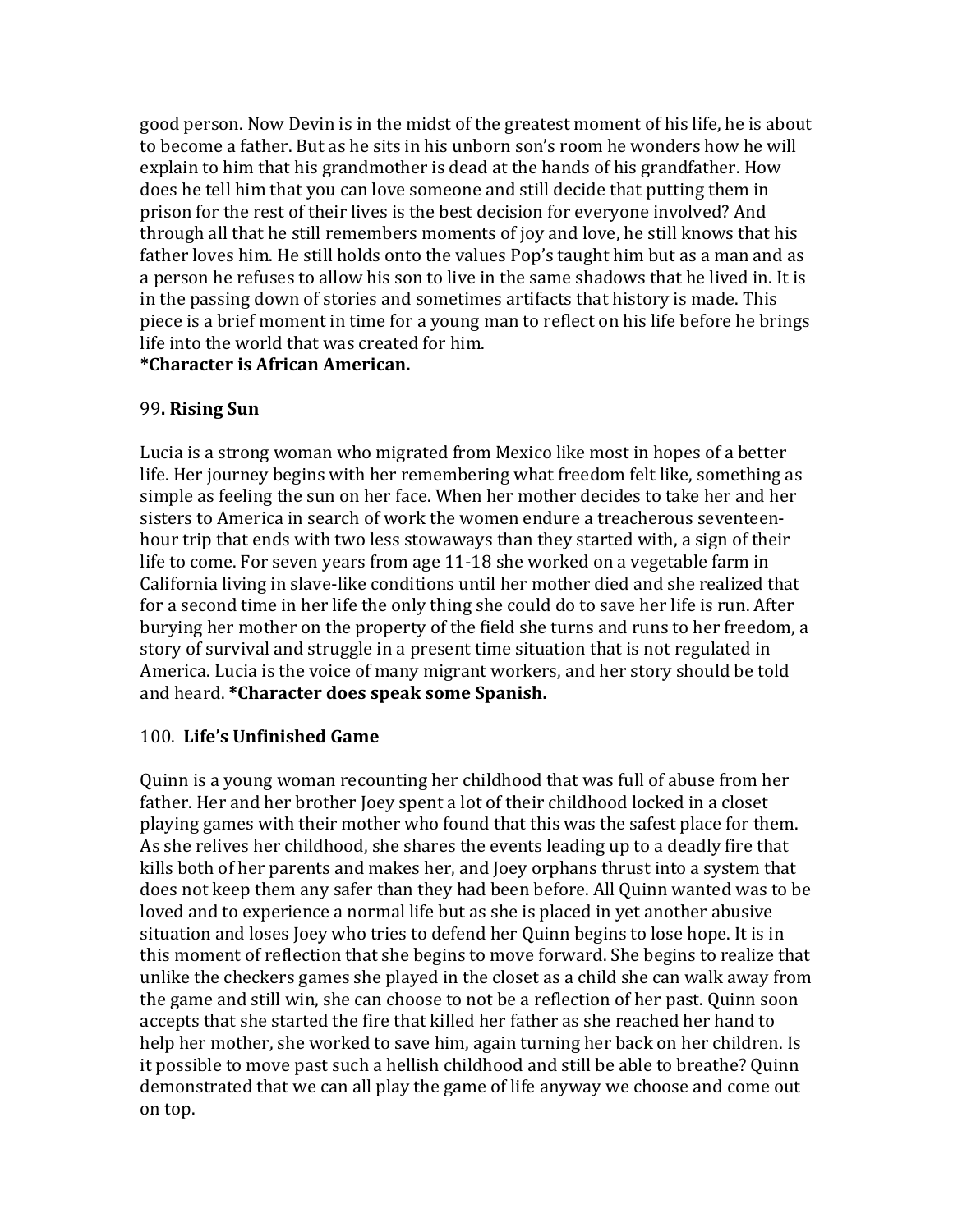good person. Now Devin is in the midst of the greatest moment of his life, he is about to become a father. But as he sits in his unborn son's room he wonders how he will explain to him that his grandmother is dead at the hands of his grandfather. How does he tell him that you can love someone and still decide that putting them in prison for the rest of their lives is the best decision for everyone involved? And through all that he still remembers moments of joy and love, he still knows that his father loves him. He still holds onto the values Pop's taught him but as a man and as a person he refuses to allow his son to live in the same shadows that he lived in. It is in the passing down of stories and sometimes artifacts that history is made. This piece is a brief moment in time for a young man to reflect on his life before he brings life into the world that was created for him.

**\*Character is African American.**

# 99**. Rising Sun**

Lucia is a strong woman who migrated from Mexico like most in hopes of a better life. Her journey begins with her remembering what freedom felt like, something as simple as feeling the sun on her face. When her mother decides to take her and her sisters to America in search of work the women endure a treacherous seventeenhour trip that ends with two less stowaways than they started with, a sign of their life to come. For seven years from age  $11-18$  she worked on a vegetable farm in California living in slave-like conditions until her mother died and she realized that for a second time in her life the only thing she could do to save her life is run. After burying her mother on the property of the field she turns and runs to her freedom, a story of survival and struggle in a present time situation that is not regulated in America. Lucia is the voice of many migrant workers, and her story should be told and heard. *\**Character does speak some Spanish.

## 100. **Life's Unfinished Game**

Quinn is a young woman recounting her childhood that was full of abuse from her father. Her and her brother Joey spent a lot of their childhood locked in a closet playing games with their mother who found that this was the safest place for them. As she relives her childhood, she shares the events leading up to a deadly fire that kills both of her parents and makes her, and Joey orphans thrust into a system that does not keep them any safer than they had been before. All Quinn wanted was to be loved and to experience a normal life but as she is placed in yet another abusive situation and loses Joey who tries to defend her Quinn begins to lose hope. It is in this moment of reflection that she begins to move forward. She begins to realize that unlike the checkers games she played in the closet as a child she can walk away from the game and still win, she can choose to not be a reflection of her past. Quinn soon accepts that she started the fire that killed her father as she reached her hand to help her mother, she worked to save him, again turning her back on her children. Is it possible to move past such a hellish childhood and still be able to breathe? Quinn demonstrated that we can all play the game of life anyway we choose and come out on top.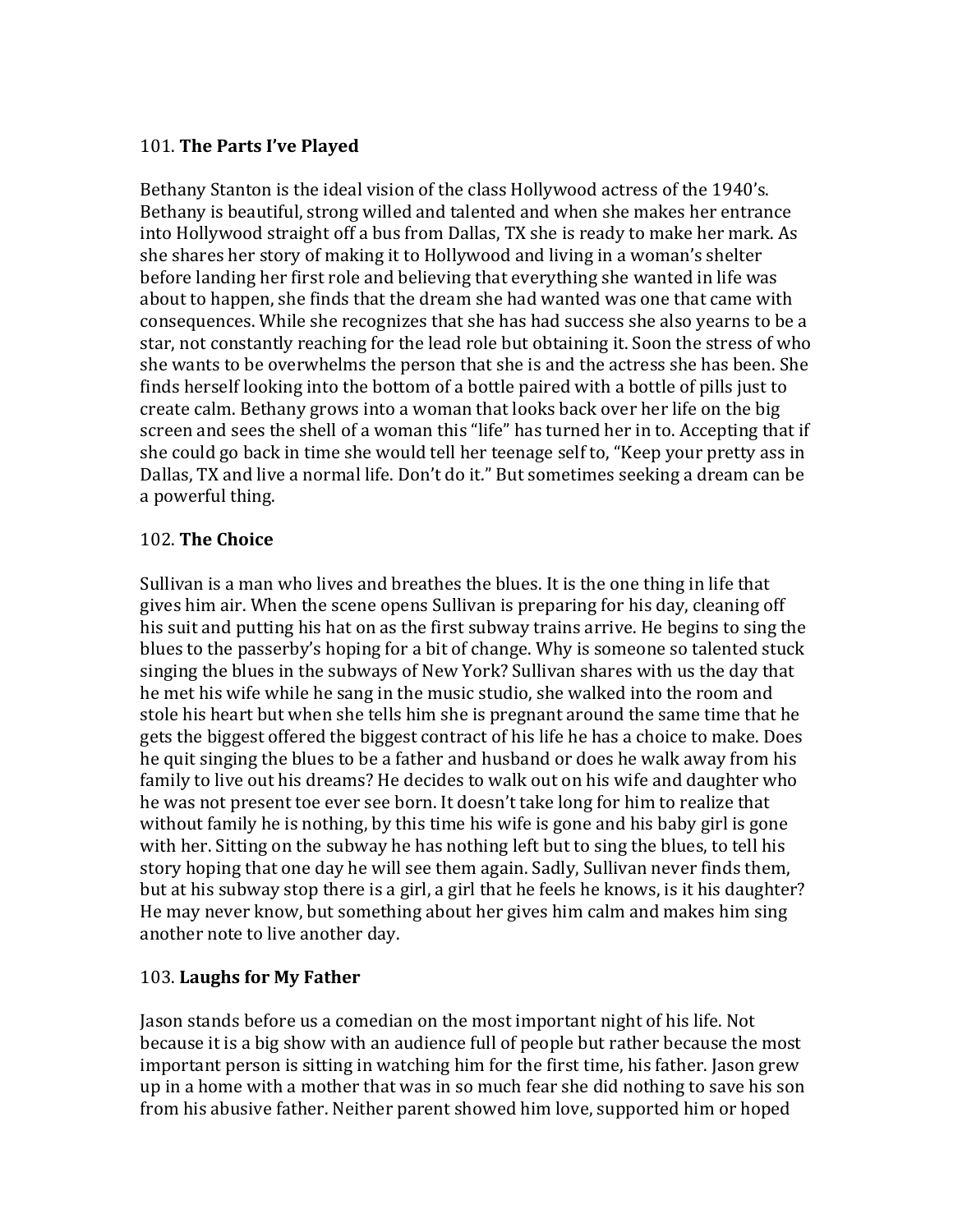# 101. The Parts I've Played

Bethany Stanton is the ideal vision of the class Hollywood actress of the 1940's. Bethany is beautiful, strong willed and talented and when she makes her entrance into Hollywood straight off a bus from Dallas, TX she is ready to make her mark. As she shares her story of making it to Hollywood and living in a woman's shelter before landing her first role and believing that everything she wanted in life was about to happen, she finds that the dream she had wanted was one that came with consequences. While she recognizes that she has had success she also yearns to be a star, not constantly reaching for the lead role but obtaining it. Soon the stress of who she wants to be overwhelms the person that she is and the actress she has been. She finds herself looking into the bottom of a bottle paired with a bottle of pills just to create calm. Bethany grows into a woman that looks back over her life on the big screen and sees the shell of a woman this "life" has turned her in to. Accepting that if she could go back in time she would tell her teenage self to, "Keep your pretty ass in Dallas, TX and live a normal life. Don't do it." But sometimes seeking a dream can be a powerful thing.

## 102. **The Choice**

Sullivan is a man who lives and breathes the blues. It is the one thing in life that gives him air. When the scene opens Sullivan is preparing for his day, cleaning off his suit and putting his hat on as the first subway trains arrive. He begins to sing the blues to the passerby's hoping for a bit of change. Why is someone so talented stuck singing the blues in the subways of New York? Sullivan shares with us the day that he met his wife while he sang in the music studio, she walked into the room and stole his heart but when she tells him she is pregnant around the same time that he gets the biggest offered the biggest contract of his life he has a choice to make. Does he quit singing the blues to be a father and husband or does he walk away from his family to live out his dreams? He decides to walk out on his wife and daughter who he was not present toe ever see born. It doesn't take long for him to realize that without family he is nothing, by this time his wife is gone and his baby girl is gone with her. Sitting on the subway he has nothing left but to sing the blues, to tell his story hoping that one day he will see them again. Sadly, Sullivan never finds them, but at his subway stop there is a girl, a girl that he feels he knows, is it his daughter? He may never know, but something about her gives him calm and makes him sing another note to live another day.

## 103. **Laughs for My Father**

Jason stands before us a comedian on the most important night of his life. Not because it is a big show with an audience full of people but rather because the most important person is sitting in watching him for the first time, his father. Jason grew up in a home with a mother that was in so much fear she did nothing to save his son from his abusive father. Neither parent showed him love, supported him or hoped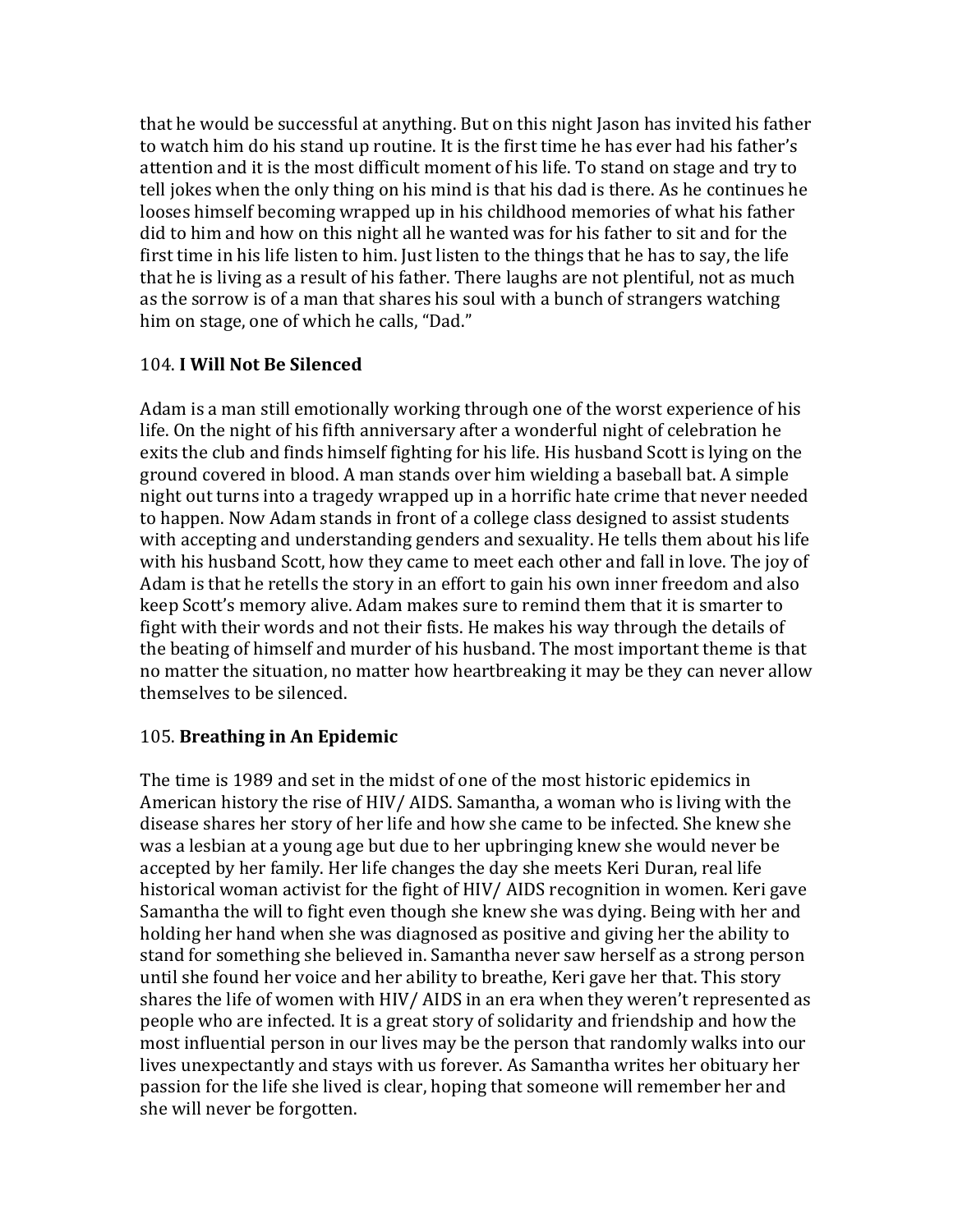that he would be successful at anything. But on this night Jason has invited his father to watch him do his stand up routine. It is the first time he has ever had his father's attention and it is the most difficult moment of his life. To stand on stage and try to tell jokes when the only thing on his mind is that his dad is there. As he continues he looses himself becoming wrapped up in his childhood memories of what his father did to him and how on this night all he wanted was for his father to sit and for the first time in his life listen to him. Just listen to the things that he has to say, the life that he is living as a result of his father. There laughs are not plentiful, not as much as the sorrow is of a man that shares his soul with a bunch of strangers watching him on stage, one of which he calls, "Dad."

#### 104. **I Will Not Be Silenced**

Adam is a man still emotionally working through one of the worst experience of his life. On the night of his fifth anniversary after a wonderful night of celebration he exits the club and finds himself fighting for his life. His husband Scott is lying on the ground covered in blood. A man stands over him wielding a baseball bat. A simple night out turns into a tragedy wrapped up in a horrific hate crime that never needed to happen. Now Adam stands in front of a college class designed to assist students with accepting and understanding genders and sexuality. He tells them about his life with his husband Scott, how they came to meet each other and fall in love. The joy of Adam is that he retells the story in an effort to gain his own inner freedom and also keep Scott's memory alive. Adam makes sure to remind them that it is smarter to fight with their words and not their fists. He makes his way through the details of the beating of himself and murder of his husband. The most important theme is that no matter the situation, no matter how heartbreaking it may be they can never allow themselves to be silenced.

## 105. **Breathing in An Epidemic**

The time is 1989 and set in the midst of one of the most historic epidemics in American history the rise of HIV/ AIDS. Samantha, a woman who is living with the disease shares her story of her life and how she came to be infected. She knew she was a lesbian at a young age but due to her upbringing knew she would never be accepted by her family. Her life changes the day she meets Keri Duran, real life historical woman activist for the fight of HIV/ AIDS recognition in women. Keri gave Samantha the will to fight even though she knew she was dying. Being with her and holding her hand when she was diagnosed as positive and giving her the ability to stand for something she believed in. Samantha never saw herself as a strong person until she found her voice and her ability to breathe, Keri gave her that. This story shares the life of women with HIV/ AIDS in an era when they weren't represented as people who are infected. It is a great story of solidarity and friendship and how the most influential person in our lives may be the person that randomly walks into our lives unexpectantly and stays with us forever. As Samantha writes her obituary her passion for the life she lived is clear, hoping that someone will remember her and she will never be forgotten.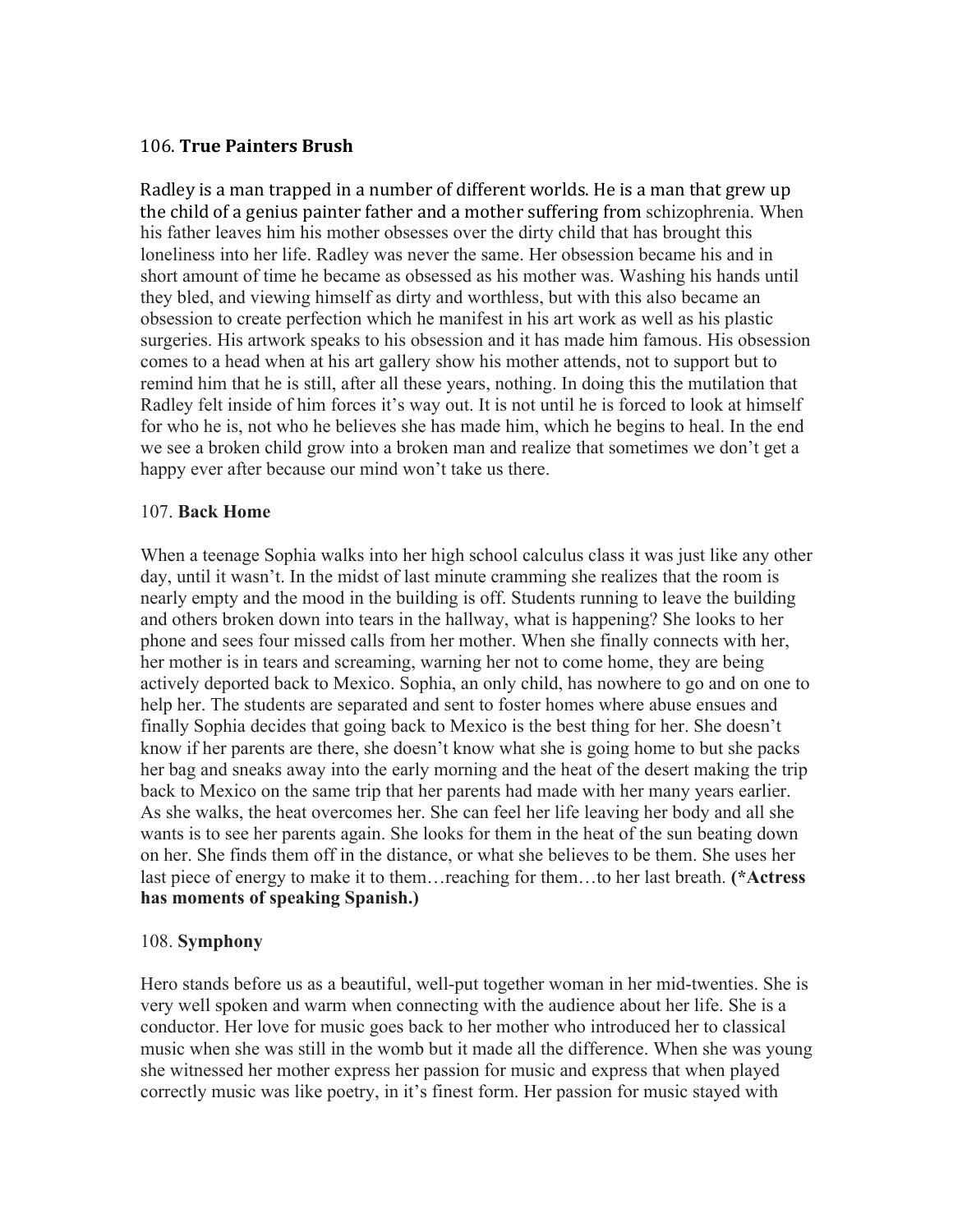#### 106. **True Painters Brush**

Radley is a man trapped in a number of different worlds. He is a man that grew up the child of a genius painter father and a mother suffering from schizophrenia. When his father leaves him his mother obsesses over the dirty child that has brought this loneliness into her life. Radley was never the same. Her obsession became his and in short amount of time he became as obsessed as his mother was. Washing his hands until they bled, and viewing himself as dirty and worthless, but with this also became an obsession to create perfection which he manifest in his art work as well as his plastic surgeries. His artwork speaks to his obsession and it has made him famous. His obsession comes to a head when at his art gallery show his mother attends, not to support but to remind him that he is still, after all these years, nothing. In doing this the mutilation that Radley felt inside of him forces it's way out. It is not until he is forced to look at himself for who he is, not who he believes she has made him, which he begins to heal. In the end we see a broken child grow into a broken man and realize that sometimes we don't get a happy ever after because our mind won't take us there.

#### 107. **Back Home**

When a teenage Sophia walks into her high school calculus class it was just like any other day, until it wasn't. In the midst of last minute cramming she realizes that the room is nearly empty and the mood in the building is off. Students running to leave the building and others broken down into tears in the hallway, what is happening? She looks to her phone and sees four missed calls from her mother. When she finally connects with her, her mother is in tears and screaming, warning her not to come home, they are being actively deported back to Mexico. Sophia, an only child, has nowhere to go and on one to help her. The students are separated and sent to foster homes where abuse ensues and finally Sophia decides that going back to Mexico is the best thing for her. She doesn't know if her parents are there, she doesn't know what she is going home to but she packs her bag and sneaks away into the early morning and the heat of the desert making the trip back to Mexico on the same trip that her parents had made with her many years earlier. As she walks, the heat overcomes her. She can feel her life leaving her body and all she wants is to see her parents again. She looks for them in the heat of the sun beating down on her. She finds them off in the distance, or what she believes to be them. She uses her last piece of energy to make it to them…reaching for them…to her last breath. **(\*Actress has moments of speaking Spanish.)**

#### 108. **Symphony**

Hero stands before us as a beautiful, well-put together woman in her mid-twenties. She is very well spoken and warm when connecting with the audience about her life. She is a conductor. Her love for music goes back to her mother who introduced her to classical music when she was still in the womb but it made all the difference. When she was young she witnessed her mother express her passion for music and express that when played correctly music was like poetry, in it's finest form. Her passion for music stayed with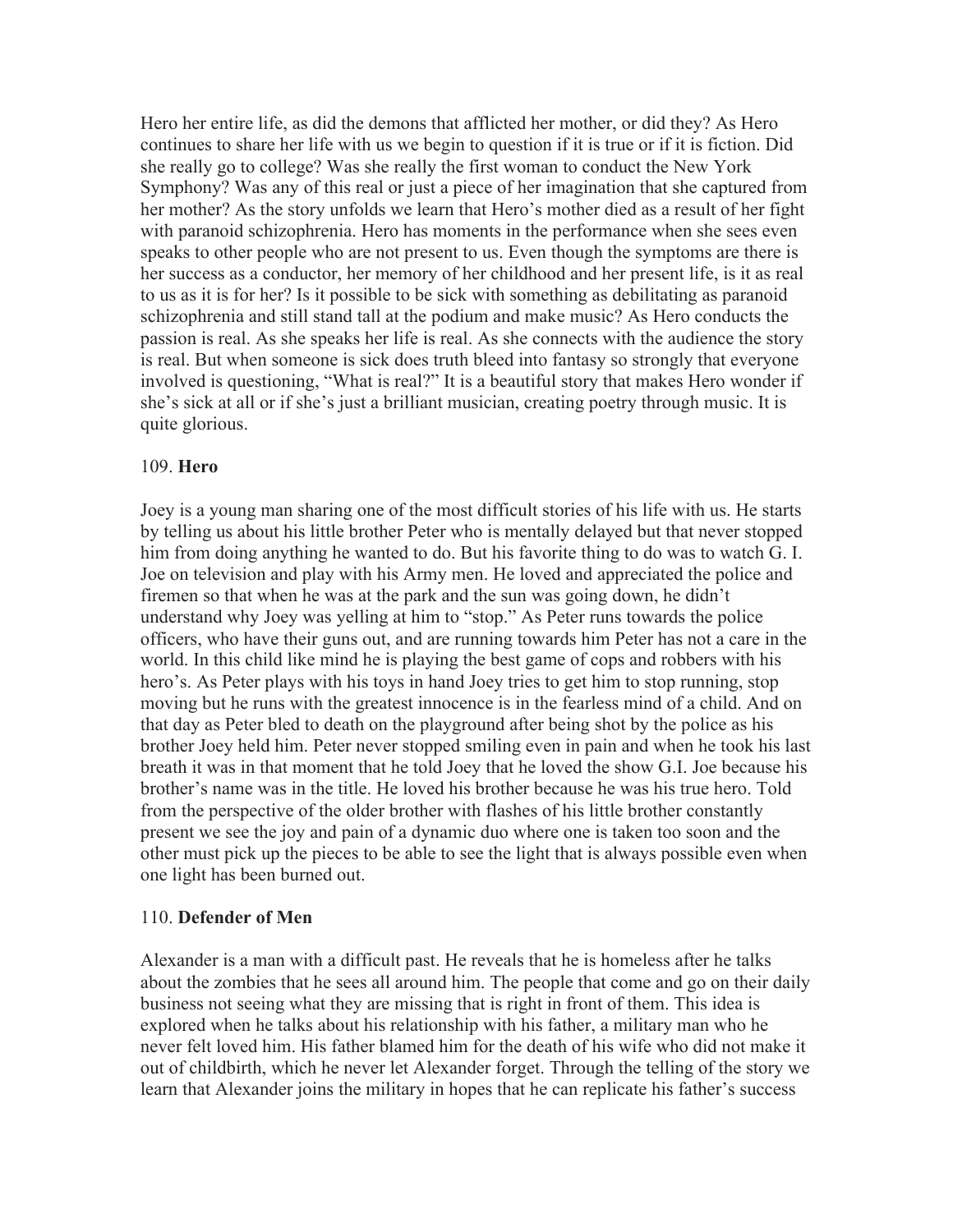Hero her entire life, as did the demons that afflicted her mother, or did they? As Hero continues to share her life with us we begin to question if it is true or if it is fiction. Did she really go to college? Was she really the first woman to conduct the New York Symphony? Was any of this real or just a piece of her imagination that she captured from her mother? As the story unfolds we learn that Hero's mother died as a result of her fight with paranoid schizophrenia. Hero has moments in the performance when she sees even speaks to other people who are not present to us. Even though the symptoms are there is her success as a conductor, her memory of her childhood and her present life, is it as real to us as it is for her? Is it possible to be sick with something as debilitating as paranoid schizophrenia and still stand tall at the podium and make music? As Hero conducts the passion is real. As she speaks her life is real. As she connects with the audience the story is real. But when someone is sick does truth bleed into fantasy so strongly that everyone involved is questioning, "What is real?" It is a beautiful story that makes Hero wonder if she's sick at all or if she's just a brilliant musician, creating poetry through music. It is quite glorious.

#### 109. **Hero**

Joey is a young man sharing one of the most difficult stories of his life with us. He starts by telling us about his little brother Peter who is mentally delayed but that never stopped him from doing anything he wanted to do. But his favorite thing to do was to watch G. I. Joe on television and play with his Army men. He loved and appreciated the police and firemen so that when he was at the park and the sun was going down, he didn't understand why Joey was yelling at him to "stop." As Peter runs towards the police officers, who have their guns out, and are running towards him Peter has not a care in the world. In this child like mind he is playing the best game of cops and robbers with his hero's. As Peter plays with his toys in hand Joey tries to get him to stop running, stop moving but he runs with the greatest innocence is in the fearless mind of a child. And on that day as Peter bled to death on the playground after being shot by the police as his brother Joey held him. Peter never stopped smiling even in pain and when he took his last breath it was in that moment that he told Joey that he loved the show G.I. Joe because his brother's name was in the title. He loved his brother because he was his true hero. Told from the perspective of the older brother with flashes of his little brother constantly present we see the joy and pain of a dynamic duo where one is taken too soon and the other must pick up the pieces to be able to see the light that is always possible even when one light has been burned out.

#### 110. **Defender of Men**

Alexander is a man with a difficult past. He reveals that he is homeless after he talks about the zombies that he sees all around him. The people that come and go on their daily business not seeing what they are missing that is right in front of them. This idea is explored when he talks about his relationship with his father, a military man who he never felt loved him. His father blamed him for the death of his wife who did not make it out of childbirth, which he never let Alexander forget. Through the telling of the story we learn that Alexander joins the military in hopes that he can replicate his father's success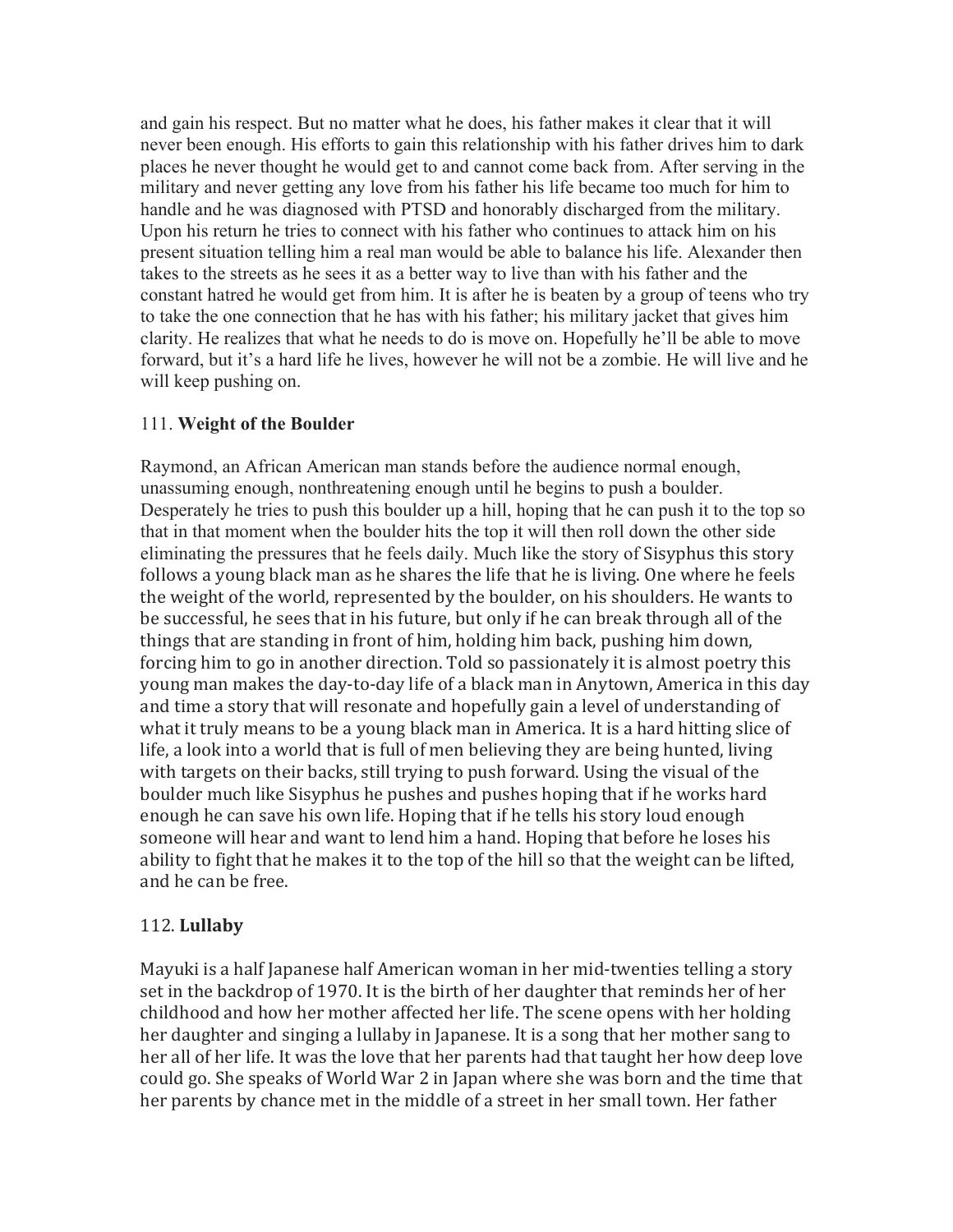and gain his respect. But no matter what he does, his father makes it clear that it will never been enough. His efforts to gain this relationship with his father drives him to dark places he never thought he would get to and cannot come back from. After serving in the military and never getting any love from his father his life became too much for him to handle and he was diagnosed with PTSD and honorably discharged from the military. Upon his return he tries to connect with his father who continues to attack him on his present situation telling him a real man would be able to balance his life. Alexander then takes to the streets as he sees it as a better way to live than with his father and the constant hatred he would get from him. It is after he is beaten by a group of teens who try to take the one connection that he has with his father; his military jacket that gives him clarity. He realizes that what he needs to do is move on. Hopefully he'll be able to move forward, but it's a hard life he lives, however he will not be a zombie. He will live and he will keep pushing on.

## 111. **Weight of the Boulder**

Raymond, an African American man stands before the audience normal enough, unassuming enough, nonthreatening enough until he begins to push a boulder. Desperately he tries to push this boulder up a hill, hoping that he can push it to the top so that in that moment when the boulder hits the top it will then roll down the other side eliminating the pressures that he feels daily. Much like the story of Sisyphus this story follows a young black man as he shares the life that he is living. One where he feels the weight of the world, represented by the boulder, on his shoulders. He wants to be successful, he sees that in his future, but only if he can break through all of the things that are standing in front of him, holding him back, pushing him down, forcing him to go in another direction. Told so passionately it is almost poetry this young man makes the day-to-day life of a black man in Anytown, America in this day and time a story that will resonate and hopefully gain a level of understanding of what it truly means to be a young black man in America. It is a hard hitting slice of life, a look into a world that is full of men believing they are being hunted, living with targets on their backs, still trying to push forward. Using the visual of the boulder much like Sisyphus he pushes and pushes hoping that if he works hard enough he can save his own life. Hoping that if he tells his story loud enough someone will hear and want to lend him a hand. Hoping that before he loses his ability to fight that he makes it to the top of the hill so that the weight can be lifted, and he can be free.

## 112. **Lullaby**

Mayuki is a half Japanese half American woman in her mid-twenties telling a story set in the backdrop of 1970. It is the birth of her daughter that reminds her of her childhood and how her mother affected her life. The scene opens with her holding her daughter and singing a lullaby in Japanese. It is a song that her mother sang to her all of her life. It was the love that her parents had that taught her how deep love could go. She speaks of World War 2 in Japan where she was born and the time that her parents by chance met in the middle of a street in her small town. Her father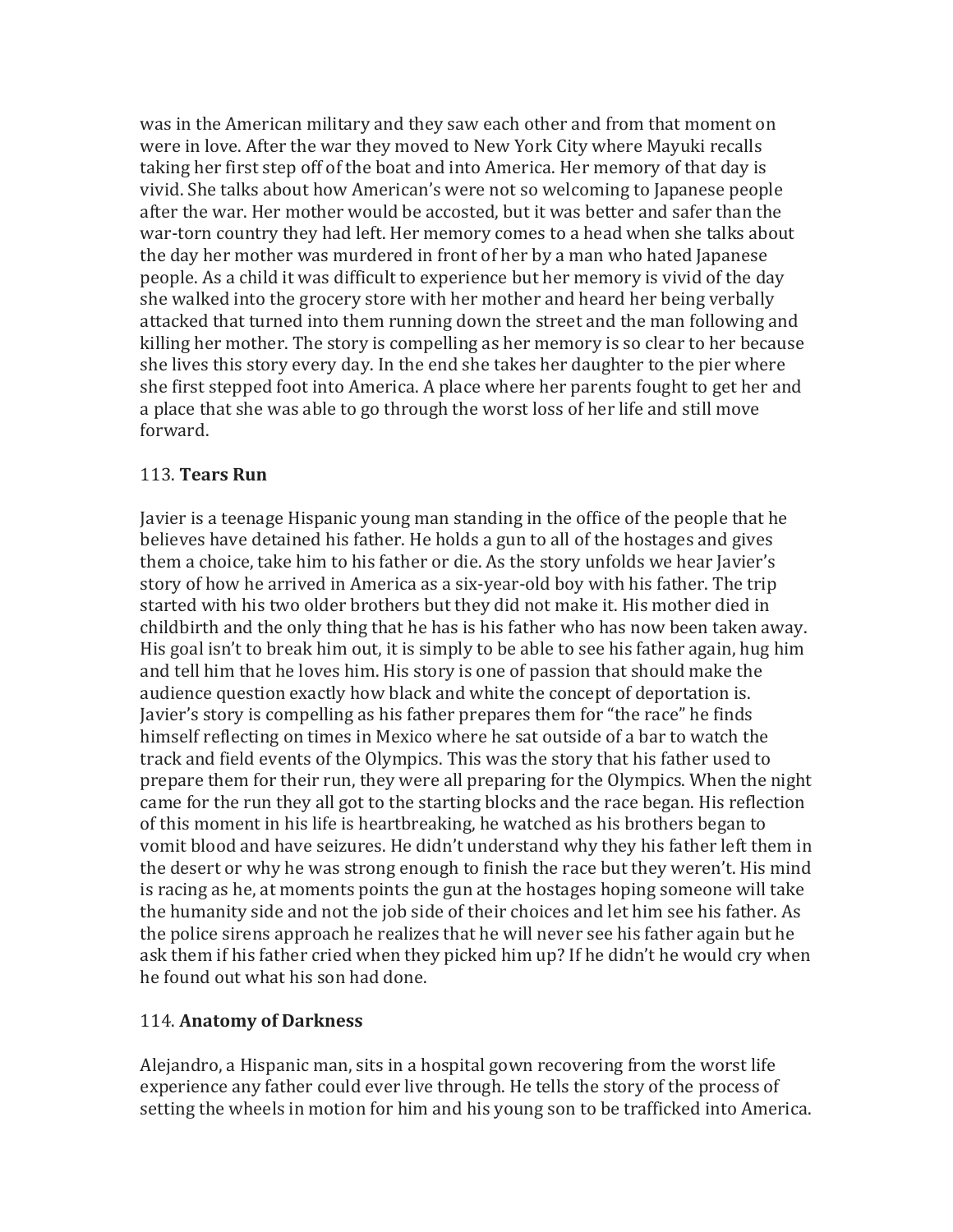was in the American military and they saw each other and from that moment on were in love. After the war they moved to New York City where Mayuki recalls taking her first step off of the boat and into America. Her memory of that day is vivid. She talks about how American's were not so welcoming to Japanese people after the war. Her mother would be accosted, but it was better and safer than the war-torn country they had left. Her memory comes to a head when she talks about the day her mother was murdered in front of her by a man who hated Japanese people. As a child it was difficult to experience but her memory is vivid of the day she walked into the grocery store with her mother and heard her being verbally attacked that turned into them running down the street and the man following and killing her mother. The story is compelling as her memory is so clear to her because she lives this story every day. In the end she takes her daughter to the pier where she first stepped foot into America. A place where her parents fought to get her and a place that she was able to go through the worst loss of her life and still move forward.

## 113. **Tears Run**

Javier is a teenage Hispanic young man standing in the office of the people that he believes have detained his father. He holds a gun to all of the hostages and gives them a choice, take him to his father or die. As the story unfolds we hear Javier's story of how he arrived in America as a six-year-old boy with his father. The trip started with his two older brothers but they did not make it. His mother died in childbirth and the only thing that he has is his father who has now been taken away. His goal isn't to break him out, it is simply to be able to see his father again, hug him and tell him that he loves him. His story is one of passion that should make the audience question exactly how black and white the concept of deportation is. Javier's story is compelling as his father prepares them for "the race" he finds himself reflecting on times in Mexico where he sat outside of a bar to watch the track and field events of the Olympics. This was the story that his father used to prepare them for their run, they were all preparing for the Olympics. When the night came for the run they all got to the starting blocks and the race began. His reflection of this moment in his life is heartbreaking, he watched as his brothers began to vomit blood and have seizures. He didn't understand why they his father left them in the desert or why he was strong enough to finish the race but they weren't. His mind is racing as he, at moments points the gun at the hostages hoping someone will take the humanity side and not the job side of their choices and let him see his father. As the police sirens approach he realizes that he will never see his father again but he ask them if his father cried when they picked him up? If he didn't he would cry when he found out what his son had done.

## 114. **Anatomy of Darkness**

Alejandro, a Hispanic man, sits in a hospital gown recovering from the worst life experience any father could ever live through. He tells the story of the process of setting the wheels in motion for him and his young son to be trafficked into America.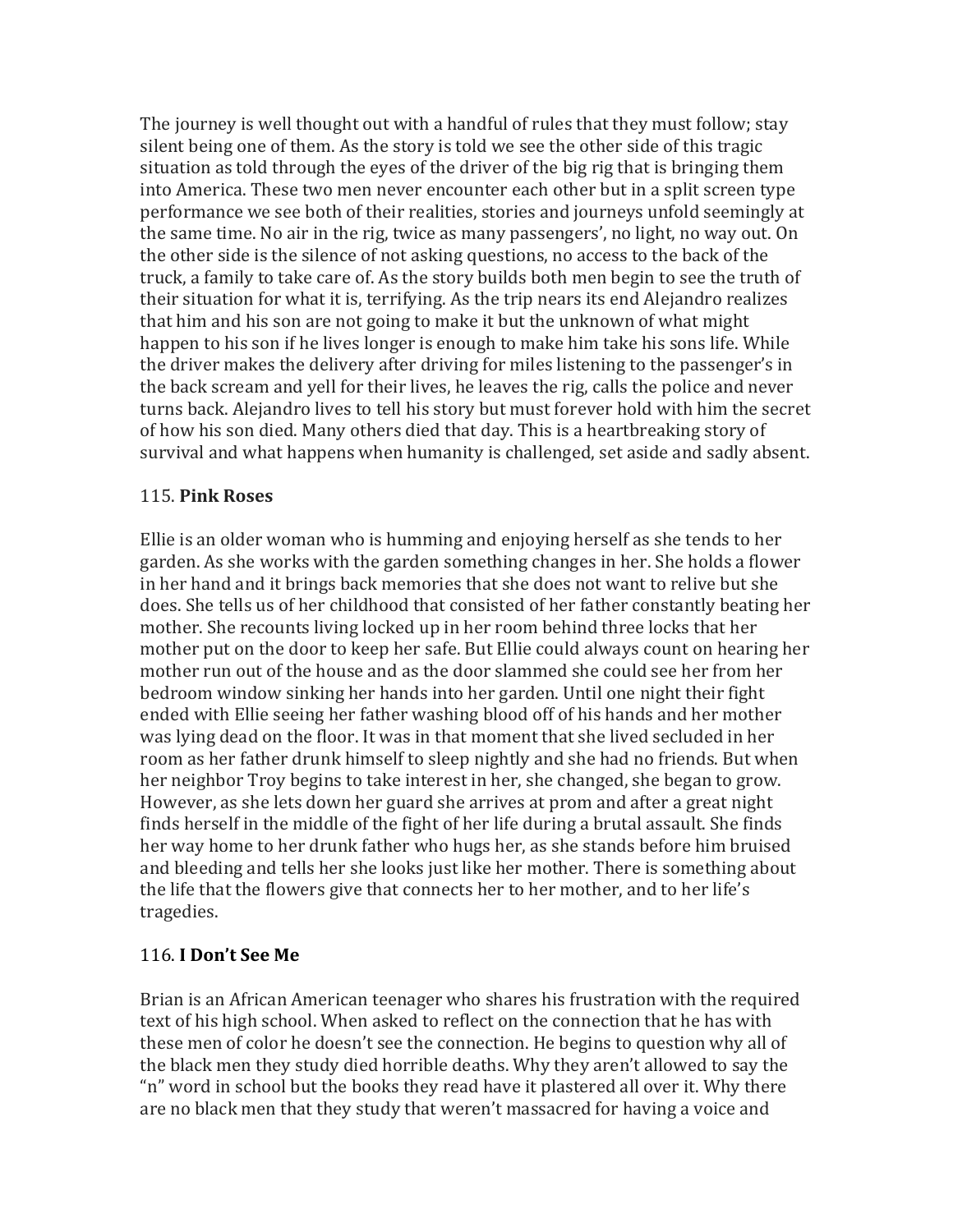The journey is well thought out with a handful of rules that they must follow; stay silent being one of them. As the story is told we see the other side of this tragic situation as told through the eyes of the driver of the big rig that is bringing them into America. These two men never encounter each other but in a split screen type performance we see both of their realities, stories and journeys unfold seemingly at the same time. No air in the rig, twice as many passengers', no light, no way out. On the other side is the silence of not asking questions, no access to the back of the truck, a family to take care of. As the story builds both men begin to see the truth of their situation for what it is, terrifying. As the trip nears its end Alejandro realizes that him and his son are not going to make it but the unknown of what might happen to his son if he lives longer is enough to make him take his sons life. While the driver makes the delivery after driving for miles listening to the passenger's in the back scream and yell for their lives, he leaves the rig, calls the police and never turns back. Alejandro lives to tell his story but must forever hold with him the secret of how his son died. Many others died that day. This is a heartbreaking story of survival and what happens when humanity is challenged, set aside and sadly absent.

#### 115. **Pink Roses**

Ellie is an older woman who is humming and enjoying herself as she tends to her garden. As she works with the garden something changes in her. She holds a flower in her hand and it brings back memories that she does not want to relive but she does. She tells us of her childhood that consisted of her father constantly beating her mother. She recounts living locked up in her room behind three locks that her mother put on the door to keep her safe. But Ellie could always count on hearing her mother run out of the house and as the door slammed she could see her from her bedroom window sinking her hands into her garden. Until one night their fight ended with Ellie seeing her father washing blood off of his hands and her mother was lying dead on the floor. It was in that moment that she lived secluded in her room as her father drunk himself to sleep nightly and she had no friends. But when her neighbor Troy begins to take interest in her, she changed, she began to grow. However, as she lets down her guard she arrives at prom and after a great night finds herself in the middle of the fight of her life during a brutal assault. She finds her way home to her drunk father who hugs her, as she stands before him bruised and bleeding and tells her she looks just like her mother. There is something about the life that the flowers give that connects her to her mother, and to her life's tragedies. 

#### 116. **I Don't See Me**

Brian is an African American teenager who shares his frustration with the required text of his high school. When asked to reflect on the connection that he has with these men of color he doesn't see the connection. He begins to question why all of the black men they study died horrible deaths. Why they aren't allowed to say the "n" word in school but the books they read have it plastered all over it. Why there are no black men that they study that weren't massacred for having a voice and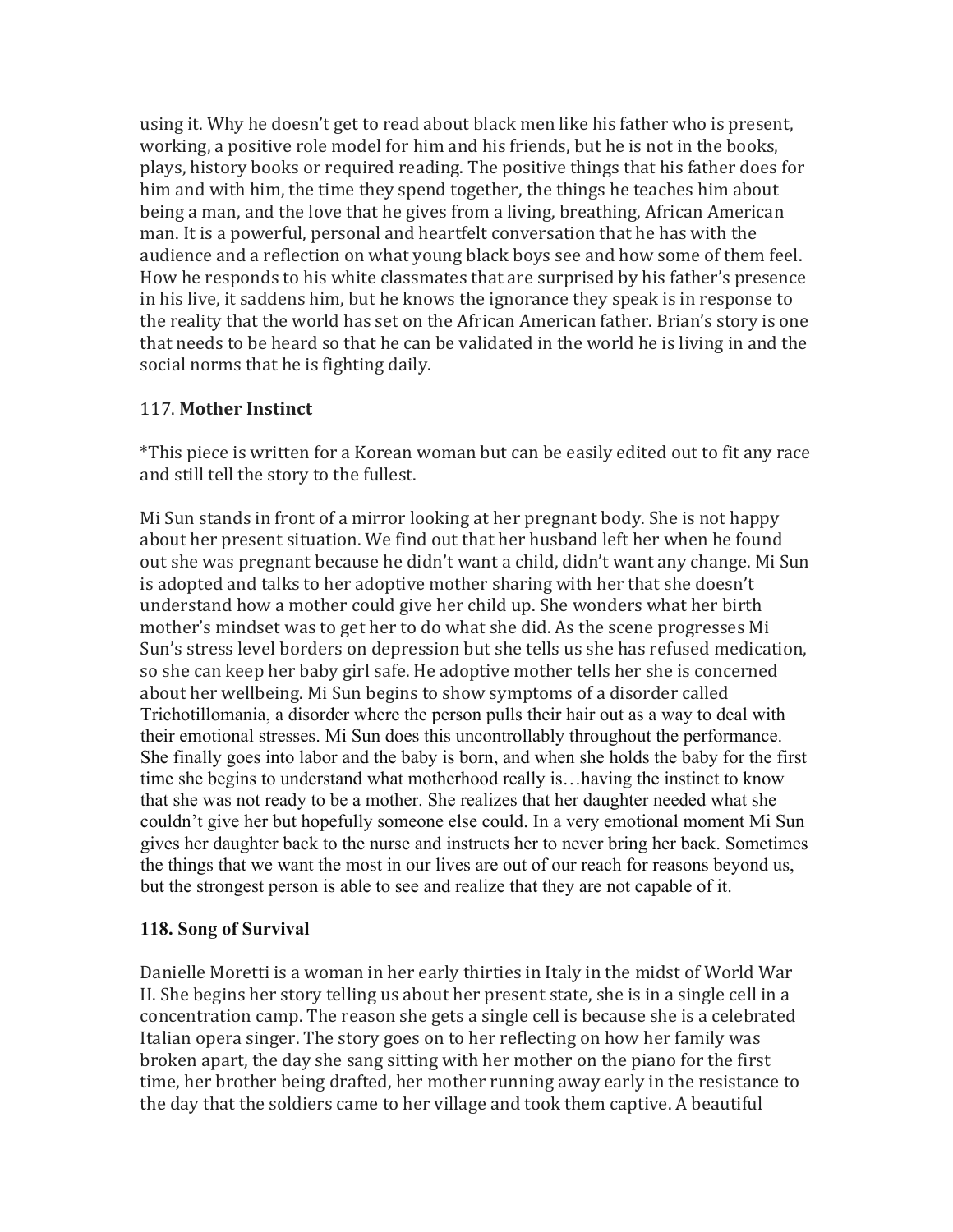using it. Why he doesn't get to read about black men like his father who is present, working, a positive role model for him and his friends, but he is not in the books, plays, history books or required reading. The positive things that his father does for him and with him, the time they spend together, the things he teaches him about being a man, and the love that he gives from a living, breathing, African American man. It is a powerful, personal and heartfelt conversation that he has with the audience and a reflection on what young black boys see and how some of them feel. How he responds to his white classmates that are surprised by his father's presence in his live, it saddens him, but he knows the ignorance they speak is in response to the reality that the world has set on the African American father. Brian's story is one that needs to be heard so that he can be validated in the world he is living in and the social norms that he is fighting daily.

## 117. **Mother Instinct**

\*This piece is written for a Korean woman but can be easily edited out to fit any race and still tell the story to the fullest.

Mi Sun stands in front of a mirror looking at her pregnant body. She is not happy about her present situation. We find out that her husband left her when he found out she was pregnant because he didn't want a child, didn't want any change. Mi Sun is adopted and talks to her adoptive mother sharing with her that she doesn't understand how a mother could give her child up. She wonders what her birth mother's mindset was to get her to do what she did. As the scene progresses Mi Sun's stress level borders on depression but she tells us she has refused medication, so she can keep her baby girl safe. He adoptive mother tells her she is concerned about her wellbeing. Mi Sun begins to show symptoms of a disorder called Trichotillomania, a disorder where the person pulls their hair out as a way to deal with their emotional stresses. Mi Sun does this uncontrollably throughout the performance. She finally goes into labor and the baby is born, and when she holds the baby for the first time she begins to understand what motherhood really is…having the instinct to know that she was not ready to be a mother. She realizes that her daughter needed what she couldn't give her but hopefully someone else could. In a very emotional moment Mi Sun gives her daughter back to the nurse and instructs her to never bring her back. Sometimes the things that we want the most in our lives are out of our reach for reasons beyond us, but the strongest person is able to see and realize that they are not capable of it.

#### **118. Song of Survival**

Danielle Moretti is a woman in her early thirties in Italy in the midst of World War II. She begins her story telling us about her present state, she is in a single cell in a concentration camp. The reason she gets a single cell is because she is a celebrated Italian opera singer. The story goes on to her reflecting on how her family was broken apart, the day she sang sitting with her mother on the piano for the first time, her brother being drafted, her mother running away early in the resistance to the day that the soldiers came to her village and took them captive. A beautiful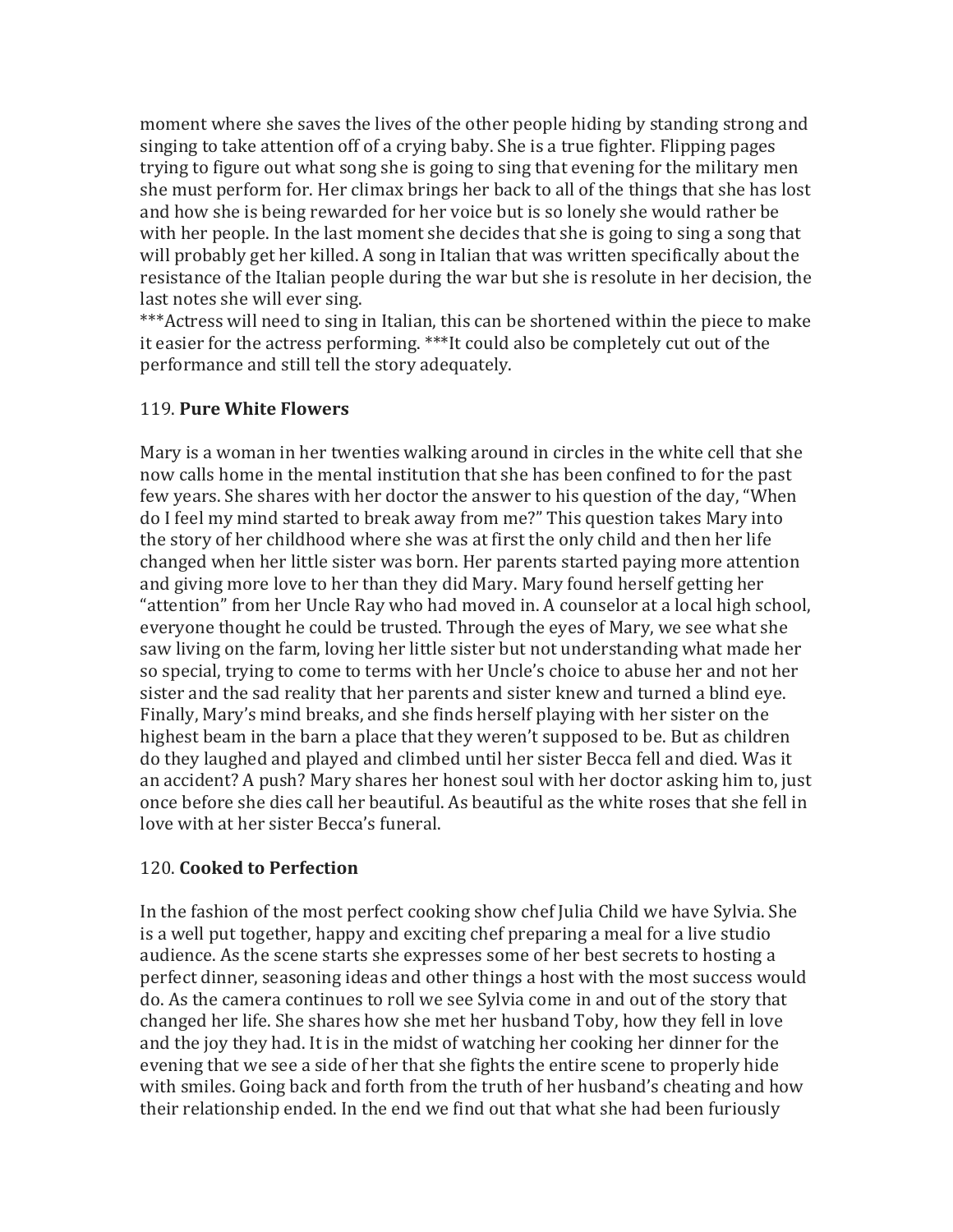moment where she saves the lives of the other people hiding by standing strong and singing to take attention off of a crying baby. She is a true fighter. Flipping pages trying to figure out what song she is going to sing that evening for the military men she must perform for. Her climax brings her back to all of the things that she has lost and how she is being rewarded for her voice but is so lonely she would rather be with her people. In the last moment she decides that she is going to sing a song that will probably get her killed. A song in Italian that was written specifically about the resistance of the Italian people during the war but she is resolute in her decision, the last notes she will ever sing.

\*\*\*Actress will need to sing in Italian, this can be shortened within the piece to make it easier for the actress performing. \*\*\*It could also be completely cut out of the performance and still tell the story adequately.

## 119. **Pure White Flowers**

Mary is a woman in her twenties walking around in circles in the white cell that she now calls home in the mental institution that she has been confined to for the past few years. She shares with her doctor the answer to his question of the day, "When do I feel my mind started to break away from me?" This question takes Mary into the story of her childhood where she was at first the only child and then her life changed when her little sister was born. Her parents started paying more attention and giving more love to her than they did Mary. Mary found herself getting her "attention" from her Uncle Ray who had moved in. A counselor at a local high school, everyone thought he could be trusted. Through the eyes of Mary, we see what she saw living on the farm, loving her little sister but not understanding what made her so special, trying to come to terms with her Uncle's choice to abuse her and not her sister and the sad reality that her parents and sister knew and turned a blind eye. Finally, Mary's mind breaks, and she finds herself playing with her sister on the highest beam in the barn a place that they weren't supposed to be. But as children do they laughed and played and climbed until her sister Becca fell and died. Was it an accident? A push? Mary shares her honest soul with her doctor asking him to, just once before she dies call her beautiful. As beautiful as the white roses that she fell in love with at her sister Becca's funeral.

## 120. **Cooked to Perfection**

In the fashion of the most perfect cooking show chef Julia Child we have Sylvia. She is a well put together, happy and exciting chef preparing a meal for a live studio audience. As the scene starts she expresses some of her best secrets to hosting a perfect dinner, seasoning ideas and other things a host with the most success would do. As the camera continues to roll we see Sylvia come in and out of the story that changed her life. She shares how she met her husband Toby, how they fell in love and the joy they had. It is in the midst of watching her cooking her dinner for the evening that we see a side of her that she fights the entire scene to properly hide with smiles. Going back and forth from the truth of her husband's cheating and how their relationship ended. In the end we find out that what she had been furiously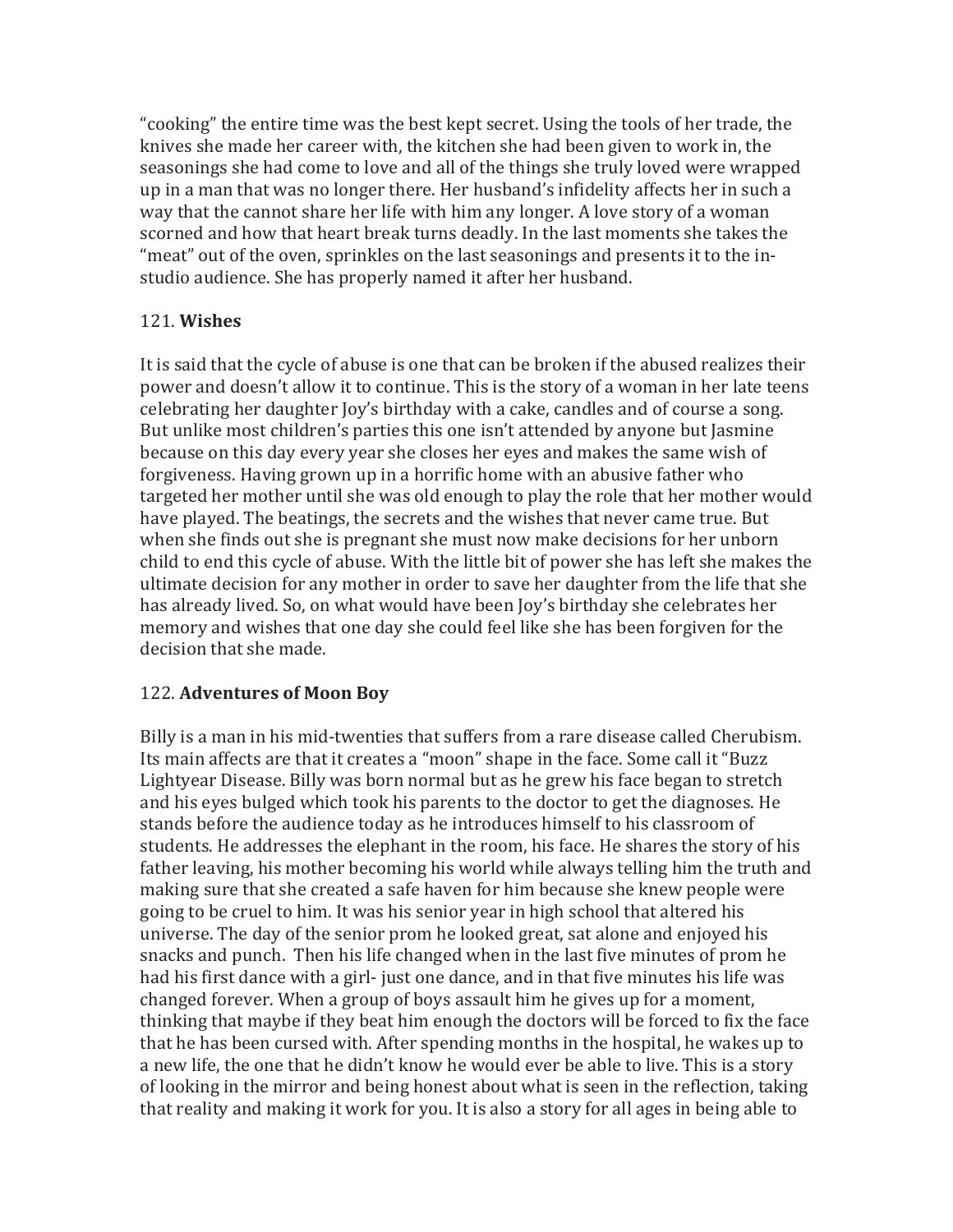"cooking" the entire time was the best kept secret. Using the tools of her trade, the knives she made her career with, the kitchen she had been given to work in, the seasonings she had come to love and all of the things she truly loved were wrapped up in a man that was no longer there. Her husband's infidelity affects her in such a way that the cannot share her life with him any longer. A love story of a woman scorned and how that heart break turns deadly. In the last moments she takes the "meat" out of the oven, sprinkles on the last seasonings and presents it to the instudio audience. She has properly named it after her husband.

# 121. **Wishes**

It is said that the cycle of abuse is one that can be broken if the abused realizes their power and doesn't allow it to continue. This is the story of a woman in her late teens celebrating her daughter Joy's birthday with a cake, candles and of course a song. But unlike most children's parties this one isn't attended by anyone but Jasmine because on this day every year she closes her eyes and makes the same wish of forgiveness. Having grown up in a horrific home with an abusive father who targeted her mother until she was old enough to play the role that her mother would have played. The beatings, the secrets and the wishes that never came true. But when she finds out she is pregnant she must now make decisions for her unborn child to end this cycle of abuse. With the little bit of power she has left she makes the ultimate decision for any mother in order to save her daughter from the life that she has already lived. So, on what would have been Joy's birthday she celebrates her memory and wishes that one day she could feel like she has been forgiven for the decision that she made.

# 122. **Adventures of Moon Boy**

Billy is a man in his mid-twenties that suffers from a rare disease called Cherubism. Its main affects are that it creates a "moon" shape in the face. Some call it "Buzz Lightyear Disease. Billy was born normal but as he grew his face began to stretch and his eyes bulged which took his parents to the doctor to get the diagnoses. He stands before the audience today as he introduces himself to his classroom of students. He addresses the elephant in the room, his face. He shares the story of his father leaving, his mother becoming his world while always telling him the truth and making sure that she created a safe haven for him because she knew people were going to be cruel to him. It was his senior year in high school that altered his universe. The day of the senior prom he looked great, sat alone and enjoyed his snacks and punch. Then his life changed when in the last five minutes of prom he had his first dance with a girl- just one dance, and in that five minutes his life was changed forever. When a group of boys assault him he gives up for a moment, thinking that maybe if they beat him enough the doctors will be forced to fix the face that he has been cursed with. After spending months in the hospital, he wakes up to a new life, the one that he didn't know he would ever be able to live. This is a story of looking in the mirror and being honest about what is seen in the reflection, taking that reality and making it work for you. It is also a story for all ages in being able to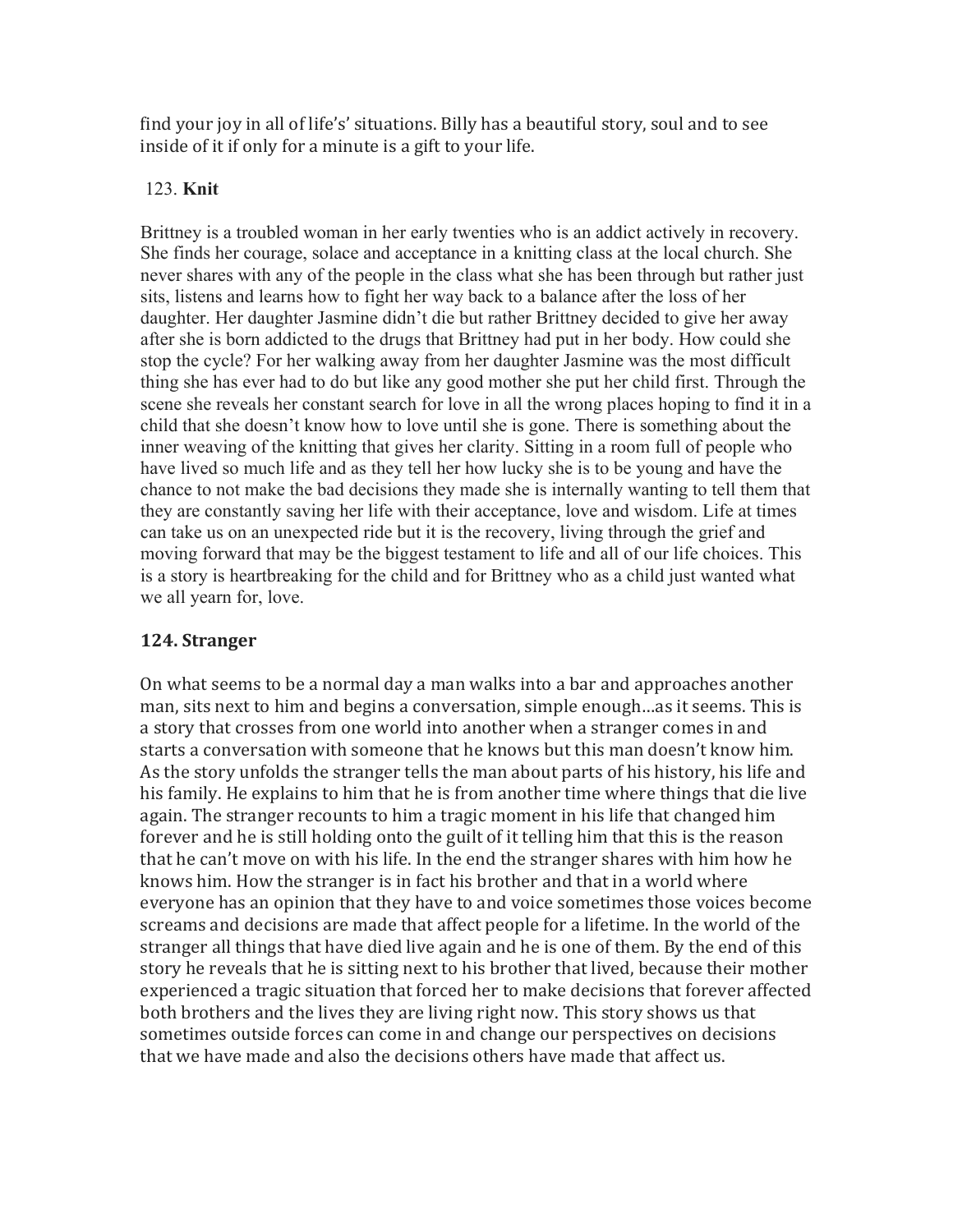find your joy in all of life's' situations. Billy has a beautiful story, soul and to see inside of it if only for a minute is a gift to your life.

#### 123. **Knit**

Brittney is a troubled woman in her early twenties who is an addict actively in recovery. She finds her courage, solace and acceptance in a knitting class at the local church. She never shares with any of the people in the class what she has been through but rather just sits, listens and learns how to fight her way back to a balance after the loss of her daughter. Her daughter Jasmine didn't die but rather Brittney decided to give her away after she is born addicted to the drugs that Brittney had put in her body. How could she stop the cycle? For her walking away from her daughter Jasmine was the most difficult thing she has ever had to do but like any good mother she put her child first. Through the scene she reveals her constant search for love in all the wrong places hoping to find it in a child that she doesn't know how to love until she is gone. There is something about the inner weaving of the knitting that gives her clarity. Sitting in a room full of people who have lived so much life and as they tell her how lucky she is to be young and have the chance to not make the bad decisions they made she is internally wanting to tell them that they are constantly saving her life with their acceptance, love and wisdom. Life at times can take us on an unexpected ride but it is the recovery, living through the grief and moving forward that may be the biggest testament to life and all of our life choices. This is a story is heartbreaking for the child and for Brittney who as a child just wanted what we all yearn for, love.

## **124. Stranger**

On what seems to be a normal day a man walks into a bar and approaches another man, sits next to him and begins a conversation, simple enough...as it seems. This is a story that crosses from one world into another when a stranger comes in and starts a conversation with someone that he knows but this man doesn't know him. As the story unfolds the stranger tells the man about parts of his history, his life and his family. He explains to him that he is from another time where things that die live again. The stranger recounts to him a tragic moment in his life that changed him forever and he is still holding onto the guilt of it telling him that this is the reason that he can't move on with his life. In the end the stranger shares with him how he knows him. How the stranger is in fact his brother and that in a world where everyone has an opinion that they have to and voice sometimes those voices become screams and decisions are made that affect people for a lifetime. In the world of the stranger all things that have died live again and he is one of them. By the end of this story he reveals that he is sitting next to his brother that lived, because their mother experienced a tragic situation that forced her to make decisions that forever affected both brothers and the lives they are living right now. This story shows us that sometimes outside forces can come in and change our perspectives on decisions that we have made and also the decisions others have made that affect us.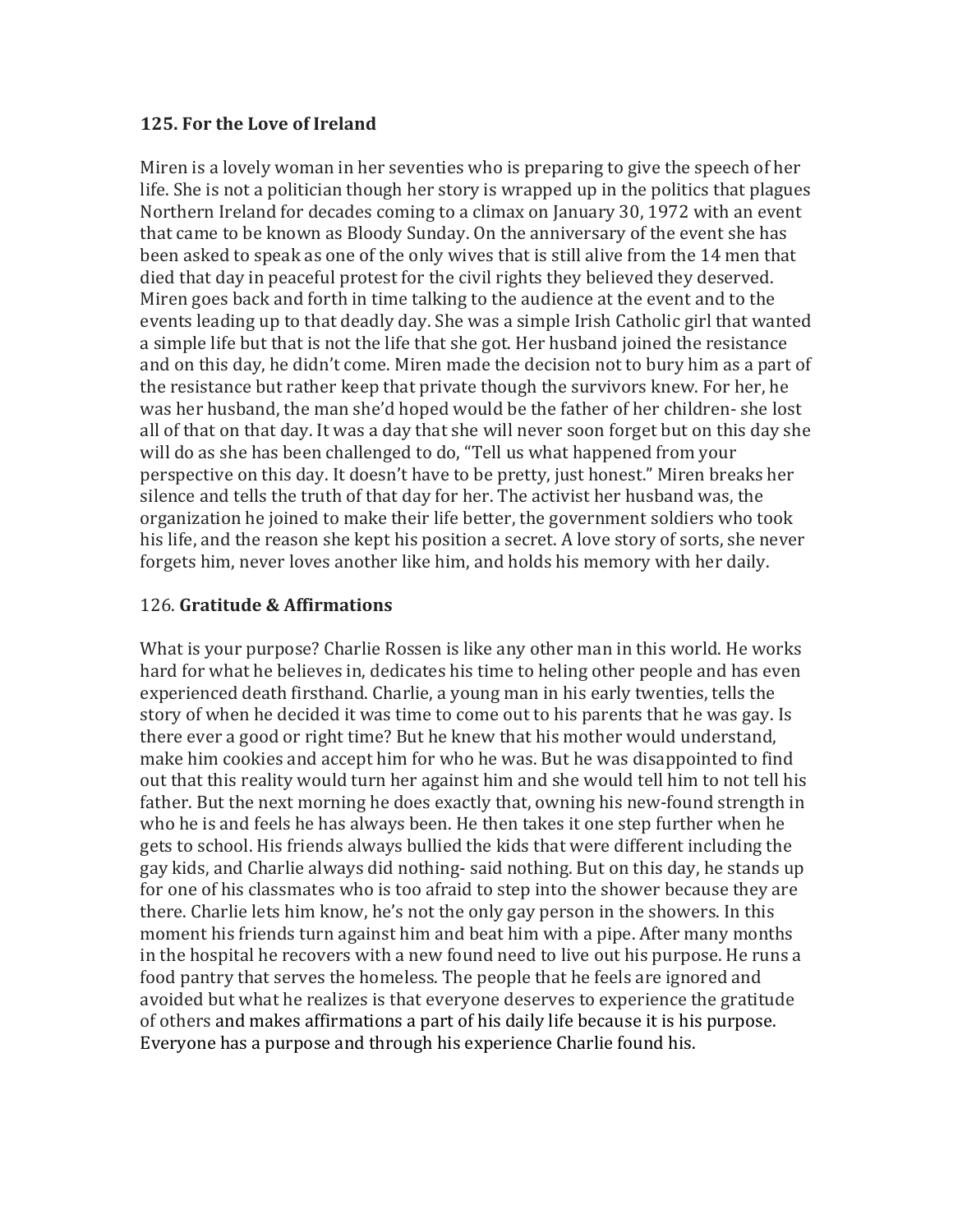## **125. For the Love of Ireland**

Miren is a lovely woman in her seventies who is preparing to give the speech of her life. She is not a politician though her story is wrapped up in the politics that plagues Northern Ireland for decades coming to a climax on January 30, 1972 with an event that came to be known as Bloody Sunday. On the anniversary of the event she has been asked to speak as one of the only wives that is still alive from the 14 men that died that day in peaceful protest for the civil rights they believed they deserved. Miren goes back and forth in time talking to the audience at the event and to the events leading up to that deadly day. She was a simple Irish Catholic girl that wanted a simple life but that is not the life that she got. Her husband joined the resistance and on this day, he didn't come. Miren made the decision not to bury him as a part of the resistance but rather keep that private though the survivors knew. For her, he was her husband, the man she'd hoped would be the father of her children- she lost all of that on that day. It was a day that she will never soon forget but on this day she will do as she has been challenged to do, "Tell us what happened from your perspective on this day. It doesn't have to be pretty, just honest." Miren breaks her silence and tells the truth of that day for her. The activist her husband was, the organization he joined to make their life better, the government soldiers who took his life, and the reason she kept his position a secret. A love story of sorts, she never forgets him, never loves another like him, and holds his memory with her daily.

## 126. **Gratitude & Affirmations**

What is your purpose? Charlie Rossen is like any other man in this world. He works hard for what he believes in, dedicates his time to heling other people and has even experienced death firsthand. Charlie, a young man in his early twenties, tells the story of when he decided it was time to come out to his parents that he was gay. Is there ever a good or right time? But he knew that his mother would understand, make him cookies and accept him for who he was. But he was disappointed to find out that this reality would turn her against him and she would tell him to not tell his father. But the next morning he does exactly that, owning his new-found strength in who he is and feels he has always been. He then takes it one step further when he gets to school. His friends always bullied the kids that were different including the gay kids, and Charlie always did nothing- said nothing. But on this day, he stands up for one of his classmates who is too afraid to step into the shower because they are there. Charlie lets him know, he's not the only gay person in the showers. In this moment his friends turn against him and beat him with a pipe. After many months in the hospital he recovers with a new found need to live out his purpose. He runs a food pantry that serves the homeless. The people that he feels are ignored and avoided but what he realizes is that everyone deserves to experience the gratitude of others and makes affirmations a part of his daily life because it is his purpose. Everyone has a purpose and through his experience Charlie found his.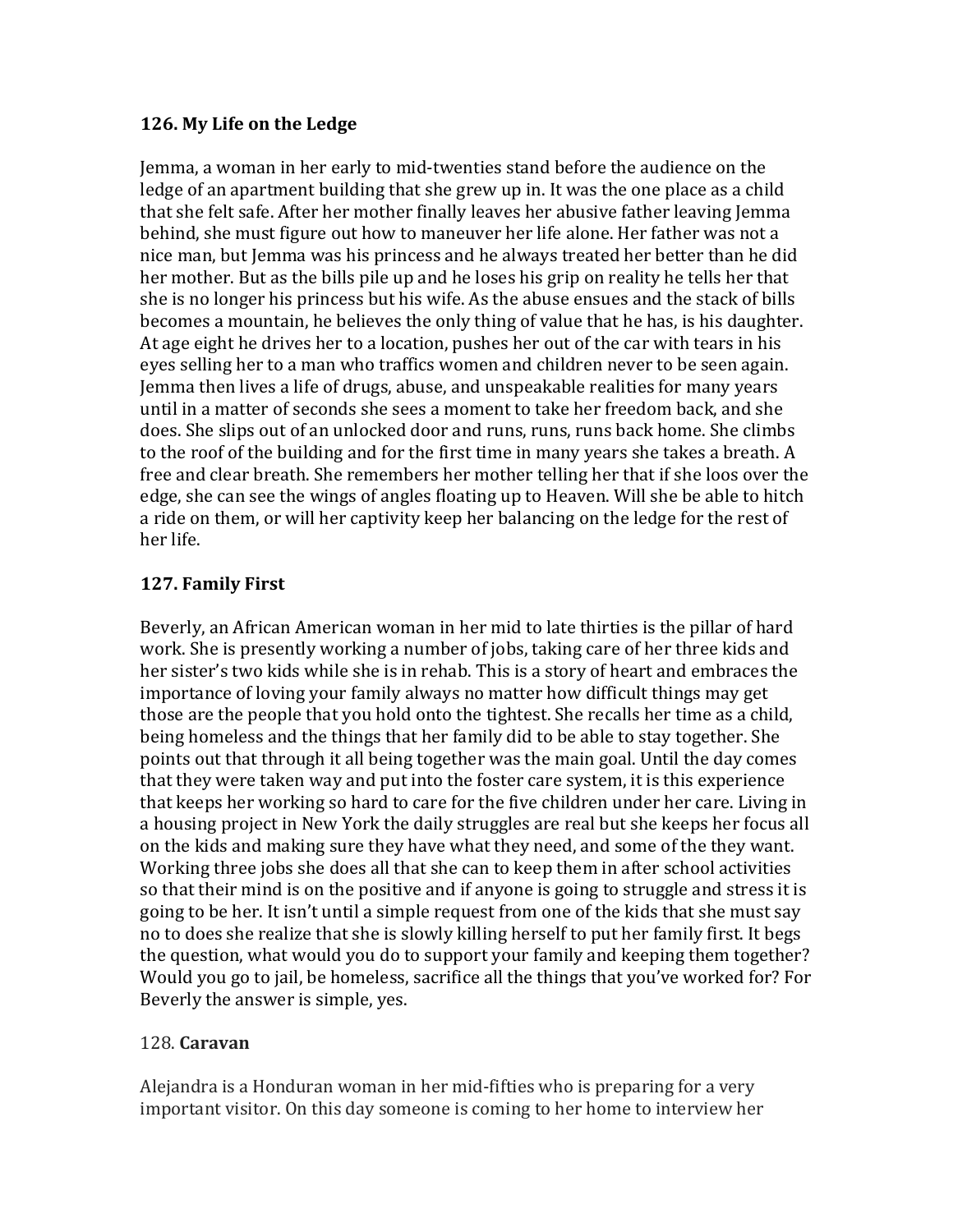#### **126. My Life on the Ledge**

Jemma, a woman in her early to mid-twenties stand before the audience on the ledge of an apartment building that she grew up in. It was the one place as a child that she felt safe. After her mother finally leaves her abusive father leaving Jemma behind, she must figure out how to maneuver her life alone. Her father was not a nice man, but Jemma was his princess and he always treated her better than he did her mother. But as the bills pile up and he loses his grip on reality he tells her that she is no longer his princess but his wife. As the abuse ensues and the stack of bills becomes a mountain, he believes the only thing of value that he has, is his daughter. At age eight he drives her to a location, pushes her out of the car with tears in his eyes selling her to a man who traffics women and children never to be seen again. Jemma then lives a life of drugs, abuse, and unspeakable realities for many years until in a matter of seconds she sees a moment to take her freedom back, and she does. She slips out of an unlocked door and runs, runs, runs back home. She climbs to the roof of the building and for the first time in many years she takes a breath. A free and clear breath. She remembers her mother telling her that if she loos over the edge, she can see the wings of angles floating up to Heaven. Will she be able to hitch a ride on them, or will her captivity keep her balancing on the ledge for the rest of her life.

## **127. Family First**

Beverly, an African American woman in her mid to late thirties is the pillar of hard work. She is presently working a number of jobs, taking care of her three kids and her sister's two kids while she is in rehab. This is a story of heart and embraces the importance of loving your family always no matter how difficult things may get those are the people that you hold onto the tightest. She recalls her time as a child, being homeless and the things that her family did to be able to stay together. She points out that through it all being together was the main goal. Until the day comes that they were taken way and put into the foster care system, it is this experience that keeps her working so hard to care for the five children under her care. Living in a housing project in New York the daily struggles are real but she keeps her focus all on the kids and making sure they have what they need, and some of the they want. Working three jobs she does all that she can to keep them in after school activities so that their mind is on the positive and if anyone is going to struggle and stress it is going to be her. It isn't until a simple request from one of the kids that she must say no to does she realize that she is slowly killing herself to put her family first. It begs the question, what would you do to support your family and keeping them together? Would you go to jail, be homeless, sacrifice all the things that you've worked for? For Beverly the answer is simple, yes.

## 128. **Caravan**

Alejandra is a Honduran woman in her mid-fifties who is preparing for a very important visitor. On this day someone is coming to her home to interview her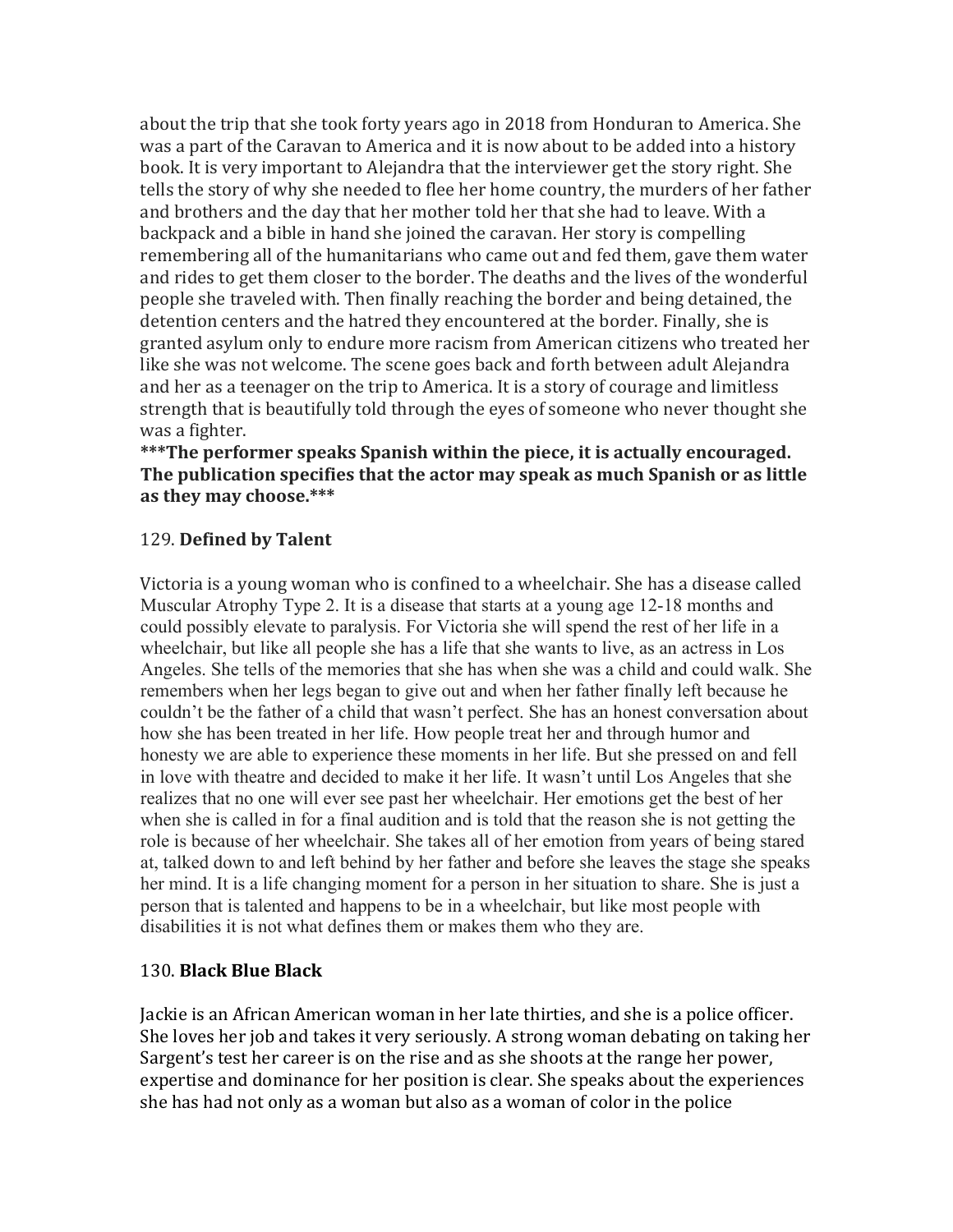about the trip that she took forty years ago in 2018 from Honduran to America. She was a part of the Caravan to America and it is now about to be added into a history book. It is very important to Alejandra that the interviewer get the story right. She tells the story of why she needed to flee her home country, the murders of her father and brothers and the day that her mother told her that she had to leave. With a backpack and a bible in hand she joined the caravan. Her story is compelling remembering all of the humanitarians who came out and fed them, gave them water and rides to get them closer to the border. The deaths and the lives of the wonderful people she traveled with. Then finally reaching the border and being detained, the detention centers and the hatred they encountered at the border. Finally, she is granted asylum only to endure more racism from American citizens who treated her like she was not welcome. The scene goes back and forth between adult Alejandra and her as a teenager on the trip to America. It is a story of courage and limitless strength that is beautifully told through the eyes of someone who never thought she was a fighter.

#### \*\*\*The performer speaks Spanish within the piece, it is actually encouraged. The publication specifies that the actor may speak as much Spanish or as little as they may choose.\*\*\*

#### 129. **Defined by Talent**

Victoria is a young woman who is confined to a wheelchair. She has a disease called Muscular Atrophy Type 2. It is a disease that starts at a young age 12-18 months and could possibly elevate to paralysis. For Victoria she will spend the rest of her life in a wheelchair, but like all people she has a life that she wants to live, as an actress in Los Angeles. She tells of the memories that she has when she was a child and could walk. She remembers when her legs began to give out and when her father finally left because he couldn't be the father of a child that wasn't perfect. She has an honest conversation about how she has been treated in her life. How people treat her and through humor and honesty we are able to experience these moments in her life. But she pressed on and fell in love with theatre and decided to make it her life. It wasn't until Los Angeles that she realizes that no one will ever see past her wheelchair. Her emotions get the best of her when she is called in for a final audition and is told that the reason she is not getting the role is because of her wheelchair. She takes all of her emotion from years of being stared at, talked down to and left behind by her father and before she leaves the stage she speaks her mind. It is a life changing moment for a person in her situation to share. She is just a person that is talented and happens to be in a wheelchair, but like most people with disabilities it is not what defines them or makes them who they are.

#### 130. **Black Blue Black**

Jackie is an African American woman in her late thirties, and she is a police officer. She loves her job and takes it very seriously. A strong woman debating on taking her Sargent's test her career is on the rise and as she shoots at the range her power, expertise and dominance for her position is clear. She speaks about the experiences she has had not only as a woman but also as a woman of color in the police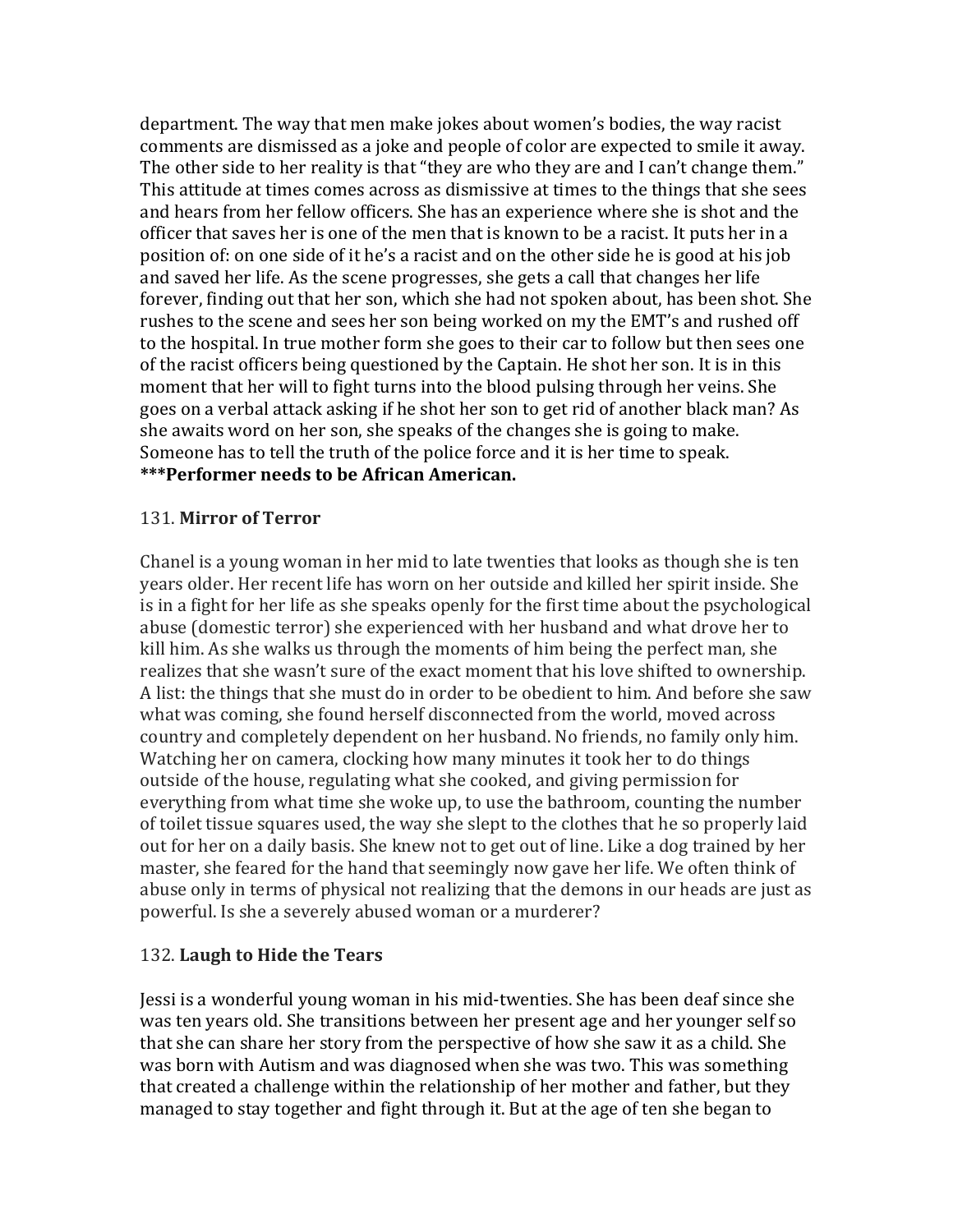department. The way that men make jokes about women's bodies, the way racist comments are dismissed as a joke and people of color are expected to smile it away. The other side to her reality is that "they are who they are and I can't change them." This attitude at times comes across as dismissive at times to the things that she sees and hears from her fellow officers. She has an experience where she is shot and the officer that saves her is one of the men that is known to be a racist. It puts her in a position of: on one side of it he's a racist and on the other side he is good at his job and saved her life. As the scene progresses, she gets a call that changes her life forever, finding out that her son, which she had not spoken about, has been shot. She rushes to the scene and sees her son being worked on my the EMT's and rushed off to the hospital. In true mother form she goes to their car to follow but then sees one of the racist officers being questioned by the Captain. He shot her son. It is in this moment that her will to fight turns into the blood pulsing through her veins. She goes on a verbal attack asking if he shot her son to get rid of another black man? As she awaits word on her son, she speaks of the changes she is going to make. Someone has to tell the truth of the police force and it is her time to speak. \*\*\*Performer needs to be African American.

#### 131. **Mirror of Terror**

Chanel is a young woman in her mid to late twenties that looks as though she is ten years older. Her recent life has worn on her outside and killed her spirit inside. She is in a fight for her life as she speaks openly for the first time about the psychological abuse (domestic terror) she experienced with her husband and what drove her to kill him. As she walks us through the moments of him being the perfect man, she realizes that she wasn't sure of the exact moment that his love shifted to ownership. A list: the things that she must do in order to be obedient to him. And before she saw what was coming, she found herself disconnected from the world, moved across country and completely dependent on her husband. No friends, no family only him. Watching her on camera, clocking how many minutes it took her to do things outside of the house, regulating what she cooked, and giving permission for everything from what time she woke up, to use the bathroom, counting the number of toilet tissue squares used, the way she slept to the clothes that he so properly laid out for her on a daily basis. She knew not to get out of line. Like a dog trained by her master, she feared for the hand that seemingly now gave her life. We often think of abuse only in terms of physical not realizing that the demons in our heads are just as powerful. Is she a severely abused woman or a murderer?

## 132. Laugh to Hide the Tears

Jessi is a wonderful young woman in his mid-twenties. She has been deaf since she was ten years old. She transitions between her present age and her younger self so that she can share her story from the perspective of how she saw it as a child. She was born with Autism and was diagnosed when she was two. This was something that created a challenge within the relationship of her mother and father, but they managed to stay together and fight through it. But at the age of ten she began to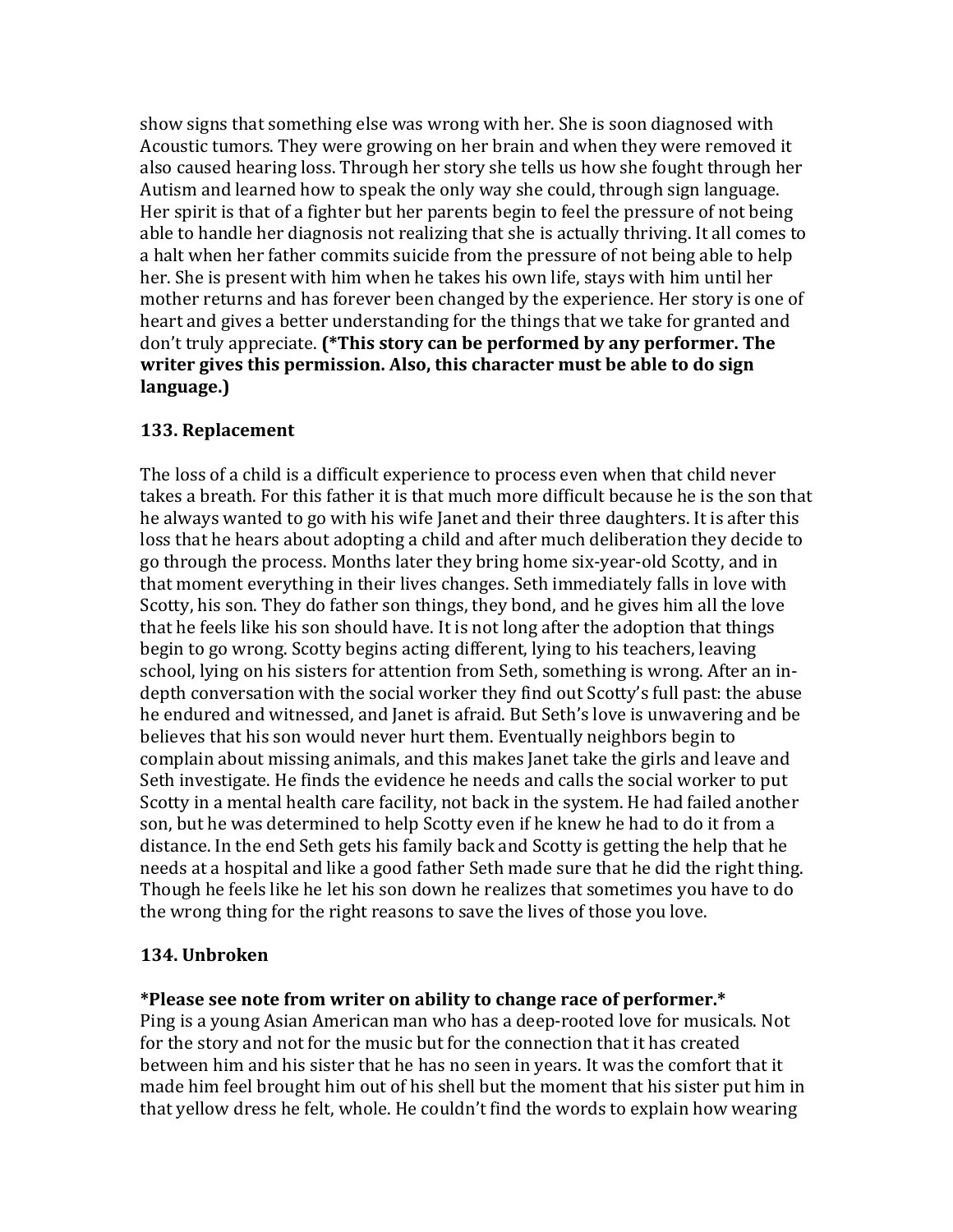show signs that something else was wrong with her. She is soon diagnosed with Acoustic tumors. They were growing on her brain and when they were removed it also caused hearing loss. Through her story she tells us how she fought through her Autism and learned how to speak the only way she could, through sign language. Her spirit is that of a fighter but her parents begin to feel the pressure of not being able to handle her diagnosis not realizing that she is actually thriving. It all comes to a halt when her father commits suicide from the pressure of not being able to help her. She is present with him when he takes his own life, stays with him until her mother returns and has forever been changed by the experience. Her story is one of heart and gives a better understanding for the things that we take for granted and don't truly appreciate. (\*This story can be performed by any performer. The **writer gives this permission. Also, this character must be able to do sign language.)**

#### **133. Replacement**

The loss of a child is a difficult experience to process even when that child never takes a breath. For this father it is that much more difficult because he is the son that he always wanted to go with his wife Janet and their three daughters. It is after this loss that he hears about adopting a child and after much deliberation they decide to go through the process. Months later they bring home six-year-old Scotty, and in that moment everything in their lives changes. Seth immediately falls in love with Scotty, his son. They do father son things, they bond, and he gives him all the love that he feels like his son should have. It is not long after the adoption that things begin to go wrong. Scotty begins acting different, lying to his teachers, leaving school, lying on his sisters for attention from Seth, something is wrong. After an indepth conversation with the social worker they find out Scotty's full past: the abuse he endured and witnessed, and Janet is afraid. But Seth's love is unwavering and be believes that his son would never hurt them. Eventually neighbors begin to complain about missing animals, and this makes Janet take the girls and leave and Seth investigate. He finds the evidence he needs and calls the social worker to put Scotty in a mental health care facility, not back in the system. He had failed another son, but he was determined to help Scotty even if he knew he had to do it from a distance. In the end Seth gets his family back and Scotty is getting the help that he needs at a hospital and like a good father Seth made sure that he did the right thing. Though he feels like he let his son down he realizes that sometimes you have to do the wrong thing for the right reasons to save the lives of those you love.

## **134. Unbroken**

#### \*Please see note from writer on ability to change race of performer.\*

Ping is a young Asian American man who has a deep-rooted love for musicals. Not for the story and not for the music but for the connection that it has created between him and his sister that he has no seen in years. It was the comfort that it made him feel brought him out of his shell but the moment that his sister put him in that yellow dress he felt, whole. He couldn't find the words to explain how wearing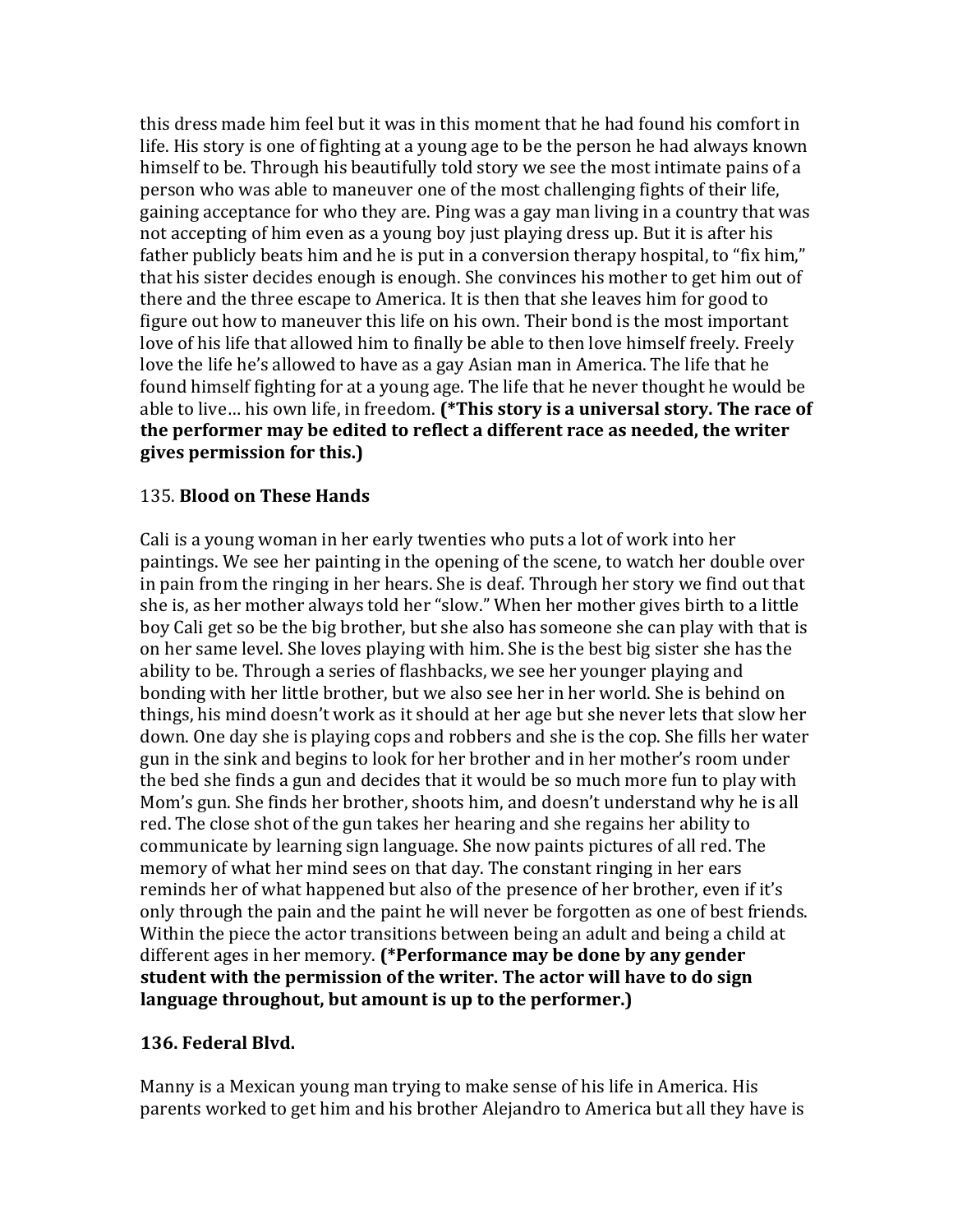this dress made him feel but it was in this moment that he had found his comfort in life. His story is one of fighting at a young age to be the person he had always known himself to be. Through his beautifully told story we see the most intimate pains of a person who was able to maneuver one of the most challenging fights of their life, gaining acceptance for who they are. Ping was a gay man living in a country that was not accepting of him even as a young boy just playing dress up. But it is after his father publicly beats him and he is put in a conversion therapy hospital, to "fix him," that his sister decides enough is enough. She convinces his mother to get him out of there and the three escape to America. It is then that she leaves him for good to figure out how to maneuver this life on his own. Their bond is the most important love of his life that allowed him to finally be able to then love himself freely. Freely love the life he's allowed to have as a gay Asian man in America. The life that he found himself fighting for at a young age. The life that he never thought he would be able to live... his own life, in freedom. (\*This story is a universal story. The race of the performer may be edited to reflect a different race as needed, the writer **gives permission for this.)**

#### 135. **Blood on These Hands**

Cali is a young woman in her early twenties who puts a lot of work into her paintings. We see her painting in the opening of the scene, to watch her double over in pain from the ringing in her hears. She is deaf. Through her story we find out that she is, as her mother always told her "slow." When her mother gives birth to a little boy Cali get so be the big brother, but she also has someone she can play with that is on her same level. She loves playing with him. She is the best big sister she has the ability to be. Through a series of flashbacks, we see her younger playing and bonding with her little brother, but we also see her in her world. She is behind on things, his mind doesn't work as it should at her age but she never lets that slow her down. One day she is playing cops and robbers and she is the cop. She fills her water gun in the sink and begins to look for her brother and in her mother's room under the bed she finds a gun and decides that it would be so much more fun to play with Mom's gun. She finds her brother, shoots him, and doesn't understand why he is all red. The close shot of the gun takes her hearing and she regains her ability to communicate by learning sign language. She now paints pictures of all red. The memory of what her mind sees on that day. The constant ringing in her ears reminds her of what happened but also of the presence of her brother, even if it's only through the pain and the paint he will never be forgotten as one of best friends. Within the piece the actor transitions between being an adult and being a child at different ages in her memory. (\*Performance may be done by any gender student with the permission of the writer. The actor will have to do sign language throughout, but amount is up to the performer.)

#### **136. Federal Blvd.**

Manny is a Mexican young man trying to make sense of his life in America. His parents worked to get him and his brother Alejandro to America but all they have is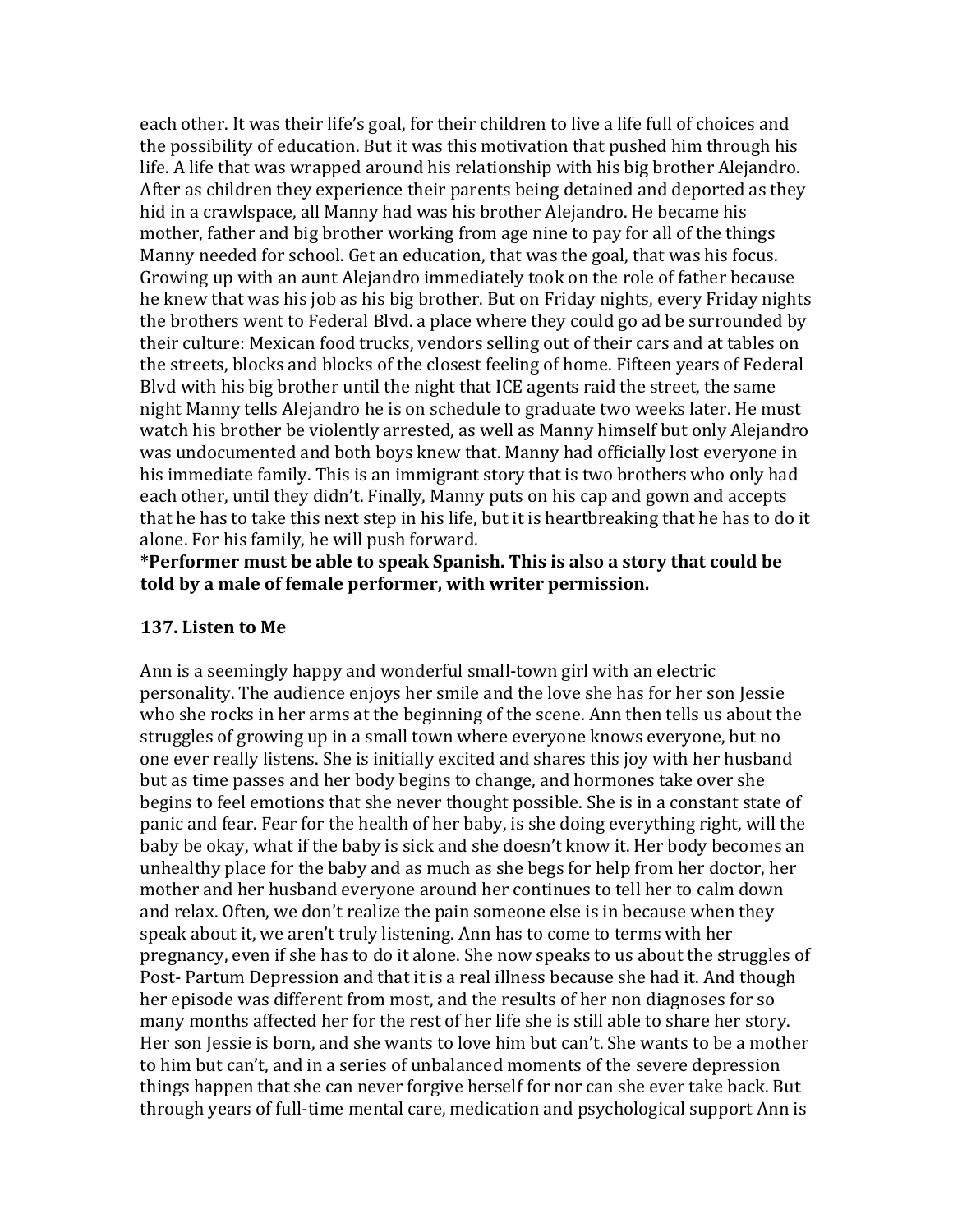each other. It was their life's goal, for their children to live a life full of choices and the possibility of education. But it was this motivation that pushed him through his life. A life that was wrapped around his relationship with his big brother Alejandro. After as children they experience their parents being detained and deported as they hid in a crawlspace, all Manny had was his brother Alejandro. He became his mother, father and big brother working from age nine to pay for all of the things Manny needed for school. Get an education, that was the goal, that was his focus. Growing up with an aunt Alejandro immediately took on the role of father because he knew that was his job as his big brother. But on Friday nights, every Friday nights the brothers went to Federal Blvd. a place where they could go ad be surrounded by their culture: Mexican food trucks, vendors selling out of their cars and at tables on the streets, blocks and blocks of the closest feeling of home. Fifteen years of Federal Blvd with his big brother until the night that ICE agents raid the street, the same night Manny tells Alejandro he is on schedule to graduate two weeks later. He must watch his brother be violently arrested, as well as Manny himself but only Alejandro was undocumented and both boys knew that. Manny had officially lost everyone in his immediate family. This is an immigrant story that is two brothers who only had each other, until they didn't. Finally, Manny puts on his cap and gown and accepts that he has to take this next step in his life, but it is heartbreaking that he has to do it alone. For his family, he will push forward.

\*Performer must be able to speak Spanish. This is also a story that could be told by a male of female performer, with writer permission.

#### **137.** Listen to Me

Ann is a seemingly happy and wonderful small-town girl with an electric personality. The audience enjoys her smile and the love she has for her son Jessie who she rocks in her arms at the beginning of the scene. Ann then tells us about the struggles of growing up in a small town where everyone knows everyone, but no one ever really listens. She is initially excited and shares this joy with her husband but as time passes and her body begins to change, and hormones take over she begins to feel emotions that she never thought possible. She is in a constant state of panic and fear. Fear for the health of her baby, is she doing everything right, will the baby be okay, what if the baby is sick and she doesn't know it. Her body becomes an unhealthy place for the baby and as much as she begs for help from her doctor, her mother and her husband everyone around her continues to tell her to calm down and relax. Often, we don't realize the pain someone else is in because when they speak about it, we aren't truly listening. Ann has to come to terms with her pregnancy, even if she has to do it alone. She now speaks to us about the struggles of Post- Partum Depression and that it is a real illness because she had it. And though her episode was different from most, and the results of her non diagnoses for so many months affected her for the rest of her life she is still able to share her story. Her son Jessie is born, and she wants to love him but can't. She wants to be a mother to him but can't, and in a series of unbalanced moments of the severe depression things happen that she can never forgive herself for nor can she ever take back. But through years of full-time mental care, medication and psychological support Ann is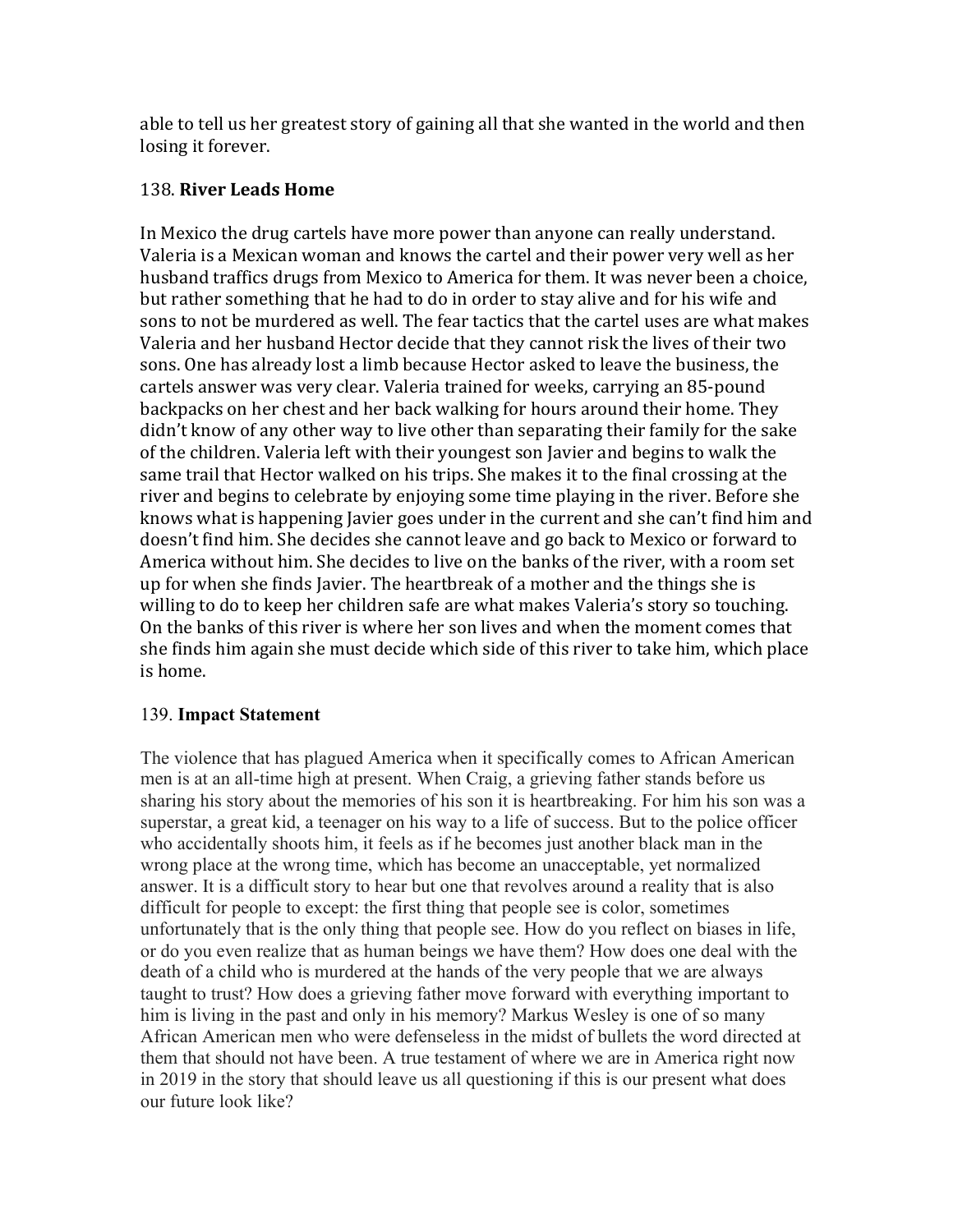able to tell us her greatest story of gaining all that she wanted in the world and then losing it forever.

#### 138. **River Leads Home**

In Mexico the drug cartels have more power than anyone can really understand. Valeria is a Mexican woman and knows the cartel and their power very well as her husband traffics drugs from Mexico to America for them. It was never been a choice, but rather something that he had to do in order to stay alive and for his wife and sons to not be murdered as well. The fear tactics that the cartel uses are what makes Valeria and her husband Hector decide that they cannot risk the lives of their two sons. One has already lost a limb because Hector asked to leave the business, the cartels answer was very clear. Valeria trained for weeks, carrying an 85-pound backpacks on her chest and her back walking for hours around their home. They didn't know of any other way to live other than separating their family for the sake of the children. Valeria left with their youngest son Javier and begins to walk the same trail that Hector walked on his trips. She makes it to the final crossing at the river and begins to celebrate by enjoying some time playing in the river. Before she knows what is happening Javier goes under in the current and she can't find him and doesn't find him. She decides she cannot leave and go back to Mexico or forward to America without him. She decides to live on the banks of the river, with a room set up for when she finds Javier. The heartbreak of a mother and the things she is willing to do to keep her children safe are what makes Valeria's story so touching. On the banks of this river is where her son lives and when the moment comes that she finds him again she must decide which side of this river to take him, which place is home.

## 139. **Impact Statement**

The violence that has plagued America when it specifically comes to African American men is at an all-time high at present. When Craig, a grieving father stands before us sharing his story about the memories of his son it is heartbreaking. For him his son was a superstar, a great kid, a teenager on his way to a life of success. But to the police officer who accidentally shoots him, it feels as if he becomes just another black man in the wrong place at the wrong time, which has become an unacceptable, yet normalized answer. It is a difficult story to hear but one that revolves around a reality that is also difficult for people to except: the first thing that people see is color, sometimes unfortunately that is the only thing that people see. How do you reflect on biases in life, or do you even realize that as human beings we have them? How does one deal with the death of a child who is murdered at the hands of the very people that we are always taught to trust? How does a grieving father move forward with everything important to him is living in the past and only in his memory? Markus Wesley is one of so many African American men who were defenseless in the midst of bullets the word directed at them that should not have been. A true testament of where we are in America right now in 2019 in the story that should leave us all questioning if this is our present what does our future look like?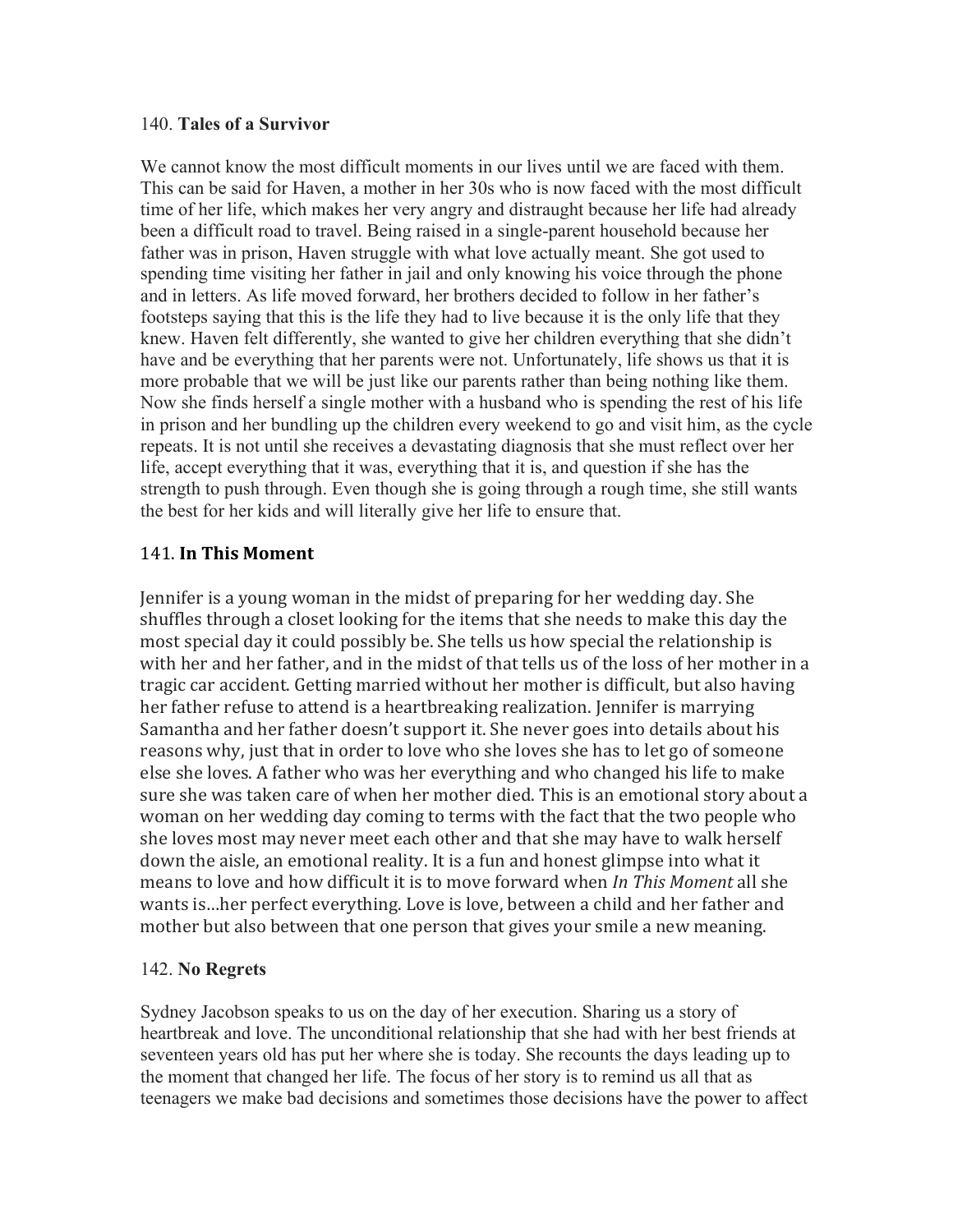#### 140. **Tales of a Survivor**

We cannot know the most difficult moments in our lives until we are faced with them. This can be said for Haven, a mother in her 30s who is now faced with the most difficult time of her life, which makes her very angry and distraught because her life had already been a difficult road to travel. Being raised in a single-parent household because her father was in prison, Haven struggle with what love actually meant. She got used to spending time visiting her father in jail and only knowing his voice through the phone and in letters. As life moved forward, her brothers decided to follow in her father's footsteps saying that this is the life they had to live because it is the only life that they knew. Haven felt differently, she wanted to give her children everything that she didn't have and be everything that her parents were not. Unfortunately, life shows us that it is more probable that we will be just like our parents rather than being nothing like them. Now she finds herself a single mother with a husband who is spending the rest of his life in prison and her bundling up the children every weekend to go and visit him, as the cycle repeats. It is not until she receives a devastating diagnosis that she must reflect over her life, accept everything that it was, everything that it is, and question if she has the strength to push through. Even though she is going through a rough time, she still wants the best for her kids and will literally give her life to ensure that.

#### 141. **In This Moment**

Jennifer is a young woman in the midst of preparing for her wedding day. She shuffles through a closet looking for the items that she needs to make this day the most special day it could possibly be. She tells us how special the relationship is with her and her father, and in the midst of that tells us of the loss of her mother in a tragic car accident. Getting married without her mother is difficult, but also having her father refuse to attend is a heartbreaking realization. Jennifer is marrying Samantha and her father doesn't support it. She never goes into details about his reasons why, just that in order to love who she loves she has to let go of someone else she loves. A father who was her everything and who changed his life to make sure she was taken care of when her mother died. This is an emotional story about a woman on her wedding day coming to terms with the fact that the two people who she loves most may never meet each other and that she may have to walk herself down the aisle, an emotional reality. It is a fun and honest glimpse into what it means to love and how difficult it is to move forward when *In This Moment* all she wants is...her perfect everything. Love is love, between a child and her father and mother but also between that one person that gives your smile a new meaning.

#### 142. **No Regrets**

Sydney Jacobson speaks to us on the day of her execution. Sharing us a story of heartbreak and love. The unconditional relationship that she had with her best friends at seventeen years old has put her where she is today. She recounts the days leading up to the moment that changed her life. The focus of her story is to remind us all that as teenagers we make bad decisions and sometimes those decisions have the power to affect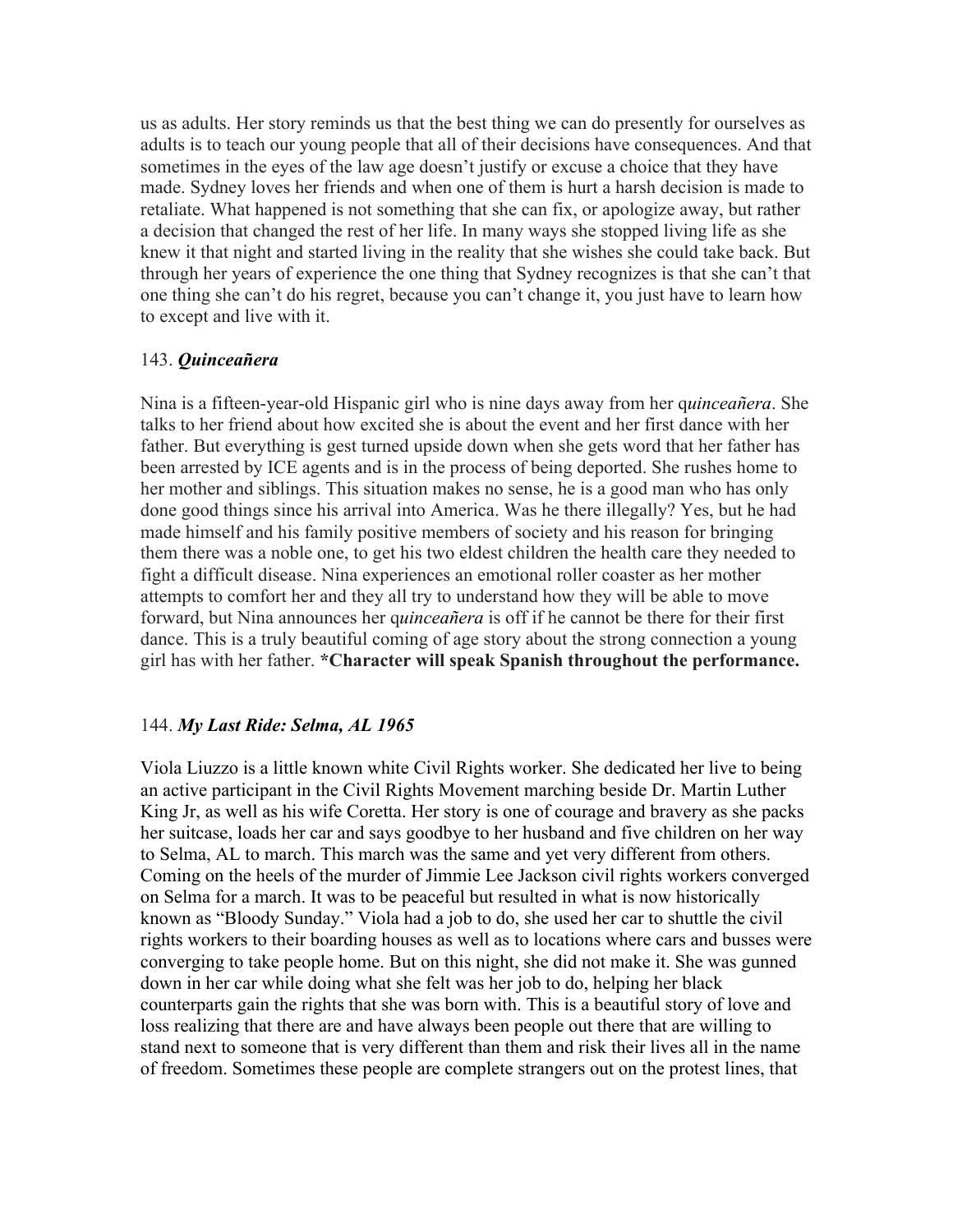us as adults. Her story reminds us that the best thing we can do presently for ourselves as adults is to teach our young people that all of their decisions have consequences. And that sometimes in the eyes of the law age doesn't justify or excuse a choice that they have made. Sydney loves her friends and when one of them is hurt a harsh decision is made to retaliate. What happened is not something that she can fix, or apologize away, but rather a decision that changed the rest of her life. In many ways she stopped living life as she knew it that night and started living in the reality that she wishes she could take back. But through her years of experience the one thing that Sydney recognizes is that she can't that one thing she can't do his regret, because you can't change it, you just have to learn how to except and live with it.

#### 143. *Quinceañera*

Nina is a fifteen-year-old Hispanic girl who is nine days away from her q*uinceañera*. She talks to her friend about how excited she is about the event and her first dance with her father. But everything is gest turned upside down when she gets word that her father has been arrested by ICE agents and is in the process of being deported. She rushes home to her mother and siblings. This situation makes no sense, he is a good man who has only done good things since his arrival into America. Was he there illegally? Yes, but he had made himself and his family positive members of society and his reason for bringing them there was a noble one, to get his two eldest children the health care they needed to fight a difficult disease. Nina experiences an emotional roller coaster as her mother attempts to comfort her and they all try to understand how they will be able to move forward, but Nina announces her q*uinceañera* is off if he cannot be there for their first dance. This is a truly beautiful coming of age story about the strong connection a young girl has with her father. **\*Character will speak Spanish throughout the performance.**

#### 144. *My Last Ride: Selma, AL 1965*

Viola Liuzzo is a little known white Civil Rights worker. She dedicated her live to being an active participant in the Civil Rights Movement marching beside Dr. Martin Luther King Jr, as well as his wife Coretta. Her story is one of courage and bravery as she packs her suitcase, loads her car and says goodbye to her husband and five children on her way to Selma, AL to march. This march was the same and yet very different from others. Coming on the heels of the murder of Jimmie Lee Jackson civil rights workers converged on Selma for a march. It was to be peaceful but resulted in what is now historically known as "Bloody Sunday." Viola had a job to do, she used her car to shuttle the civil rights workers to their boarding houses as well as to locations where cars and busses were converging to take people home. But on this night, she did not make it. She was gunned down in her car while doing what she felt was her job to do, helping her black counterparts gain the rights that she was born with. This is a beautiful story of love and loss realizing that there are and have always been people out there that are willing to stand next to someone that is very different than them and risk their lives all in the name of freedom. Sometimes these people are complete strangers out on the protest lines, that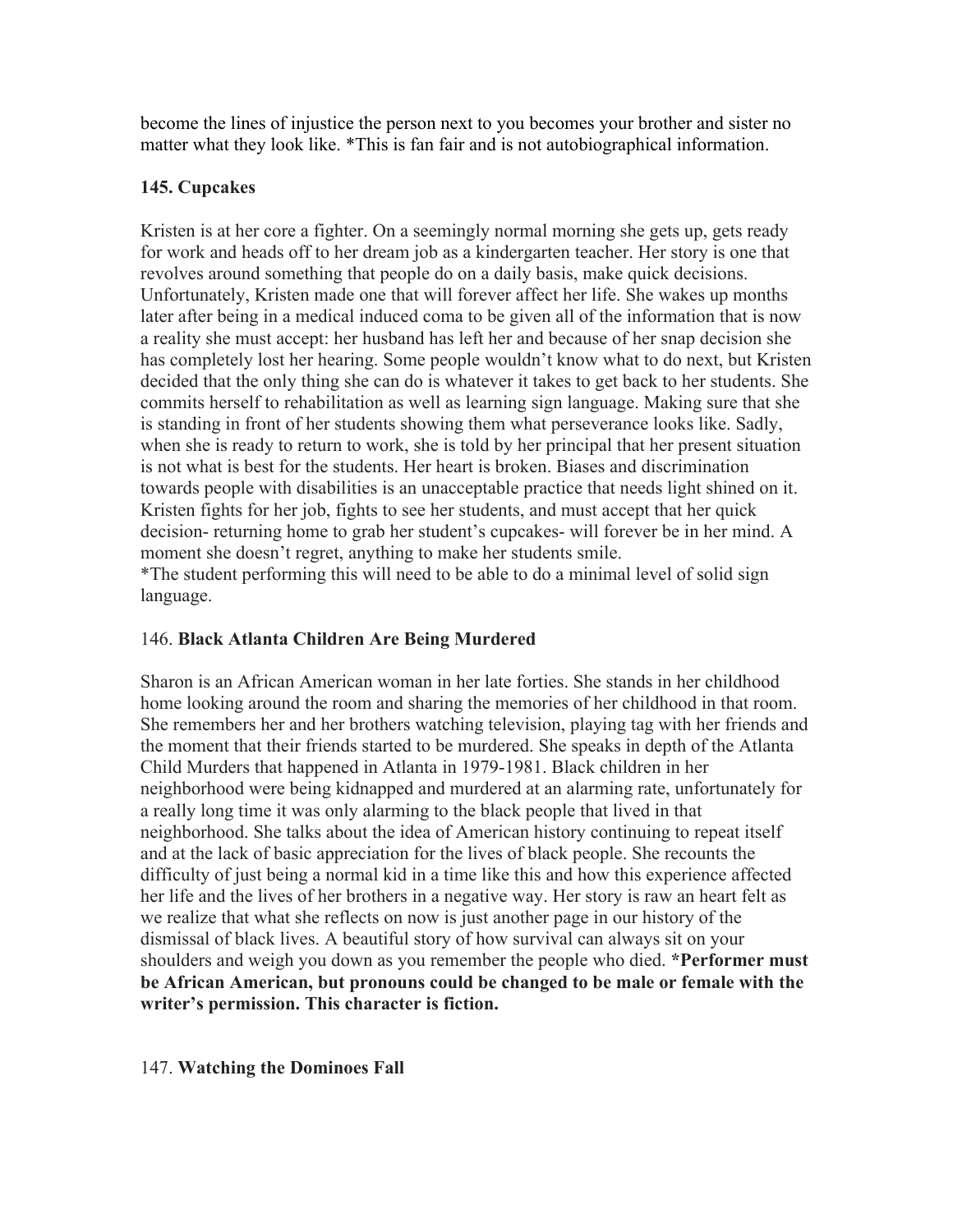become the lines of injustice the person next to you becomes your brother and sister no matter what they look like. \*This is fan fair and is not autobiographical information.

# **145. Cupcakes**

Kristen is at her core a fighter. On a seemingly normal morning she gets up, gets ready for work and heads off to her dream job as a kindergarten teacher. Her story is one that revolves around something that people do on a daily basis, make quick decisions. Unfortunately, Kristen made one that will forever affect her life. She wakes up months later after being in a medical induced coma to be given all of the information that is now a reality she must accept: her husband has left her and because of her snap decision she has completely lost her hearing. Some people wouldn't know what to do next, but Kristen decided that the only thing she can do is whatever it takes to get back to her students. She commits herself to rehabilitation as well as learning sign language. Making sure that she is standing in front of her students showing them what perseverance looks like. Sadly, when she is ready to return to work, she is told by her principal that her present situation is not what is best for the students. Her heart is broken. Biases and discrimination towards people with disabilities is an unacceptable practice that needs light shined on it. Kristen fights for her job, fights to see her students, and must accept that her quick decision- returning home to grab her student's cupcakes- will forever be in her mind. A moment she doesn't regret, anything to make her students smile. \*The student performing this will need to be able to do a minimal level of solid sign language.

## 146. **Black Atlanta Children Are Being Murdered**

Sharon is an African American woman in her late forties. She stands in her childhood home looking around the room and sharing the memories of her childhood in that room. She remembers her and her brothers watching television, playing tag with her friends and the moment that their friends started to be murdered. She speaks in depth of the Atlanta Child Murders that happened in Atlanta in 1979-1981. Black children in her neighborhood were being kidnapped and murdered at an alarming rate, unfortunately for a really long time it was only alarming to the black people that lived in that neighborhood. She talks about the idea of American history continuing to repeat itself and at the lack of basic appreciation for the lives of black people. She recounts the difficulty of just being a normal kid in a time like this and how this experience affected her life and the lives of her brothers in a negative way. Her story is raw an heart felt as we realize that what she reflects on now is just another page in our history of the dismissal of black lives. A beautiful story of how survival can always sit on your shoulders and weigh you down as you remember the people who died. **\*Performer must be African American, but pronouns could be changed to be male or female with the writer's permission. This character is fiction.**

## 147. **Watching the Dominoes Fall**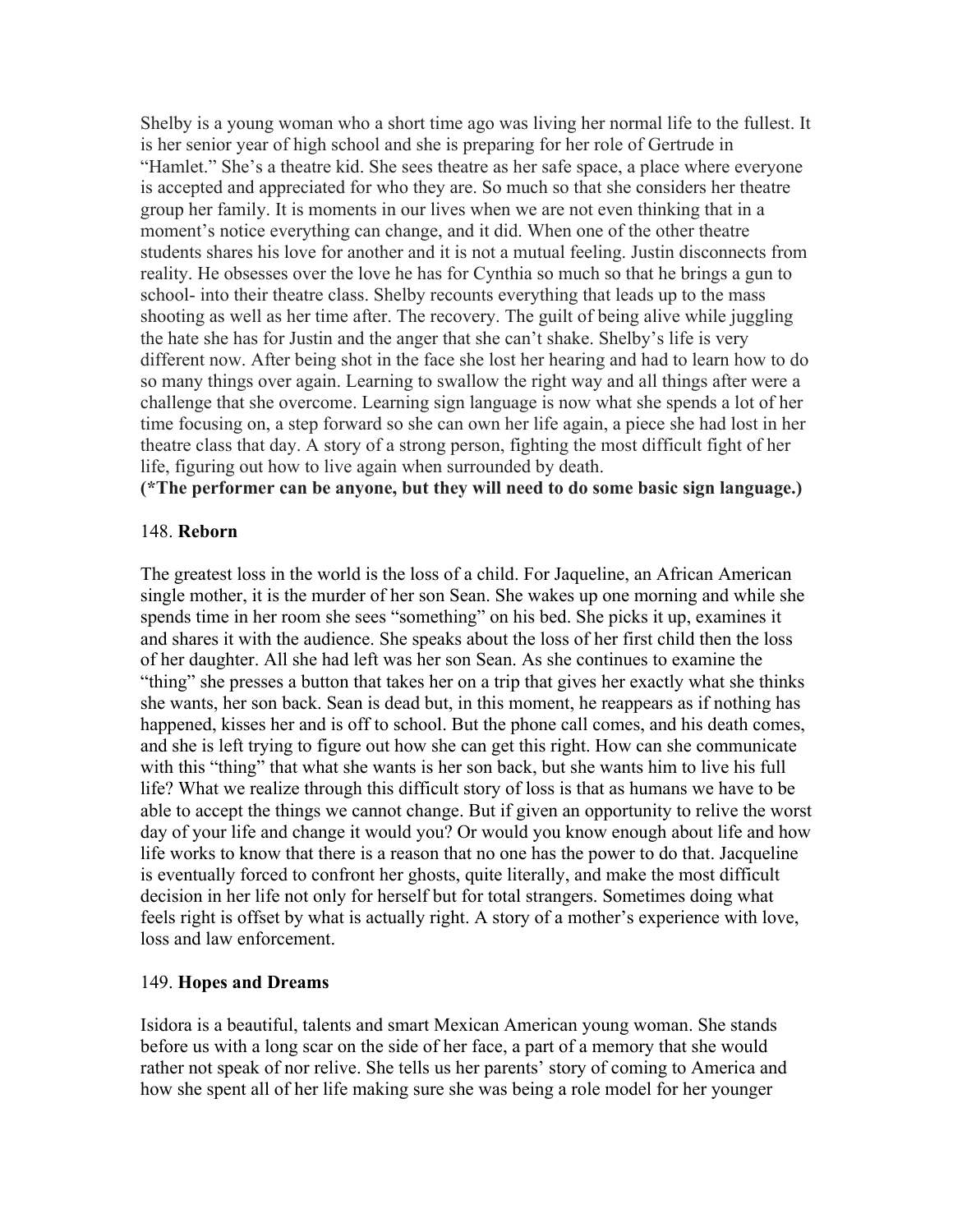Shelby is a young woman who a short time ago was living her normal life to the fullest. It is her senior year of high school and she is preparing for her role of Gertrude in "Hamlet." She's a theatre kid. She sees theatre as her safe space, a place where everyone is accepted and appreciated for who they are. So much so that she considers her theatre group her family. It is moments in our lives when we are not even thinking that in a moment's notice everything can change, and it did. When one of the other theatre students shares his love for another and it is not a mutual feeling. Justin disconnects from reality. He obsesses over the love he has for Cynthia so much so that he brings a gun to school- into their theatre class. Shelby recounts everything that leads up to the mass shooting as well as her time after. The recovery. The guilt of being alive while juggling the hate she has for Justin and the anger that she can't shake. Shelby's life is very different now. After being shot in the face she lost her hearing and had to learn how to do so many things over again. Learning to swallow the right way and all things after were a challenge that she overcome. Learning sign language is now what she spends a lot of her time focusing on, a step forward so she can own her life again, a piece she had lost in her theatre class that day. A story of a strong person, fighting the most difficult fight of her life, figuring out how to live again when surrounded by death.

**(\*The performer can be anyone, but they will need to do some basic sign language.)**

#### 148. **Reborn**

The greatest loss in the world is the loss of a child. For Jaqueline, an African American single mother, it is the murder of her son Sean. She wakes up one morning and while she spends time in her room she sees "something" on his bed. She picks it up, examines it and shares it with the audience. She speaks about the loss of her first child then the loss of her daughter. All she had left was her son Sean. As she continues to examine the "thing" she presses a button that takes her on a trip that gives her exactly what she thinks she wants, her son back. Sean is dead but, in this moment, he reappears as if nothing has happened, kisses her and is off to school. But the phone call comes, and his death comes, and she is left trying to figure out how she can get this right. How can she communicate with this "thing" that what she wants is her son back, but she wants him to live his full life? What we realize through this difficult story of loss is that as humans we have to be able to accept the things we cannot change. But if given an opportunity to relive the worst day of your life and change it would you? Or would you know enough about life and how life works to know that there is a reason that no one has the power to do that. Jacqueline is eventually forced to confront her ghosts, quite literally, and make the most difficult decision in her life not only for herself but for total strangers. Sometimes doing what feels right is offset by what is actually right. A story of a mother's experience with love, loss and law enforcement.

#### 149. **Hopes and Dreams**

Isidora is a beautiful, talents and smart Mexican American young woman. She stands before us with a long scar on the side of her face, a part of a memory that she would rather not speak of nor relive. She tells us her parents' story of coming to America and how she spent all of her life making sure she was being a role model for her younger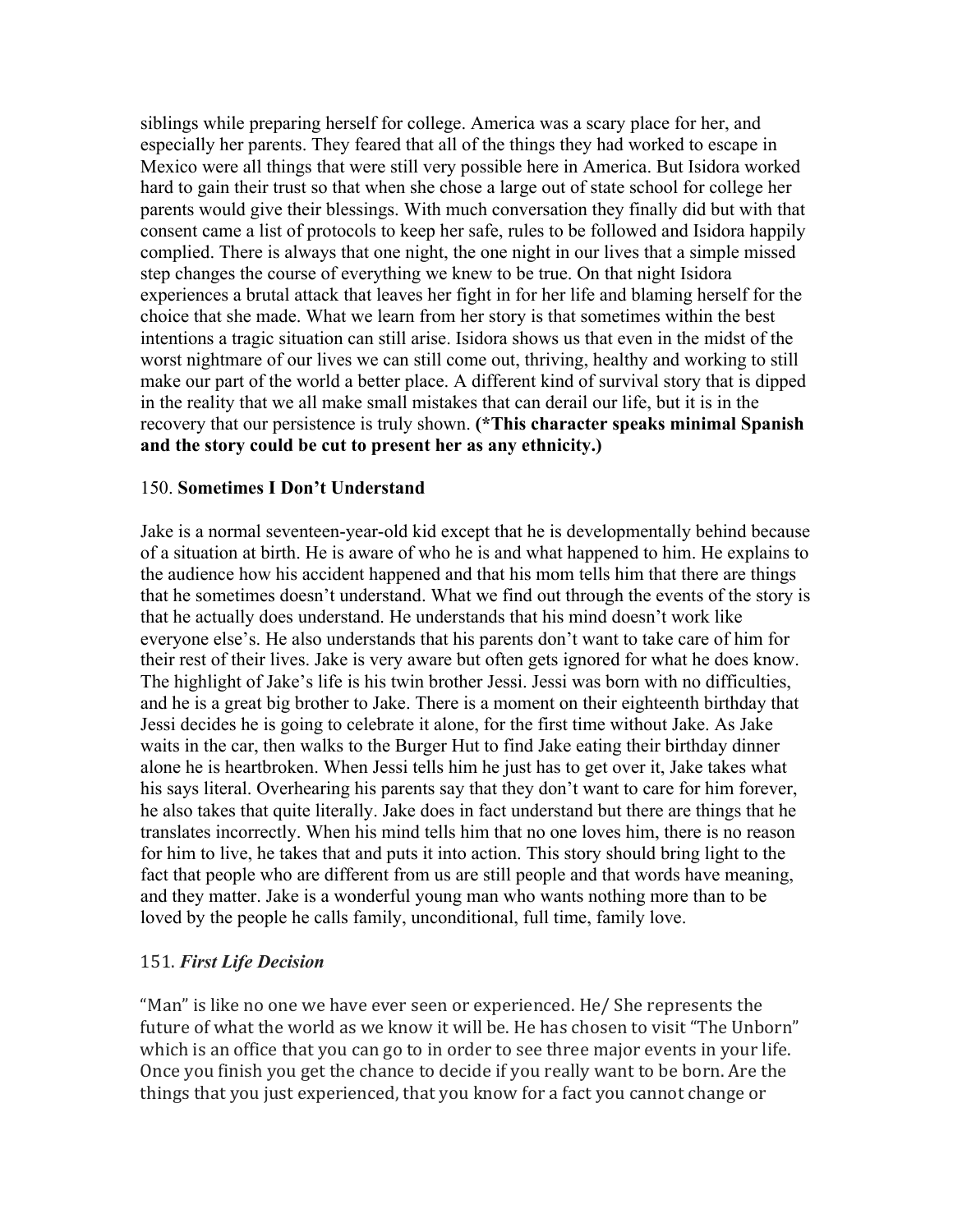siblings while preparing herself for college. America was a scary place for her, and especially her parents. They feared that all of the things they had worked to escape in Mexico were all things that were still very possible here in America. But Isidora worked hard to gain their trust so that when she chose a large out of state school for college her parents would give their blessings. With much conversation they finally did but with that consent came a list of protocols to keep her safe, rules to be followed and Isidora happily complied. There is always that one night, the one night in our lives that a simple missed step changes the course of everything we knew to be true. On that night Isidora experiences a brutal attack that leaves her fight in for her life and blaming herself for the choice that she made. What we learn from her story is that sometimes within the best intentions a tragic situation can still arise. Isidora shows us that even in the midst of the worst nightmare of our lives we can still come out, thriving, healthy and working to still make our part of the world a better place. A different kind of survival story that is dipped in the reality that we all make small mistakes that can derail our life, but it is in the recovery that our persistence is truly shown. **(\*This character speaks minimal Spanish and the story could be cut to present her as any ethnicity.)**

#### 150. **Sometimes I Don't Understand**

Jake is a normal seventeen-year-old kid except that he is developmentally behind because of a situation at birth. He is aware of who he is and what happened to him. He explains to the audience how his accident happened and that his mom tells him that there are things that he sometimes doesn't understand. What we find out through the events of the story is that he actually does understand. He understands that his mind doesn't work like everyone else's. He also understands that his parents don't want to take care of him for their rest of their lives. Jake is very aware but often gets ignored for what he does know. The highlight of Jake's life is his twin brother Jessi. Jessi was born with no difficulties, and he is a great big brother to Jake. There is a moment on their eighteenth birthday that Jessi decides he is going to celebrate it alone, for the first time without Jake. As Jake waits in the car, then walks to the Burger Hut to find Jake eating their birthday dinner alone he is heartbroken. When Jessi tells him he just has to get over it, Jake takes what his says literal. Overhearing his parents say that they don't want to care for him forever, he also takes that quite literally. Jake does in fact understand but there are things that he translates incorrectly. When his mind tells him that no one loves him, there is no reason for him to live, he takes that and puts it into action. This story should bring light to the fact that people who are different from us are still people and that words have meaning, and they matter. Jake is a wonderful young man who wants nothing more than to be loved by the people he calls family, unconditional, full time, family love.

#### 151. *First Life Decision*

"Man" is like no one we have ever seen or experienced. He/ She represents the future of what the world as we know it will be. He has chosen to visit "The Unborn" which is an office that you can go to in order to see three major events in your life. Once you finish you get the chance to decide if you really want to be born. Are the things that you just experienced, that you know for a fact you cannot change or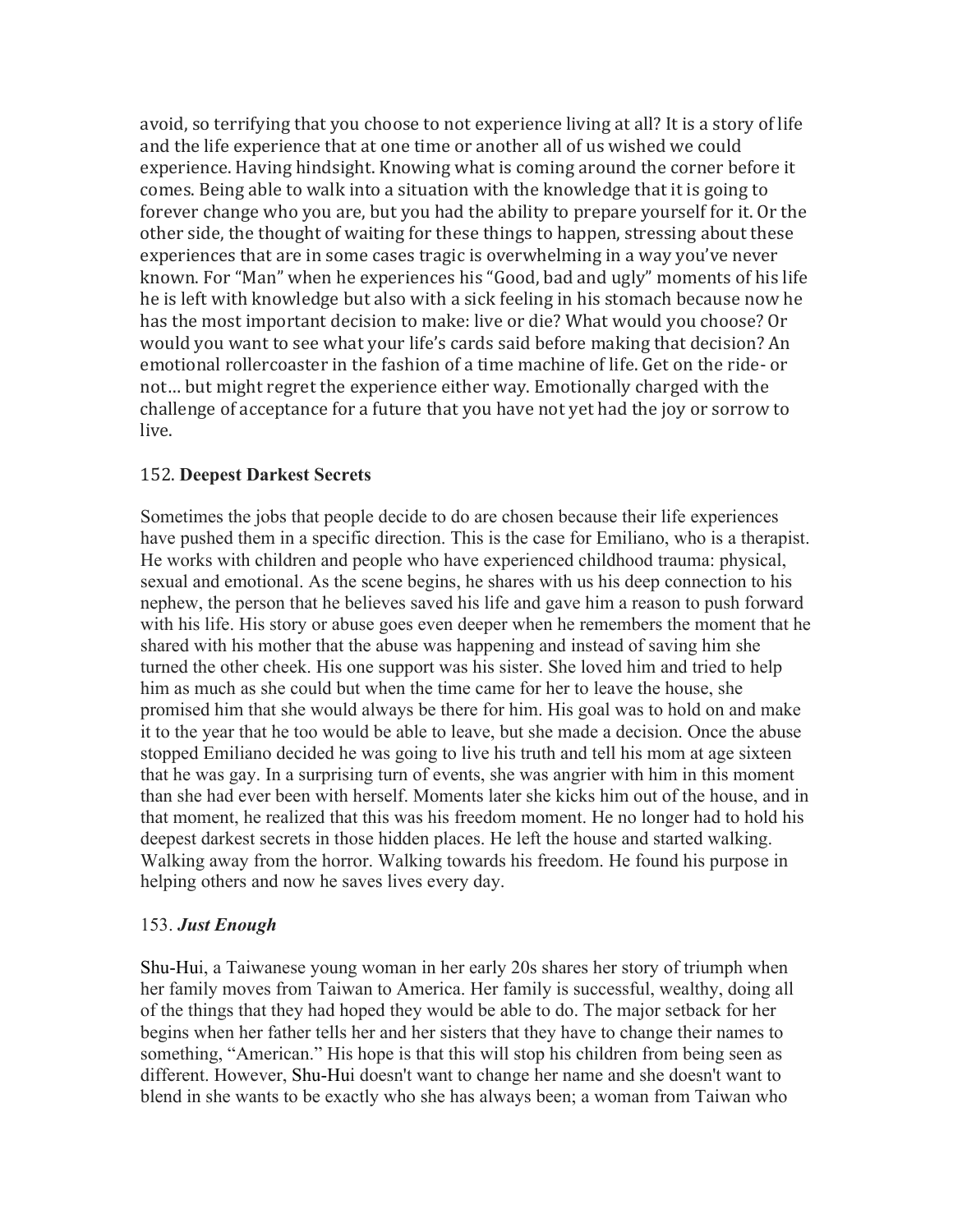avoid, so terrifying that you choose to not experience living at all? It is a story of life and the life experience that at one time or another all of us wished we could experience. Having hindsight. Knowing what is coming around the corner before it comes. Being able to walk into a situation with the knowledge that it is going to forever change who you are, but you had the ability to prepare yourself for it. Or the other side, the thought of waiting for these things to happen, stressing about these experiences that are in some cases tragic is overwhelming in a way you've never known. For "Man" when he experiences his "Good, bad and ugly" moments of his life he is left with knowledge but also with a sick feeling in his stomach because now he has the most important decision to make: live or die? What would you choose? Or would you want to see what your life's cards said before making that decision? An emotional rollercoaster in the fashion of a time machine of life. Get on the ride- or not... but might regret the experience either way. Emotionally charged with the challenge of acceptance for a future that you have not yet had the joy or sorrow to live.

#### 152. **Deepest Darkest Secrets**

Sometimes the jobs that people decide to do are chosen because their life experiences have pushed them in a specific direction. This is the case for Emiliano, who is a therapist. He works with children and people who have experienced childhood trauma: physical, sexual and emotional. As the scene begins, he shares with us his deep connection to his nephew, the person that he believes saved his life and gave him a reason to push forward with his life. His story or abuse goes even deeper when he remembers the moment that he shared with his mother that the abuse was happening and instead of saving him she turned the other cheek. His one support was his sister. She loved him and tried to help him as much as she could but when the time came for her to leave the house, she promised him that she would always be there for him. His goal was to hold on and make it to the year that he too would be able to leave, but she made a decision. Once the abuse stopped Emiliano decided he was going to live his truth and tell his mom at age sixteen that he was gay. In a surprising turn of events, she was angrier with him in this moment than she had ever been with herself. Moments later she kicks him out of the house, and in that moment, he realized that this was his freedom moment. He no longer had to hold his deepest darkest secrets in those hidden places. He left the house and started walking. Walking away from the horror. Walking towards his freedom. He found his purpose in helping others and now he saves lives every day.

#### 153. *Just Enough*

Shu-Hui, a Taiwanese young woman in her early 20s shares her story of triumph when her family moves from Taiwan to America. Her family is successful, wealthy, doing all of the things that they had hoped they would be able to do. The major setback for her begins when her father tells her and her sisters that they have to change their names to something, "American." His hope is that this will stop his children from being seen as different. However, Shu-Hui doesn't want to change her name and she doesn't want to blend in she wants to be exactly who she has always been; a woman from Taiwan who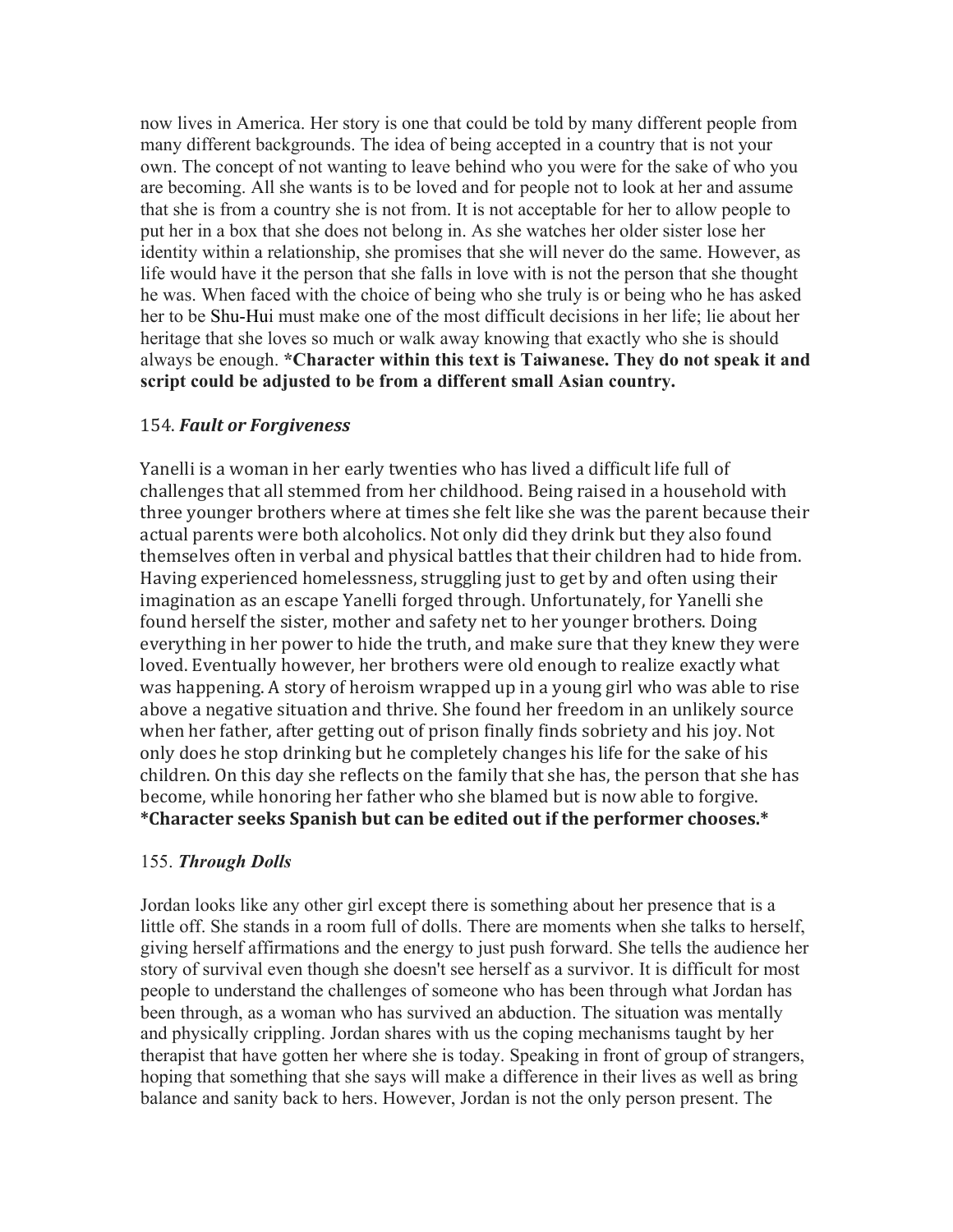now lives in America. Her story is one that could be told by many different people from many different backgrounds. The idea of being accepted in a country that is not your own. The concept of not wanting to leave behind who you were for the sake of who you are becoming. All she wants is to be loved and for people not to look at her and assume that she is from a country she is not from. It is not acceptable for her to allow people to put her in a box that she does not belong in. As she watches her older sister lose her identity within a relationship, she promises that she will never do the same. However, as life would have it the person that she falls in love with is not the person that she thought he was. When faced with the choice of being who she truly is or being who he has asked her to be Shu-Hui must make one of the most difficult decisions in her life; lie about her heritage that she loves so much or walk away knowing that exactly who she is should always be enough. **\*Character within this text is Taiwanese. They do not speak it and script could be adjusted to be from a different small Asian country.**

#### 154. **Fault or Forgiveness**

Yanelli is a woman in her early twenties who has lived a difficult life full of challenges that all stemmed from her childhood. Being raised in a household with three younger brothers where at times she felt like she was the parent because their actual parents were both alcoholics. Not only did they drink but they also found themselves often in verbal and physical battles that their children had to hide from. Having experienced homelessness, struggling just to get by and often using their imagination as an escape Yanelli forged through. Unfortunately, for Yanelli she found herself the sister, mother and safety net to her younger brothers. Doing everything in her power to hide the truth, and make sure that they knew they were loved. Eventually however, her brothers were old enough to realize exactly what was happening. A story of heroism wrapped up in a young girl who was able to rise above a negative situation and thrive. She found her freedom in an unlikely source when her father, after getting out of prison finally finds sobriety and his joy. Not only does he stop drinking but he completely changes his life for the sake of his children. On this day she reflects on the family that she has, the person that she has become, while honoring her father who she blamed but is now able to forgive. \*Character seeks Spanish but can be edited out if the performer chooses.\*

#### 155. *Through Dolls*

Jordan looks like any other girl except there is something about her presence that is a little off. She stands in a room full of dolls. There are moments when she talks to herself, giving herself affirmations and the energy to just push forward. She tells the audience her story of survival even though she doesn't see herself as a survivor. It is difficult for most people to understand the challenges of someone who has been through what Jordan has been through, as a woman who has survived an abduction. The situation was mentally and physically crippling. Jordan shares with us the coping mechanisms taught by her therapist that have gotten her where she is today. Speaking in front of group of strangers, hoping that something that she says will make a difference in their lives as well as bring balance and sanity back to hers. However, Jordan is not the only person present. The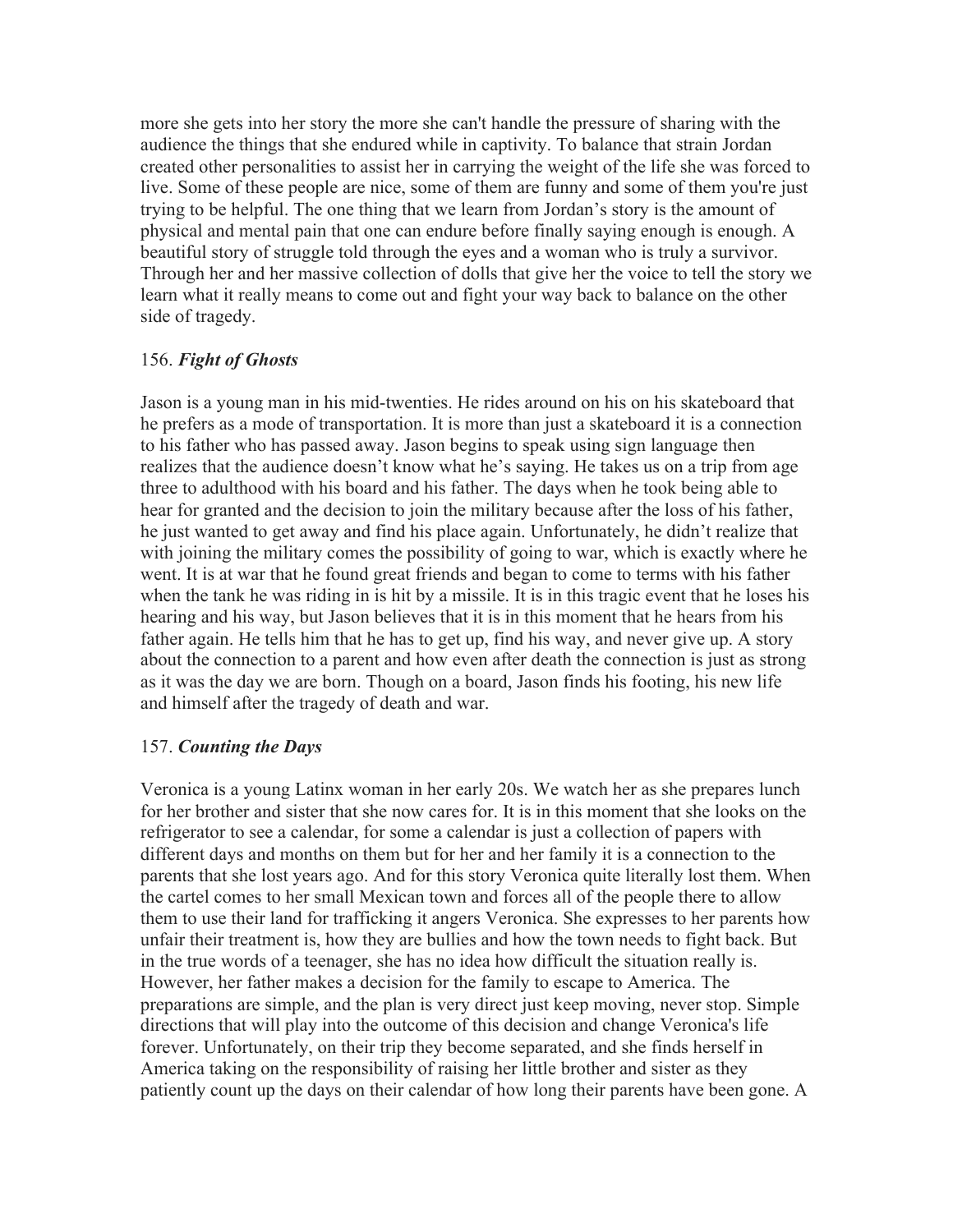more she gets into her story the more she can't handle the pressure of sharing with the audience the things that she endured while in captivity. To balance that strain Jordan created other personalities to assist her in carrying the weight of the life she was forced to live. Some of these people are nice, some of them are funny and some of them you're just trying to be helpful. The one thing that we learn from Jordan's story is the amount of physical and mental pain that one can endure before finally saying enough is enough. A beautiful story of struggle told through the eyes and a woman who is truly a survivor. Through her and her massive collection of dolls that give her the voice to tell the story we learn what it really means to come out and fight your way back to balance on the other side of tragedy.

#### 156. *Fight of Ghosts*

Jason is a young man in his mid-twenties. He rides around on his on his skateboard that he prefers as a mode of transportation. It is more than just a skateboard it is a connection to his father who has passed away. Jason begins to speak using sign language then realizes that the audience doesn't know what he's saying. He takes us on a trip from age three to adulthood with his board and his father. The days when he took being able to hear for granted and the decision to join the military because after the loss of his father, he just wanted to get away and find his place again. Unfortunately, he didn't realize that with joining the military comes the possibility of going to war, which is exactly where he went. It is at war that he found great friends and began to come to terms with his father when the tank he was riding in is hit by a missile. It is in this tragic event that he loses his hearing and his way, but Jason believes that it is in this moment that he hears from his father again. He tells him that he has to get up, find his way, and never give up. A story about the connection to a parent and how even after death the connection is just as strong as it was the day we are born. Though on a board, Jason finds his footing, his new life and himself after the tragedy of death and war.

#### 157. *Counting the Days*

Veronica is a young Latinx woman in her early 20s. We watch her as she prepares lunch for her brother and sister that she now cares for. It is in this moment that she looks on the refrigerator to see a calendar, for some a calendar is just a collection of papers with different days and months on them but for her and her family it is a connection to the parents that she lost years ago. And for this story Veronica quite literally lost them. When the cartel comes to her small Mexican town and forces all of the people there to allow them to use their land for trafficking it angers Veronica. She expresses to her parents how unfair their treatment is, how they are bullies and how the town needs to fight back. But in the true words of a teenager, she has no idea how difficult the situation really is. However, her father makes a decision for the family to escape to America. The preparations are simple, and the plan is very direct just keep moving, never stop. Simple directions that will play into the outcome of this decision and change Veronica's life forever. Unfortunately, on their trip they become separated, and she finds herself in America taking on the responsibility of raising her little brother and sister as they patiently count up the days on their calendar of how long their parents have been gone. A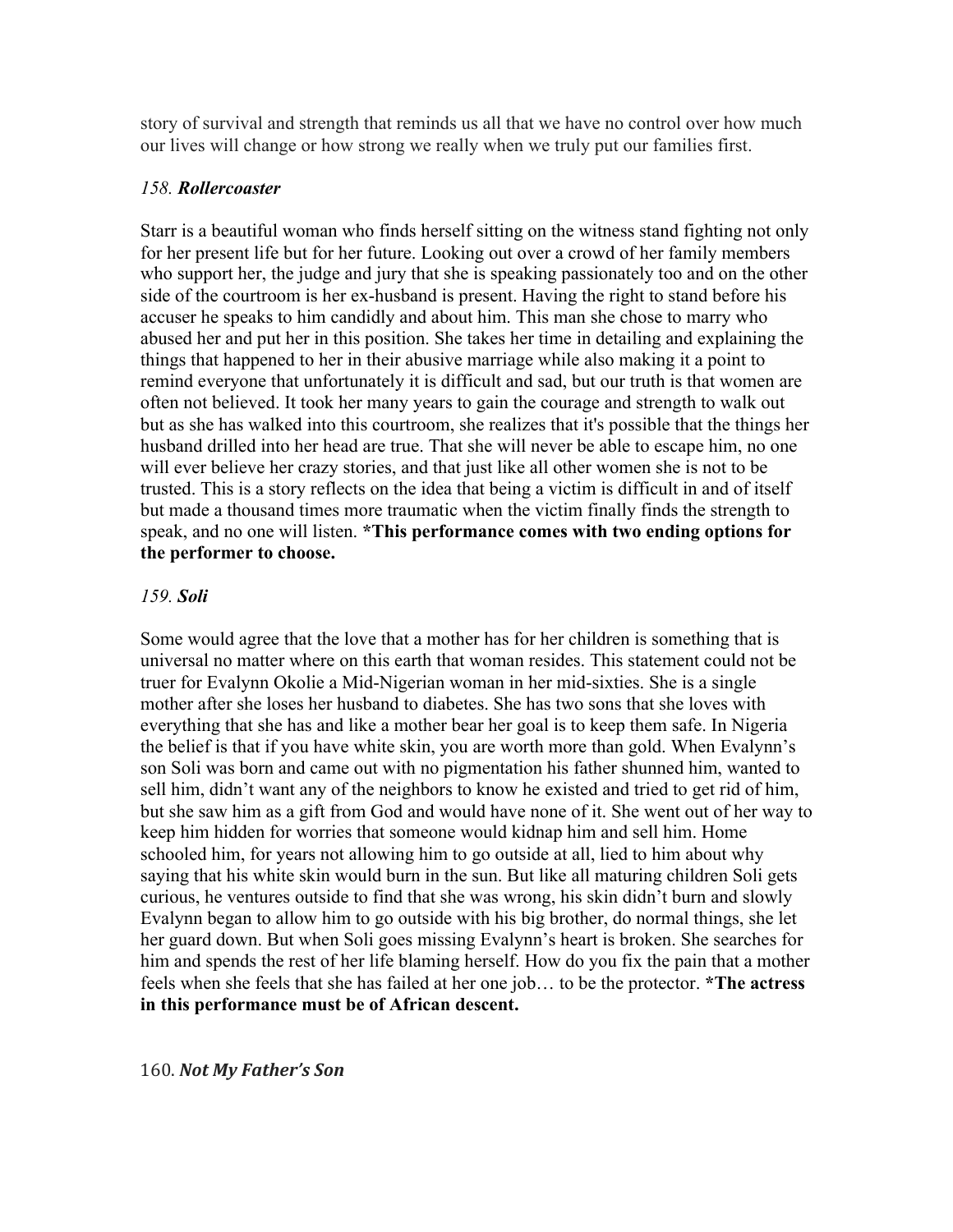story of survival and strength that reminds us all that we have no control over how much our lives will change or how strong we really when we truly put our families first.

#### *158. Rollercoaster*

Starr is a beautiful woman who finds herself sitting on the witness stand fighting not only for her present life but for her future. Looking out over a crowd of her family members who support her, the judge and jury that she is speaking passionately too and on the other side of the courtroom is her ex-husband is present. Having the right to stand before his accuser he speaks to him candidly and about him. This man she chose to marry who abused her and put her in this position. She takes her time in detailing and explaining the things that happened to her in their abusive marriage while also making it a point to remind everyone that unfortunately it is difficult and sad, but our truth is that women are often not believed. It took her many years to gain the courage and strength to walk out but as she has walked into this courtroom, she realizes that it's possible that the things her husband drilled into her head are true. That she will never be able to escape him, no one will ever believe her crazy stories, and that just like all other women she is not to be trusted. This is a story reflects on the idea that being a victim is difficult in and of itself but made a thousand times more traumatic when the victim finally finds the strength to speak, and no one will listen. **\*This performance comes with two ending options for the performer to choose.** 

#### *159. Soli*

Some would agree that the love that a mother has for her children is something that is universal no matter where on this earth that woman resides. This statement could not be truer for Evalynn Okolie a Mid-Nigerian woman in her mid-sixties. She is a single mother after she loses her husband to diabetes. She has two sons that she loves with everything that she has and like a mother bear her goal is to keep them safe. In Nigeria the belief is that if you have white skin, you are worth more than gold. When Evalynn's son Soli was born and came out with no pigmentation his father shunned him, wanted to sell him, didn't want any of the neighbors to know he existed and tried to get rid of him, but she saw him as a gift from God and would have none of it. She went out of her way to keep him hidden for worries that someone would kidnap him and sell him. Home schooled him, for years not allowing him to go outside at all, lied to him about why saying that his white skin would burn in the sun. But like all maturing children Soli gets curious, he ventures outside to find that she was wrong, his skin didn't burn and slowly Evalynn began to allow him to go outside with his big brother, do normal things, she let her guard down. But when Soli goes missing Evalynn's heart is broken. She searches for him and spends the rest of her life blaming herself. How do you fix the pain that a mother feels when she feels that she has failed at her one job… to be the protector. **\*The actress in this performance must be of African descent.** 

160. *Not My Father's Son*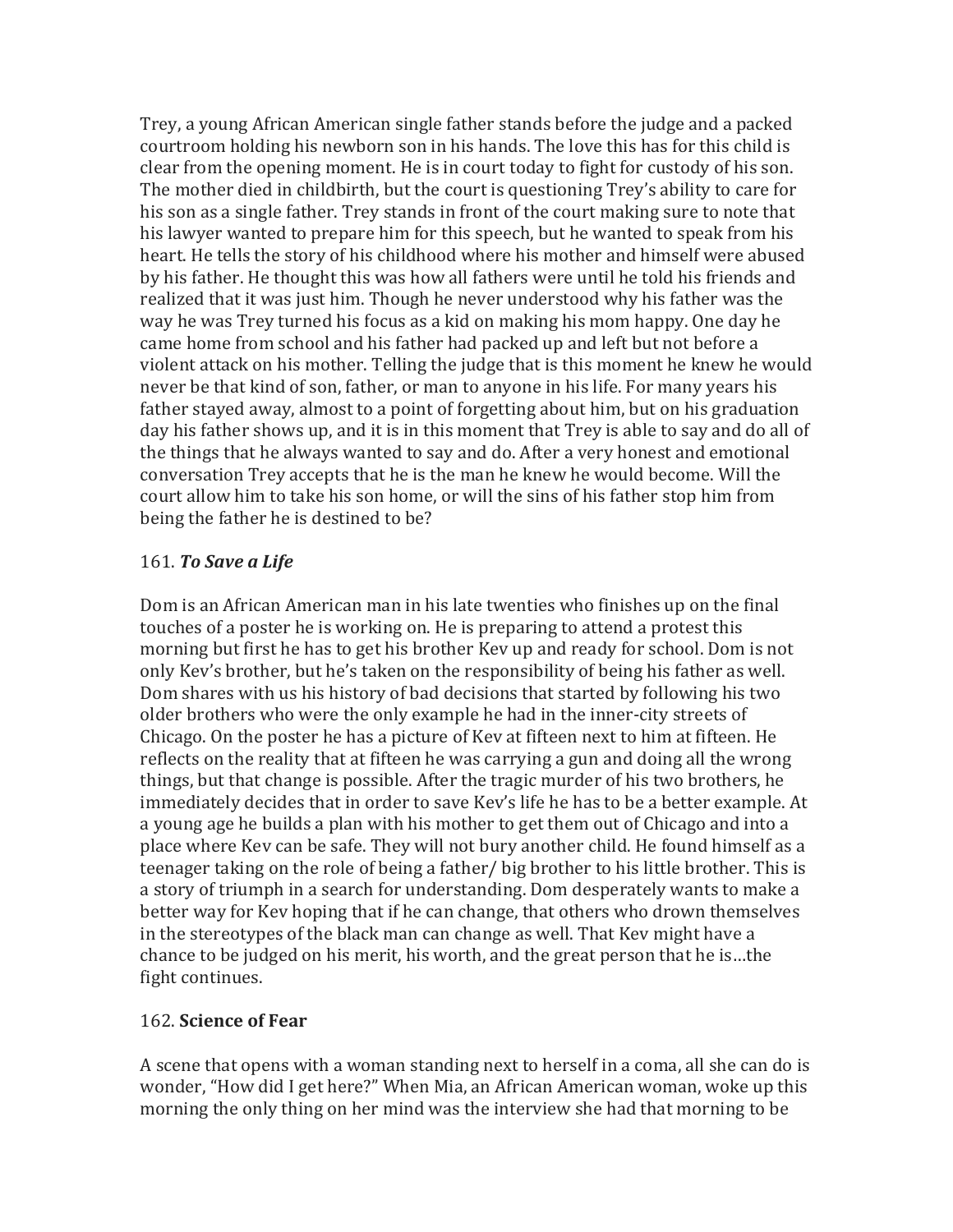Trey, a young African American single father stands before the judge and a packed courtroom holding his newborn son in his hands. The love this has for this child is clear from the opening moment. He is in court today to fight for custody of his son. The mother died in childbirth, but the court is questioning Trey's ability to care for his son as a single father. Trey stands in front of the court making sure to note that his lawyer wanted to prepare him for this speech, but he wanted to speak from his heart. He tells the story of his childhood where his mother and himself were abused by his father. He thought this was how all fathers were until he told his friends and realized that it was just him. Though he never understood why his father was the way he was Trey turned his focus as a kid on making his mom happy. One day he came home from school and his father had packed up and left but not before a violent attack on his mother. Telling the judge that is this moment he knew he would never be that kind of son, father, or man to anyone in his life. For many years his father stayed away, almost to a point of forgetting about him, but on his graduation day his father shows up, and it is in this moment that Trey is able to say and do all of the things that he always wanted to say and do. After a very honest and emotional conversation Trey accepts that he is the man he knew he would become. Will the court allow him to take his son home, or will the sins of his father stop him from being the father he is destined to be?

## **161. To Save a Life**

Dom is an African American man in his late twenties who finishes up on the final touches of a poster he is working on. He is preparing to attend a protest this morning but first he has to get his brother Kev up and ready for school. Dom is not only Kev's brother, but he's taken on the responsibility of being his father as well. Dom shares with us his history of bad decisions that started by following his two older brothers who were the only example he had in the inner-city streets of Chicago. On the poster he has a picture of Kev at fifteen next to him at fifteen. He reflects on the reality that at fifteen he was carrying a gun and doing all the wrong things, but that change is possible. After the tragic murder of his two brothers, he immediately decides that in order to save Kev's life he has to be a better example. At a young age he builds a plan with his mother to get them out of Chicago and into a place where Kev can be safe. They will not bury another child. He found himself as a teenager taking on the role of being a father/ big brother to his little brother. This is a story of triumph in a search for understanding. Dom desperately wants to make a better way for Key hoping that if he can change, that others who drown themselves in the stereotypes of the black man can change as well. That Key might have a chance to be judged on his merit, his worth, and the great person that he is...the fight continues.

## 162. **Science of Fear**

A scene that opens with a woman standing next to herself in a coma, all she can do is wonder, "How did I get here?" When Mia, an African American woman, woke up this morning the only thing on her mind was the interview she had that morning to be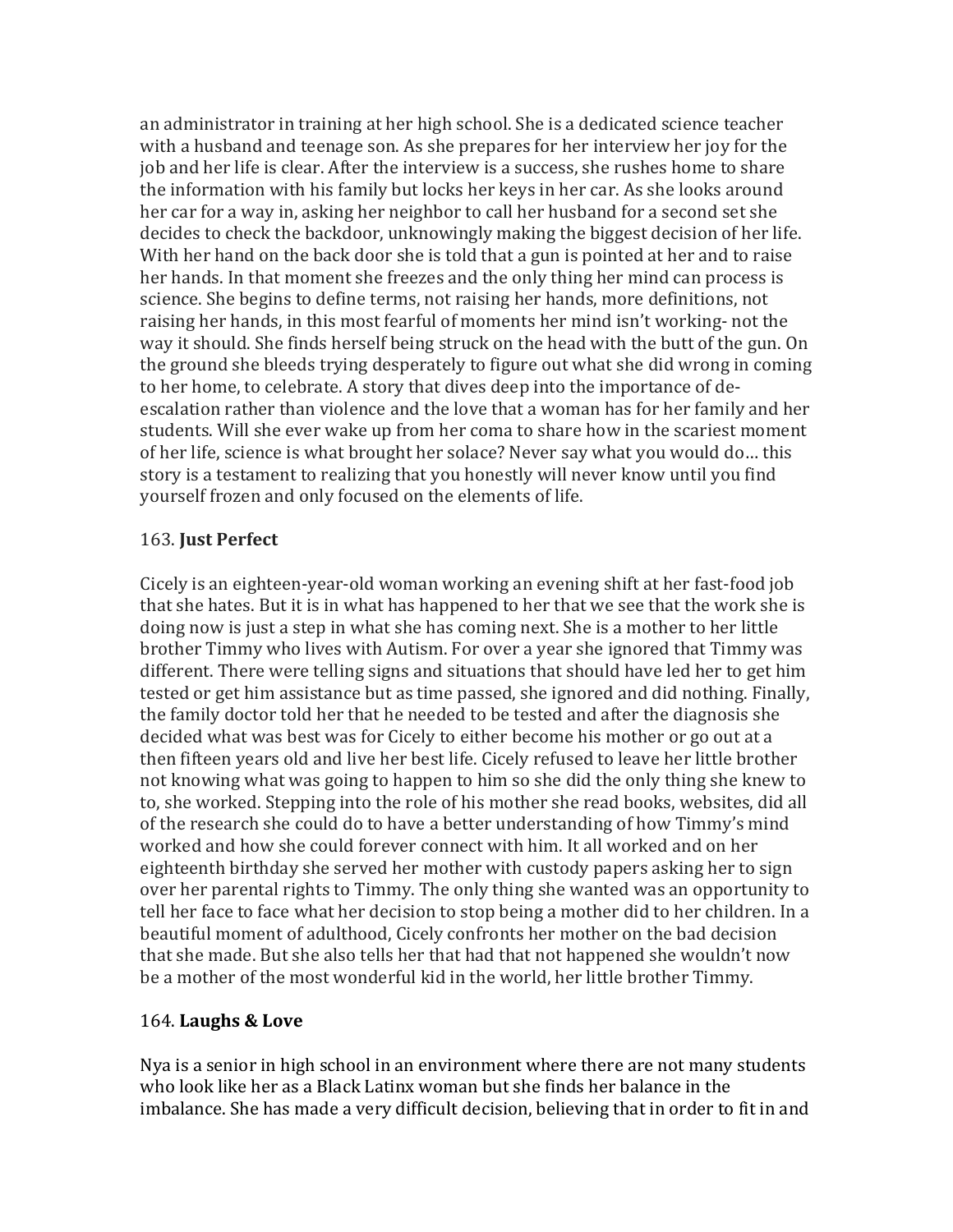an administrator in training at her high school. She is a dedicated science teacher with a husband and teenage son. As she prepares for her interview her joy for the job and her life is clear. After the interview is a success, she rushes home to share the information with his family but locks her keys in her car. As she looks around her car for a way in, asking her neighbor to call her husband for a second set she decides to check the backdoor, unknowingly making the biggest decision of her life. With her hand on the back door she is told that a gun is pointed at her and to raise her hands. In that moment she freezes and the only thing her mind can process is science. She begins to define terms, not raising her hands, more definitions, not raising her hands, in this most fearful of moments her mind isn't working- not the way it should. She finds herself being struck on the head with the butt of the gun. On the ground she bleeds trying desperately to figure out what she did wrong in coming to her home, to celebrate. A story that dives deep into the importance of deescalation rather than violence and the love that a woman has for her family and her students. Will she ever wake up from her coma to share how in the scariest moment of her life, science is what brought her solace? Never say what you would do... this story is a testament to realizing that you honestly will never know until you find yourself frozen and only focused on the elements of life.

## 163. **Just Perfect**

Cicely is an eighteen-year-old woman working an evening shift at her fast-food job that she hates. But it is in what has happened to her that we see that the work she is doing now is just a step in what she has coming next. She is a mother to her little brother Timmy who lives with Autism. For over a year she ignored that Timmy was different. There were telling signs and situations that should have led her to get him tested or get him assistance but as time passed, she ignored and did nothing. Finally, the family doctor told her that he needed to be tested and after the diagnosis she decided what was best was for Cicely to either become his mother or go out at a then fifteen years old and live her best life. Cicely refused to leave her little brother not knowing what was going to happen to him so she did the only thing she knew to to, she worked. Stepping into the role of his mother she read books, websites, did all of the research she could do to have a better understanding of how Timmy's mind worked and how she could forever connect with him. It all worked and on her eighteenth birthday she served her mother with custody papers asking her to sign over her parental rights to Timmy. The only thing she wanted was an opportunity to tell her face to face what her decision to stop being a mother did to her children. In a beautiful moment of adulthood, Cicely confronts her mother on the bad decision that she made. But she also tells her that had that not happened she wouldn't now be a mother of the most wonderful kid in the world, her little brother Timmy.

## 164. **Laughs & Love**

Nya is a senior in high school in an environment where there are not many students who look like her as a Black Latinx woman but she finds her balance in the imbalance. She has made a very difficult decision, believing that in order to fit in and